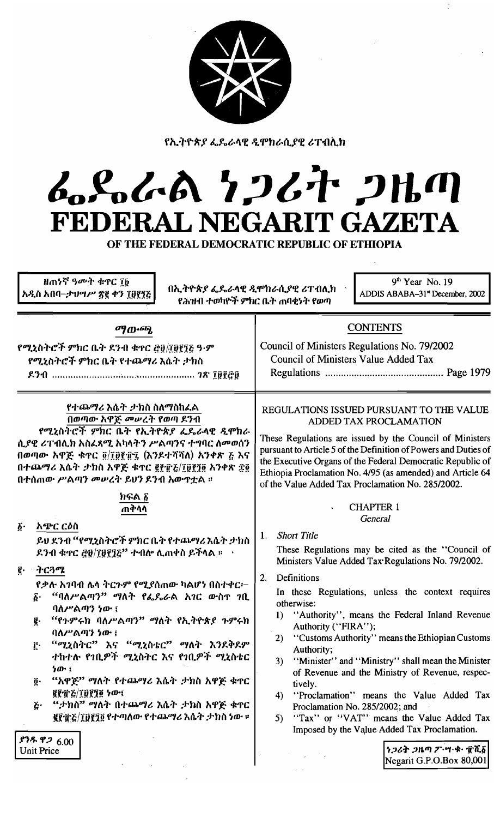| × |  |  |
|---|--|--|
|   |  |  |
|   |  |  |

የኢትዮጵያ ፌዴራላዊ ዲሞክራሲያዊ ሪፐብሲክ

# んとんへ ケンムナ フルの FEDERAL NEGARIT GAZETA

OF THE FEDERAL DEMOCRATIC REPUBLIC OF ETHIOPIA

ዘጠነኛ ዓመት ቁጥር ፲፱ አዲስ አበባ–ታህሣሥ ጽ፪ ቀን ፲፱፻፺ሯ

በኢትዮጵያ ፌዴራላዊ ዲሞክራሲያዊ ሪፐብሊክ የሕዝብ ተወካዮች ምክር ቤት ጠባቂነት የወጣ

 $9<sup>th</sup>$  Year No. 19 ADDIS ABABA-31" December, 2002

ማውጫ

የሚኒስትሮች ምክር ቤት ደንብ ቁዋር ፸፱/፲፱፻፺፩ ዓ·ም የሚኒስትሮች ምክር ቤት የተጨማሪ እሴት ታክስ 

የተጨማሪ እሴት ታክስ ስለማስከፈል በወጣው አዋጅ መሠረት የወጣ ደንብ

የሚኒስትሮች ምክር ቤት የኢትዮጵያ ፌዴራላዊ ዲሞክራ ሲያዊ ሪፐብሊክ አስፈጻሚ አካላትን ሥልጣንና ተግባር ለመወሰን በወጣው አዋጅ ቁተር ፬/፲፱፻፹፯ (እንደተሻሻለ) አንቀጽ ፩ እና በተጨማሪ እሴት ታክስ አዋጅ ቁዋር ፪፻፹፩/፲፱፻፺፬ አንቀጽ ፳፬ በተሰጠው ሥልጣን መሠረት ይህን ደንብ አውጥቷል ፡፡

> ከፍል ፩ ጠቅሳሳ

አጭር ርዕስ  $\vec{\Delta}$ .

> ይህ ደንብ ''የሚኒስትሮች ምክር ቤት የተጨማሪ እሴት ታክስ ደንብ ቁኖር ፫፱/፲፱፻፺፩ $^{\prime\prime}$  ተብሎ ሊጠቀስ ይችላል ።  $^{-1}$

 $\mathbf{g}$ . ትርጓሜ

የቃሉ አገባብ ሌላ ትርጉም የሚያሰጠው ካልሆነ በስተቀር፦ ፩· "ባለሥልጣን" ማለት የፌዴራል አገር ውስ**ዋ** ገቢ

- ባለሥልጣን ነው ፤ "የጉምሩክ ባለሥልጣን" ማለት የኢትዮጵያ ጉምሩክ g.
- ባለሥልጣን ነው ፤
- "ሚኒስትር" እና "ሚኒስቴር" ማለት እንደቅደም ŗ٠ ተከተሉ የገቢዎች ሚኒስትር እና የገቢዎች ሚኒስቴር ነው ፤
- "አዋጅ" ማለት የተጨማሪ እሴት ታክስ አዋጅ ቁዋር  $\vec{0}$ . **grich lights for the second service of the service of the service of the service service service service servi**
- "ታክስ" ማለት በተጨማሪ እሴት ታክስ አዋጅ ቁዋር Ğ٠ ፪፻፹፩/፲፱፻፺፬ የተጣለው የተጨማሪ እሴት ታክስ ነው ።

ያንዱ ዋ*ጋ* 6.00 Unit Price

## REGULATIONS ISSUED PURSUANT TO THE VALUE ADDED TAX PROCLAMATION

**CONTENTS** 

Council of Ministers Regulations No. 79/2002

**Council of Ministers Value Added Tax** 

These Regulations are issued by the Council of Ministers pursuant to Article 5 of the Definition of Powers and Duties of the Executive Organs of the Federal Democratic Republic of Ethiopia Proclamation No. 4/95 (as amended) and Article 64 of the Value Added Tax Proclamation No. 285/2002.

## **CHAPTER 1** General

1. Short Title

These Regulations may be cited as the "Council of Ministers Value Added Tax Regulations No. 79/2002.

 $2.$ Definitions

> In these Regulations, unless the context requires otherwise:

- 1) "Authority", means the Federal Inland Revenue Authority ("FIRA");
- 2) "Customs Authority" means the Ethiopian Customs Authority;
- 3) "Minister" and "Ministry" shall mean the Minister of Revenue and the Ministry of Revenue, respectively.
- 4) "Proclamation" means the Value Added Tax Proclamation No. 285/2002; and
- 5) "Tax" or "VAT" means the Value Added Tax Imposed by the Value Added Tax Proclamation.

ነጋሪት ጋዜጣ ፖ'ሣ' ቁ' ፹ሺ፩ Negarit G.P.O.Box 80,001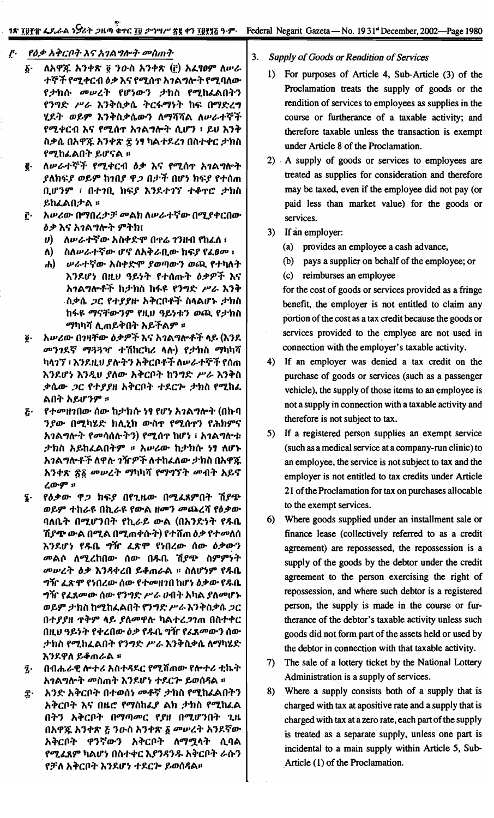#### $\mathbf{r}$ . የዕቃ አቅርቦት እና አገልግሎት መስጠት

- ለአዋጁ አንቀጽ ፬ ንዑስ አንቀጽ (፫) አፈፃፀም ለሥራ δ. ተኞች የሚቀርብ ዕቃ እና የሚሰዋ አገልግሎት የሚባለው *የታከሱ መሠረት የሆነውን ታከ*ስ የሚከፌልበትን የንግድ ሥራ እንቅስቃሴ ትርፋማነት ከፍ በማድረግ ሂደት ወይም እንቅስቃሴውን ለማሻሻል ለሥራተኞች የሚቀርብ እና የሚሰጥ አገልግሎት ሲሆን ፣ ይህ እንቅ ስቃሴ በአዋጁ አንቀጽ ፰ ነፃ ካልተደረን በስተቀር ታክስ የሚከፌልበት ይሆናል ።
- ለሥራተኞች የሚቀርብ ዕቃ እና የሚሰዋ አገልግሎት ę. *ያ*ለክፍ*ያ ወይም* ከ*ኀበያ ዋጋ በታች በሆነ ከፍያ የተ*ሰጠ ቢሆንም ፣ በተገቢ ከፍያ እንደተገኘ ተቆዋሮ ታክስ ይከፈልበታል።
- አሥሪው በማበረታቻ መልክ ለሥራተኛው በሚያቀርበው Ĉ٠ ዕቃ እና አገልግሎት ምትክ፤
	- $\boldsymbol{\theta}$ ለሥራተኛው አስቀድሞ በዋሬ ገንዘብ የከፈለ ፣
	- ስለሥራተኛው ሆኖ ለአቅራቢው ክፍያ የፈፀመ ፣ ለ)
	- ሐ) ሥራተኛው አስቀድሞ ያወጣውን ወጪ የተካለት እንደሆነ በዚህ ዓይነት የተሰጡት ዕቃዎች እና አገልግሎቶች ከታከስ ከፋዩ የንግድ ሥራ እንቅ <sub>-</sub>ስቃሴ *ጋ*ር የተያያዙ አቅርቦቶች ስላልሆኑ ታክስ ከፋዩ ማናቸውንም የዚህ ዓይነቱን ወጪ የታክስ ማካካሻ ሊጠይቅበት አይችልም ፡፡
- አሥሪው በገዛቸው ዕቃዎች እና አገልግሎቶች ላይ (እንደ ĝ. *መንገ*ደኛ *ማጓጓጒ ተ*ሽከርካሪ ላሉ) የ*ታ*ክስ ማካካሻ ካላገኘ ፣ እንደዚህ ያሉትን አቅርቦቶች ለሥራተኞች የሰጠ እንደሆነ እንዲህ ያለው አቅርቦት ከንግድ ሥራ እንቅስ ቃሴው *ጋ*ር የተያያዘ አቅርቦት ተደርሎ ታከስ የሚከፈ ልበት አይሆንም ።
- *የተመዘገበው ሰው ከታክሱ ነፃ የሆነ አገልግ*ሎት (በኩባ ج. ንያው በሚካሄድ ክሊኒክ ውስኖ የሚሰኖን የሕክምና አገልግሎት የመሳሰሉትን) የሚሰዋ ከሆነ ፣ አገልግሎቱ ታክስ አይከፈልበትም ። አሥሪው ከታክሱ ነፃ ለሆኑ አገልግሎቶች ለዋሉ ገዥዎች ለተከፈለው ታክስ በአዋጁ አንቀጽ ፳፩ መሠረት ማካካሻ የማግኘት መብት አይኖ ረውም ።
- የዕቃው ዋጋ ክፍያ በየጊዜው በሚፌጸምበት ሽያጭ Į. ወይም ተከራዩ በኪራዩ የውል ዘመን መጨረሻ የዕቃው ባለቤት በሚሆንበት የኪራይ ውል (በአንድነት የዱቤ ሽ*ያጭ* ውል በሚል በሚጠቀሱት) የተሸጠ*ዕቃ* የተመለሰ እንደሆነ የ**ዱቤ ግ**ዥ ፈጽሞ የነበረው ሰው ዕቃውን *መ*ልሶ ለሚረከበው ሰው በዱቤ ሽያ<del>ጭ</del> ስምምነት መሠረት ዕቃ እንዳቀረበ ይቆጠራል ፡፡ ስለሆነም የዱቤ ግዥ ፈጽሞ የነበረው ሰው የተመዘገበ ከሆነ ዕቃው የ**ዱ**ቤ *ግዥ የፌጸመው ሰው የንግድ ሥራ ሀ*ብት አካል *ያለመ*ሆኑ ወይም ታክስ ከሚከፌልበት የንግድ ሥራ እንቅስቃሴ ጋር በተያያዘ የቅም ላይ ያለመዋሉ ካልተረ*ጋገ*ጠ በስተቀር በዚህ ዓይነት የቀረበው ዕቃ የዱቤ ግዥ የፈጸመውን ሰው ታክስ የሚከፌልበት የንግድ ሥራ እንቅስቃሴ ለማካሄድ እንደዋለ ይቆጠራል ፡፡
- በብሔራዊ ሎተሪ አስተዳደር የሚሸጠው የሎተሪ ቲኬት  $\ddot{z}$ . አገልግሎት መስጠት እንደሆነ ተደርሎ ይወሰዳል ፡፡
- አንድ አቅርቦት በተወሰነ መቶኛ ታክስ የሚከፌልበትን Ĵ٠ አቅርቦት እና በዜሮ የማስከፌያ ልክ ታክስ የሚከፈል በትን አቅርቦት በማጣመር የያዘ በሚሆንበት ጊዜ በአዋጁ አንቀጽ ፩ ንዑስ አንቀጽ ፩ መሥረት አንደኛው አቅርቦት ዋንኛውን አቅርቦት ለማሟላት ሲባል የሚፈጸም ካልሆነ በስተቀር እያንዳንዱ አቅርቦት ራሱን የቻለ አቅርቦት እንደሆነ ተደርጕ ይወሰዳል።
- $3.$ Supply of Goods or Rendition of Services
	- 1) For purposes of Article 4, Sub-Article (3) of the Proclamation treats the supply of goods or the rendition of services to employees as supplies in the course or furtherance of a taxable activity; and therefore taxable unless the transaction is exempt under Article 8 of the Proclamation.
	- 2) A supply of goods or services to employees are treated as supplies for consideration and therefore may be taxed, even if the employee did not pay (or paid less than market value) for the goods or services.
	- 3) If an employer:
		- (a) provides an employee a cash advance,
		- (b) pays a supplier on behalf of the employee; or
		- (c) reimburses an employee

for the cost of goods or services provided as a fringe benefit, the employer is not entitled to claim any portion of the cost as a tax credit because the goods or services provided to the emplyee are not used in connection with the employer's taxable activity.

- 4) If an employer was denied a tax credit on the purchase of goods or services (such as a passenger vehicle), the supply of those items to an employee is not a supply in connection with a taxable activity and therefore is not subject to tax.
- 5) If a registered person supplies an exempt service (such as a medical service at a company-run clinic) to an employee, the service is not subject to tax and the employer is not entitled to tax credits under Article 21 of the Proclamation for tax on purchases allocable to the exempt services.
- 6) Where goods supplied under an installment sale or finance lease (collectively referred to as a credit agreement) are repossessed, the repossession is a supply of the goods by the debtor under the credit agreement to the person exercising the right of repossession, and where such debtor is a registered person, the supply is made in the course or furtherance of the debtor's taxable activity unless such goods did not form part of the assets held or used by the debtor in connection with that taxable activity.
- 7) The sale of a lottery ticket by the National Lottery Administration is a supply of services.
- 8) Where a supply consists both of a supply that is charged with tax at apositive rate and a supply that is charged with tax at a zero rate, each part of the supply is treated as a separate supply, unless one part is incidental to a main supply within Article 5, Sub-Article (1) of the Proclamation.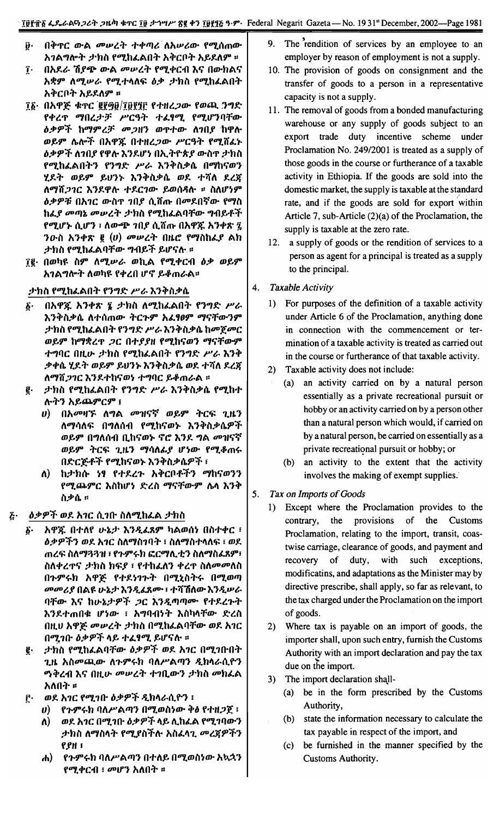- በቅጥር ውል መሠረት ተቀጣሪ ለአሠሪው የሚሰጠው ŷ٠ አገልግሎት ታክስ የሚከፌልበት አቅርቦት አይደለም ።
- በአደራ ሽያጭ ውል መሠረት የሚቀርብ እና በውክልና  $\mathbf{r}$ አቋም ለሚሥራ የሚተላለፍ ዕቃ ታክስ የሚከፈልበት አቅርቦት አይደለም ፡፡
- ፲፩· በአዋጅ ቁጥር ፪፻፵፱/፲፱፻፺፫ የተዘረጋው የወጪ ንግድ የቀረዋ ማበረታቻ ሥርዓት ተፈፃሚ የሚሆንባቸው *ዕቃዎች ከማምረቻ መጋዘን ወ*ዋተው ለ*ገበያ* ከዋሉ ወይም ሌሎች በአዋጁ በተዘረጋው ሥርዓት የሚሸፈኑ *ዕቃዎች ለገበያ የዋሉ እን*ዶሆነ በኢትዮጵ*ያ ው*ስዋ *ታ*ክስ የሚከፈልበትን የንግድ ሥራ እንቅስቃሴ በማከናወን ሂደት ወይም ይህንኑ እንቅስቃሴ ወደ ተሻለ ደረጀ ለማሽጋገር እንደዋሉ ተደርገው ይወሰዳሉ ፡፡ ስለሆነም ዕቃዎቹ በአገር ውስዋ ገበያ ሲሸጡ በመደበኛው የማስ ከፌያ መጣኔ መሠረት ታክስ የሚከፌልባቸው ግብይቶች የሚሆኑ ሲሆን ፡ ለውጭ ገበያ ሲሸጡ በአዋጁ አንቀጽ ፯ ንውስ አንቀጽ ፪  $(v)$  መሥረት በዜሮ የማስከፌያ ልክ ታክስ የሚከፈልባቸው ግብይች ይሆናሉ ፡፡
- ፲፪· በወካዩ ስም ለሚሥራ ወኪል የሚቀርብ ዕቃ ወይም <u>አገልግሎት ለወካዩ የቀረበ ሆኖ ይቆጠራል።</u>

#### ታክስ የሚከፌልበት የንግድ ሥራ እንቅስቃሴ

- በአዋጁ አንቀጽ ኜ ታክስ ለሚከፌልበት የንግድ ሥራ δ. እንቅስቃሴ ለተሰጠው ትርጉም አፈፃፀም ማናቸውንም *ታከ*ስ የሚከፌልበት የንግድ ሥራ እንቅስቃሴ ከመጀመር ወይም ከማቋረጥ ጋር በተያያዘ የሚከናወን ማናቸውም ተግባር በዚሁ ታክስ የሚከፈልበት የንግድ ሥራ እንቅ ቃቀሴ ሂደት ወይም ይሀንኑ እንቅስቃሴ ወደ ተሻለ ደረጀ ለማሽ*ጋገር* እንደተከናወነ ተግባር ይቆጠራል ፡፡
- ታክስ የሚከፈልበት የንግድ ሥራ እንቅስቃሴ የሚከተ ę. ሉትን አይጨምርም ፤
	- በአመዛኙ ለግል መዝናኛ ወይም ትርፍ ጊዜን U) ለማሳለፍ በግለሰብ የሚከናወኑ እንቅስቃሴዎች ወይም በግለሰብ ቢከናወኑ ኖሮ እንደ ግል መዝናኛ ወይም ትርፍ ጊዜን ማሳለፊያ ሆነው የሚቆጠሩ በድርጅቶች የሚከናወኑ እንቅስቃሴዎች ፣
	- ከታክሱ ነፃ የተደረጉ አቅርቦቶችን ማከናወንን ለ) -የሚጨምር እስከሆነ ድረስ ማናቸውም ሌላ እንቅ ስቃሴ ።

#### *ዕቃዎች ወደ አገ*ር ሲገቡ ስለሚከፌል *ታ*ክስ  $\boldsymbol{\tilde{G}}$  .

- አዋጁ በተለየ ሁኔታ እንዲፈጸም ካልወሰነ በስተቀር ፣ б. *ዕቃዎችን ወደ አገር ስ*ለማስገባት ፣ ስለማስተላለፍ ፣ ወደ ጠረፍ ስለማጓጓዝ ፣ የጉምሩክ ፎርማሊቲን ስለማስፌጸም፣ ስለቀረዋና ታክስ ክፍያ ፣ የተከፈለን ቀረዋ ስለመመለስ በጉምሩክ አዋጅ የተደነገጉት በሚኒስትሩ በሚወጣ *መመሪያ* በልዩ ሁኔታ እንዲፈጸሙ ፣ ተሻሽለው እንዲሠራ ባቸው እና ከሁኔታዎች ጋር እንዲጣጣሙ የተደረጉት እንደተጠበቁ ሆነው ፣ አግባብነት እስካላቸው ድረስ በዚህ አዋጅ መሠረት ታክስ በሚከፈልባቸው ወደ አገር በሚገቡ ዕቃዎች ላይ ተፈፃሚ ይሆናሉ ፡፡
- ታክስ የሚከፌልባቸው ዕቃዎች ወደ አገር በሚገቡበት ğ. ጊዜ አስመጪው ለጉምሩክ ባለሥልጣን ዲክሳራሲዮን ማቅረብ እና በዚሁ መሠረት ተገቢውን ታክስ መክፈል አለበት ፡
- ወደ አገር የሚገቡ ዕቃዎች ዲክላራሲዮን ፣ ŗ٠
	- ሀ) የጉምሩክ ባለሥልጣን በሚወስነው ቅፅ የተዘ*ጋ*ጀ ፣
		- ወደ አገር በሚገቡ ዕቃዎች ላይ ሊከፈል የሚገባውን ለ) *ታክ*ስ ለማስላት የሚያስችሉ አስፈላጊ *መረ*ጃዎችን ерн і
		- የጉምሩክ ባለሥልጣን በተለይ በሚወስነው አኳኋን ሐ) *የሚቀርብ ፣ መሆን አ*ለበት ።
- 9. The rendition of services by an employee to an employer by reason of employment is not a supply.
- 10. The provision of goods on consignment and the transfer of goods to a person in a representative capacity is not a supply.
- 11. The removal of goods from a bonded manufacturing warehouse or any supply of goods subject to an export trade duty incentive scheme under Proclamation No. 249/2001 is treated as a supply of those goods in the course or furtherance of a taxable activity in Ethiopia. If the goods are sold into the domestic market, the supply is taxable at the standard rate, and if the goods are sold for export within Article 7, sub-Article  $(2)(a)$  of the Proclamation, the supply is taxable at the zero rate.
- 12. a supply of goods or the rendition of services to a person as agent for a principal is treated as a supply to the principal.
- 4. **Taxable Activity** 
	- 1) For purposes of the definition of a taxable activity under Article 6 of the Proclamation, anything done in connection with the commencement or termination of a taxable activity is treated as carried out in the course or furtherance of that taxable activity.
	- 2) Taxable activity does not include:
		- (a) an activity carried on by a natural person. essentially as a private recreational pursuit or hobby or an activity carried on by a person other than a natural person which would, if carried on by a natural person, be carried on essentially as a private recreational pursuit or hobby; or
		- (b) an activity to the extent that the activity involves the making of exempt supplies.
- 5. Tax on Imports of Goods
	- 1) Except where the Proclamation provides to the contrary, the provisions of the Customs Proclamation, relating to the import, transit, coastwise carriage, clearance of goods, and payment and recovery of duty, with such exceptions, modificatins, and adaptations as the Minister may by directive prescribe, shall apply, so far as relevant, to the tax charged under the Proclamation on the import of goods.
	- 2) Where tax is payable on an import of goods, the importer shall, upon such entry, furnish the Customs Authority with an import declaration and pay the tax due on the import.
	- 3) The import declaration shall-
		- (a) be in the form prescribed by the Customs Authority,
		- (b) state the information necessary to calculate the tax payable in respect of the import, and
		- (c) be furnished in the manner specified by the Customs Authority.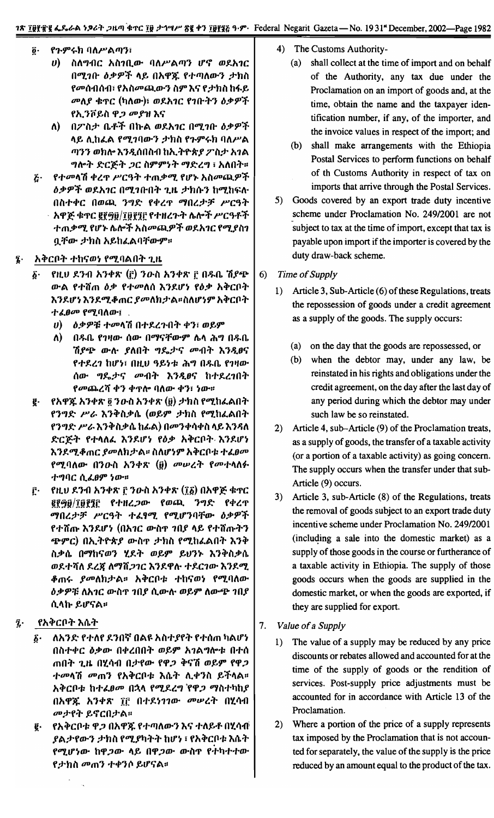- የጉምሩክ ባለሥልጣን፣  $\overline{\mathbf{0}}$ .
	- ስለግብር አስገቢው ባለሥልጣን ሆኖ ወደአገር  $\boldsymbol{\theta}$ በሚገቡ ዕቃዎች ላይ በአዋጁ የተጣለውን ታክስ የመሰብሰብ፣ የአስመጪውን ስም እና የታክስ ከፋይ መለያ ቁዋር (ካለው)፣ ወደአገር የገቡትን ዕቃዎች የኢንቮይስ ዋ*ጋ መያ*ዝ እና
	- ለ) በፖስታ ቤቶች በኩል ወደአገር በሚገቡ ዕቃዎች ላይ ሊከፌል የሚገባውን ታክስ የጉምሩክ ባለሥል ጣንን ወክሎ እንዲሰበስብ ከኢ*ት*ዮጵ*ያ ፓ* ስታ አገል *ግ*ሎት ድርጅት *ጋ*ር ስምምነት ማድረግ ፣ አለበት፡፡
- $\vec{c}$ . *የተመ*ላሽ ቀረዋ ሥርዓት ተጠቃሚ የሆኑ አስመጪዎች *ዕቃዎች ወደአገር በሚገ*ቡበት ጊዜ *ታ*ክሱን ከሚከፍሉ በስተቀር በወጪ ንግድ የቀረጥ ማበረታቻ ሥርዓት አዋጅ ቁጥር ፪፻፵፱/፲፱፻፺፫ የተዘረጉት ሴሎች ሥርዓቶች ተጠቃሚ የሆኑ ሴሎች አስመጪዎች ወደአገር የሚያስገ ቧቸው ታክስ አይከፈልባቸውም።
- አቅርቦት ተከናወነ የሚባልበት ጊዜ
	- የዚህ ደንብ አንቀጽ (፫) ንውስ አንቀጽ ፫ በዱቤ ሽያጭ  $\boldsymbol{\delta}$  . ውል የተሸጠ ዕቃ የተመለሰ እንደሆነ የዕቃ አቅርቦት እንደሆነ እንደሚቆጠር ያመለከታል።ስለሆነም አቅርቦት ተፈፀመ የሚባለው፤.
		- ሀ) ዕቃዎቹ ተመላሽ በተደረጉበት ቀን፣ ወይም
		- በዱቤ የገዛው ሰው በማናቸውም ሴላ ሕግ በዱቤ V) V ሽያጭ ውሉ ያለበት ግዴታና መብት እንዲፀና የተደረገ ከሆነ፣ በዚህ ዓይነቱ ሕግ በዱቤ የገዛው ሰው ግዴታና መብት እንዲፀና ከተደረገበት የመጨረሻ ቀን ቀዋሎ ባለው ቀን፣ ነው።
	- የአዋጁ አንቀጽ ፬ ንውስ አንቀጽ (፱) ታክስ የሚከፈልበት  $\boldsymbol{\ell}$  . የንግድ ሥራ እንቅስቃሴ (ወይም ታክስ የሚከፈልበት የንግድ ሥራ እንቅስቃሴ ከፊል) በመንቀሳቀስ ላይ እንዳለ ድርጅት የተላለፌ እንደሆነ የዕቃ አቅርቦት እንደሆነ እንደሚቆጠር *ያመ*ለክታል። ስለሆነም አቅርቦቱ ተፈፀመ የሚባለው በንዑስ አንቀጽ (፱) መሠረት የመተላለፉ ተግባር ሲፈፀም ነው።
	- የዚህ ደንብ አንቀጽ ፫ ንውስ አንቀጽ (፲፩) በአዋጅ ቁጥር  $\mathbf{r}$ grgg/፲፱፻፺፫ የተዘረ*ጋ*ው የወጪ ንግድ የቀረጥ ማበረታቻ ሥርዓት ተፈፃሚ የሚሆንባቸው ዕቃዎች የተሸጡ እንደሆነ (በአገር ውስዋ ገበያ ላይ የተሸጡትን **ጭምር) በኢትዮጵያ ውስ**ዋ ታክስ የሚከፈልበት እንቅ ስቃሴ በማከናወን ሂደት ወይም ይህንኑ እንቅስቃሴ ወደተሻለ ደረጀ ለማሽ*ጋገ*ር እንደዋሉ ተደርገው እንደሚ *ቆ*ጠሩ *ያመ*ለከታል፡፡ አቅርቦቱ ተከናወነ የሚባለው ዕቃዎቹ ለአገር ውስዋ ገበያ ሲውሉ ወይም ለውጭ ገበያ ሲላኩ ይሆናል።
- የአቅርቦት እሴት į.
	- ለአንድ የተለየ ደንበኛ በልዩ አስተያየት የተሰጠ ካልሆነ  $\vec{b}$ . በስተቀር ዕቃው በቀረበበት ወይም አገልግሎቱ በተሰ ጠበት ጊዜ በሂሳብ በታየው የዋ*ጋ* ቅናሽ ወይም የዋ*ጋ ተመ*ላሽ *መ*ጠን የአቅርቦቱ እሴት ሊቀንስ ይችላል። አቅርቦቱ ከተፈፀመ በኋላ የሚደረግ የዋ*ጋ ማ*ስተካከያ በአዋጁ አንቀጽ ፲፫ በተደነገገው መሠረት በሂሳብ መታየት ይኖርበታል።
	- የአቅርቦቱ ዋ*ጋ* በአዋጁ የተጣለውን እና ተለይቶ በሂሳብ<sup>፡</sup> ğ. ያልታየውን ታክስ የሚያካትት ከሆነ ፣ የአቅርቦቱ እሴተ የሚሆነው ከዋ*ጋ*ው ላይ በዋ*ጋ*ው ውስዋ የተካተተው የ*ታ*ክስ መጠን ተቀንሶ ይሆናል፡፡
- 4) The Customs Authority
	- shall collect at the time of import and on behalf  $(a)$ of the Authority, any tax due under the Proclamation on an import of goods and, at the time, obtain the name and the taxpayer identification number, if any, of the importer, and the invoice values in respect of the import; and
	- (b) shall make arrangements with the Ethiopia Postal Services to perform functions on behalf of th Customs Authority in respect of tax on imports that arrive through the Postal Services.
- 5) Goods covered by an export trade duty incentive scheme under Proclamation No. 249/2001 are not subject to tax at the time of import, except that tax is payable upon import if the importer is covered by the duty draw-back scheme.
- $6)$ Time of Supply
	- 1) Article 3, Sub-Article (6) of these Regulations, treats the repossession of goods under a credit agreement as a supply of the goods. The supply occurs:
		- (a) on the day that the goods are repossessed, or
		- (b) when the debtor may, under any law, be reinstated in his rights and obligations under the credit agreement, on the day after the last day of any period during which the debtor may under such law be so reinstated.
	- 2) Article 4, sub-Article (9) of the Proclamation treats, as a supply of goods, the transfer of a taxable activity (or a portion of a taxable activity) as going concern. The supply occurs when the transfer under that sub-Article (9) occurs.
	- 3) Article 3, sub-Article (8) of the Regulations, treats the removal of goods subject to an export trade duty incentive scheme under Proclamation No. 249/2001 (including a sale into the domestic market) as a supply of those goods in the course or furtherance of a taxable activity in Ethiopia. The supply of those goods occurs when the goods are supplied in the domestic market, or when the goods are exported, if they are supplied for export.
- 7. Value of a Supply
	- The value of a supply may be reduced by any price  $1)$ discounts or rebates allowed and accounted for at the time of the supply of goods or the rendition of services. Post-supply price adjustments must be accounted for in accordance with Article 13 of the Proclamation.
	- 2) Where a portion of the price of a supply represents tax imposed by the Proclamation that is not accounted for separately, the value of the supply is the price reduced by an amount equal to the product of the tax.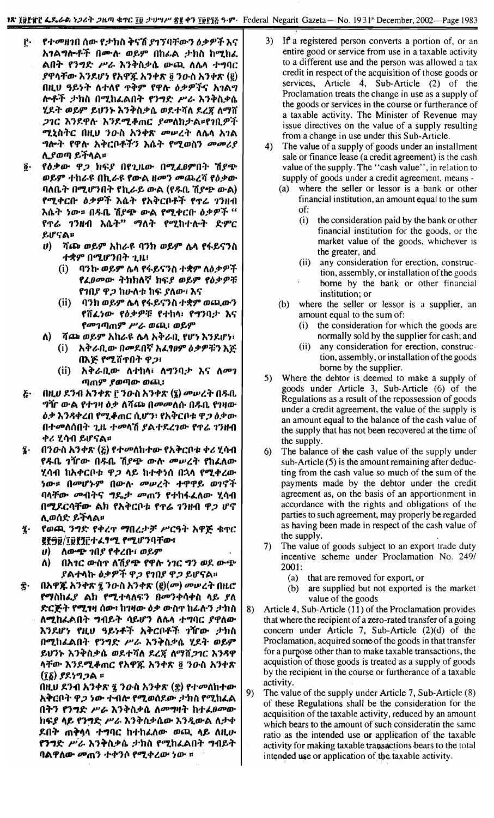- የተመዘገበ ሰው የታክስ ቅናሽ ያገኘባቸውን ዕቃዎች እና ŗ. አገልግሎቶች በሙሉ ወይም በከፊል ታክስ ከሚከፈ ልበት የንግድ ሥራ እንቅስቃሴ ውጪ ለሴሳ ተግባር ያዋላቸው እንደሆነ የአዋጁ አንቀጽ ፬ ንውስ አንቀጽ (፪) በዚሀ ዓይነት ለተለየ ጥቅም የዋሉ ዕቃዎችና አገልግ ሎቶች ታክስ በሚከፈልበት የንግድ ሥራ እንቅስቃሴ ሂደት ወይም ይህንኑ እንቅስቃሴ ወደተሻለ ደረጃ ለማሸ 216 እንደዋሉ እንደሚቆጠር ያመለክታል።የገቢዎች ሚኒስትር በዚህ ንውስ አንቀጽ መሥረት ለሴሳ አገል *ግ*ሎት የዋሉ አቅርቦቶችን እሴት የሚወስን መመሪያ ሊያወጣ ይችላል፡፡
- የዕቃው ዋጋ ክፍያ በየጊዜው በሚፈፀምበት ሽያጭ  $\mathbf{\hat{g}}$  . ወይም ተከራዩ በኪራዩ የውል ዘመን መጨረሻ የዕቃው ባለቤት በሚሆንበት የኪራይ ውል (የዱቢ ሽያጭ ውል) የሚቀርቡ ዕቃዎች እሴት የአቅርቦቶች የዋሬ ገንዘብ እሴት ነው። በዱቤ ሽያጭ ውል የሚቀርበ ዕቃዎች " የዋሬ ገንዘብ እሴት" ማለት የሚከተሉት ድምር ይሆናል።
	- *ሀ*) ሻጮ ወይም አከራዩ ባንክ ወይም ሌላ የፋይናንስ ተቋም በሚሆንበት ጊዜ፡
		- ባንኩ ወይም ሌላ የፋይናንስ ተቋም ለዕቃዎች  $(i)$ የፈፀመው ትክክለኛ ክፍያ ወይም የዕቃዎቹ የገበያ ዋ*ጋ* ከሁለቱ ከፍ ያለው፣ እና
		- $(ii)$ ባንክ ወይም ሌላ የፋይናንስ ተቋም ወጪውን የሸፌንው የዕቃዎቹ የተከላ፣ የግንባታ እና የመገጣጠም ሥራ ወጪ፣ ወይም
		- ሻጮ ወይም አከራዩ ሌላ አቅራቢ የሆነ እንደሆነ፣ አቅራቢው በ**መደበኛ አ**ሬፃፀም ዕቃዎቹን እጅ  $(i)$
		- በእጅ የሚሸጥበት ዋጋ፣  $(ii)$ አቅራቢው ለተከላ፣ ለማንባታ እና ለመገ ጣጠም ያወጣው ወጪ፣
- በዚሀ ደንብ አንቀጽ ፫ ንውስ አንቀጽ (፯) መሠረት በዱቤ  $\boldsymbol{\delta}$ *ግ*ዥ ውል የተገዛ ዕቃ ለሻጮ በ*መ*መለሱ በዱቢ የገዛው ዕቃ እንዳቀረበ የሚቆጠር ሲሆን፣ የአቅርቦቱ ዋ*ጋ* ዕቃው በተመለሰበት ጊዜ ተመላሽ ያልተደረገው የዋሬ ገንዘብ *ቀሪ* ሂሳብ ይሆናል።

A)

- በንውስ አንቀጽ  $(\xi)$  የተመለከተው የአቅርቦቱ ቀሪ ሂሳብ ī. የዱቤ *ገ*ዥው በዱቤ ሽያጭ ውሉ *መ*ሠረት የከፈለው ሂሳብ ከአቀርቦቱ ዋ*ጋ* ላይ ከተቀነሰ በኋላ የሚቀረው ነው። በመሆኑም በውሉ መሠረት ተዋዋይ ወገኖች ባላቸው መብትና ግዴታ መጠን የተከፋፈለው ሂሳብ በሚደርሳቸው ልክ የአቅርቦቱ የጥሬ ገንዘብ ዋ*ጋ* ሆኖ ሊወሰድ ይችላል።
- የወጪ ንግድ የቀረጥ ማበረታቻ ሥርዓት አዋጅ ቁጥር  $\ddot{\mathbf{z}}$ ይያ፵፱/፲፱፻፶፫ተፌፃሚ የሚሆንባቸው፣
	- <u>ለውጭ ገበያ የቀረቡ፣ ወይም</u>  $\boldsymbol{\boldsymbol{v}}$
	- በአፃር ውስጥ ለሽያጭ የዋሉ ነገር ግን ወደ ውጭ Λ) ያልተላኩ ዕቃዎች ዋ*ጋ የገበያ ዋጋ* ይሆናል፡፡
- በአዋጁ አንቅጽ ፯ ንውስ አንቀጽ (፪) $(\sigma$ ) መሠረት በዚሮ Ĵ. የማስከፈያ ልክ የሚተላለፍን በመንቀሳቀስ ላይ ያለ ድርጅት የሚፃዛ ሰው፣ ከገዛው ዕቃ ውስጥ ከፊሉን ታክስ ለሚከፌልበት ግብይት ሳይሆን ስሌላ ተግባር ያዋለው እንደሆነ የዚህ ዓይነቶች አቅርቦቶች ገኘrው ታክስ በሚከፌልበት የንግድ ሥራ እንቅስቃሴ ሂደት ወይም ይሀንኑ እንቅስቃሴ ወደተሻለ ደረጃ ለማሽጋገር እንዳዋ ላቸው እንደሚቆጠር የአዋጁ አንቀጽ ፬ ንውስ አንቀጽ (፲፩) ያደነግጋል ።

በዚህ ደንብ አንቀጽ ፯ ንውስ አንቀጽ (፰) የተመለከተው አቅርቦት ዋ*ጋ ነ*ው ተብሎ የሚወሰደው *ታ*ክስ የሚከፈል በትን የንግድ ሥራ እንቅስቃሴ ስመግዛት ከተፈፀመው ከፍያ ላይ የንግድ ሥራ እንቅስቃሴው እንዲውል ለታቀ ደበት ጠቅሳላ ተግባር ከተከፈለው ወጪ ላይ ስዚሁ የንግድ ሥራ እንቅስቃሴ ታክስ የሚከፈልበት ግብይት ባልዋለው መጠን ተቀንሶ የሚቀረው ነው ፡፡

- $3)$ If a registered person converts a portion of, or an entire good or service from use in a taxable activity to a different use and the person was allowed a tax credit in respect of the acquisition of those goods or services, Article 4, Sub-Article (2) of the Proclamation treats the change in use as a supply of the goods or services in the course or furtherance of a taxable activity. The Minister of Revenue may issue directives on the value of a supply resulting from a change in use under this Sub-Article.
- 4) The value of a supply of goods under an installment sale or finance lease (a credit agreement) is the cash value of the supply. The "cash value", in relation to supply of goods under a credit agreement, means
	- where the seller or lessor is a bank or other  $(a)$ financial institution, an amount equal to the sum of:
		- the consideration paid by the bank or other  $(i)$ financial institution for the goods, or the market value of the goods, whichever is the greater, and
		- any consideration for erection, construc- $(ii)$ tion, assembly, or installation of the goods borne by the bank or other financial institution; or
	- where the seller or lessor is a supplier, an  $(b)$ amount equal to the sum of:
		- the consideration for which the goods are  $(i)$ normally sold by the supplier for cash; and
		- $(ii)$ any consideration for erection, construction, assembly, or installation of the goods borne by the supplier.
- $5)$ Where the debtor is deemed to make a supply of goods under Article 3, Sub-Article (6) of the Regulations as a result of the repossession of goods under a credit agreement, the value of the supply is an amount equal to the balance of the cash value of the supply that has not been recovered at the time of the supply.
- 6 The balance of the cash value of the supply under sub-Article (5) is the amount remaining after deducting from the cash value so much of the sum of the payments made by the debtor under the credit agreement as, on the basis of an apportionment in accordance with the rights and obligations of the parties to such agreement, may properly be regarded as having been made in respect of the cash value of the supply.
- 7) The value of goods subject to an export trade duty incentive scheme under Proclamation No. 249/ 2001:
	- that are removed for export, or  $(a)$
	- are supplied but not exported is the market (b) value of the goods
- Article 4, Sub-Article (11) of the Proclamation provides 8) that where the recipient of a zero-rated transfer of a going concern under Article 7, Sub-Article (2)(d) of the Proclamation, acquired some of the goods in that transfer for a purpose other than to make taxable transactions, the acquistion of those goods is treated as a supply of goods by the recipient in the course or furtherance of a taxable activity.
- 9) The value of the supply under Article 7, Sub-Article (8) of these Regulations shall be the consideration for the acquisition of the taxable activity, reduced by an amount which bears to the amount of such consideratin the same ratio as the intended use or application of the taxable activity for making taxable transactions bears to the total intended use or application of the taxable activity.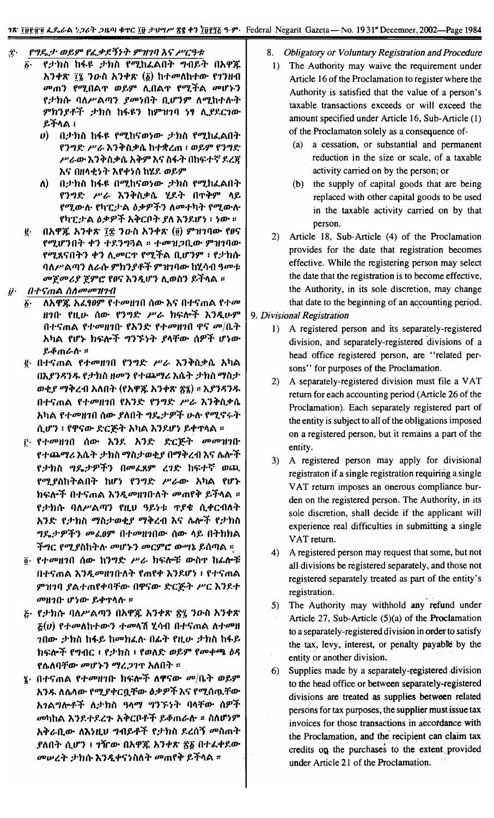- $\ddot{z}$ . f'1J!..;1- *mft9" f"~f.;f'J"" 9"1/111* J.~ *~C~1:*
	- $\tilde{\mathfrak{g}}$ · የታክስ ከፋዩ ታክስ የሚከፈልበት ግብይት በአዋጁ n,}"'1\ Ii *'}o-il* n,}"'1\ (6) h+ool\h+m- f1'}HlI *መ*ጠን የሚበል**ዋ ወይም ሊበል**ዋ የሚችል *መ*ሆኑን f <sub>2</sub> ከሱ ባለሥልጣን *ያመነ*በት ቢሆንም ለሚከተሉት *9"h'}I+':j- :1'hi}* h~~'} h9"11111 ~, *".IY.C1m- ~"fl\A* ;
		- *u*) በታክስ ከፋዩ የሚከናወነው ታክስ የሚከፈልበት f,}"',(- *P't. h'}:t>il:J>(J.h+\*lm* : *w~9"* f,}"''(- *P't.m- h'}:t>il:J>*(J. n:t>9" h Ii *il~""* 0 htt:+ ~ *1.l'R* እና በዘላቂነት እየቀነሰ ከ**ሂደ ወይ**ም
		- l\) O;J-hil h~~ OOlJ.hliw~m- *:1'hil* fOlJ.hLAO"" f,}"',(- *P't. h'}:t>il:J>(J.'1.1.""* 01':t>9" *I\~* የሚውሉ የካፒታል *ዕቃዎችን ለ*መተካት የሚውሉ fl11:;J-A *t'):J>sP':j-n:t>cn"",l\* h,}1.If~ : *~m-* ::
	- ~. OnCP~ n,}"'1\ I~ *'}o-il* n,}"'1\ (2) *9"1I111m-*fOIi fOlJ.If,}0"" .,.'} + 1.'}..,~A :: *+001l;J* n.m- *9"1I111m-*የሚጸናበትን ቀን ሊመርጥ የሚችል ቢሆንም ፣ የታክሱ *1ll\P'* A tlJ'} l\*t.ft-* 9"h'} 1+"f *9"1I111m-* h 'I.1111*~001: መጀመሪያ ጀምሮ የፀና እንዲሆን ሊወስን ይች*ላል ፡፡
- $\ddot{\boldsymbol{y}}$ . *n'I'~mA 1111000011111*
	- *(i.* l\nCP~ *nL'09"* fi-ooH10 *(}m-* hli O+limA fi'oo *H1~* ftLrr *(}m-* f,}"',(' *P't.* htt:I\o"f *h'}Jtrr9"* በተናጠል የተመዘገበ የአንድ የተመዘገበ ዋና መ $/$ ቤት nI1A flf~ htt:l\o':j- ..,'}~~..,. *I1\Tm-* (}sP"f *If~m- ~~mt.I\-* ::
	- .<br><sup>@</sup> በተናጠል የተመዘገበ የንግድ ሥራ እንቅስቃሴ አካል Ohl'}.';'} J;. f:1'h *il H*oo'} f *+Q;1.0IJ*& *h(J.""* :1'h *il OIJil:1'* ወቂ*ያ ማቅረ*ብ አለበት (የአዋጁ አንቀጽ ፳፮) ፡፡ እ*ያንዳን*ዱ በተና**ጠል የተ**መዘገበ የአንድ የንግድ ሥራ እንቅስቃሴ አካል የተመዘገበ ሰው *ያ*ለበት ግዴታዎች ሁሉ የሚኖሩት l1.1f,} : ffJ'lim- *.(-C~..,.* nl1A h,}1.If~ *~"'1'I\A* ::
	- f<sup>.</sup> የተመዘገበ ሰው እንደ አንድ ድርጅት መመዝገቡ f'''~OIJ& *h(J."" :1'hil OIJil:1'wetl OOlJ:t>ll1* hli I\.l\°"f f :1'h *il* ..,Yv:1'sP"f'} 000 L~ 9" *l1.(-* htt:+~ w tJJ. የሚያስከትልበት ከሆነ የንግድ ሥራው አካል የሆ**ኑ** htt:l\°"f O+limA *h'}JtooH1~l\""* oomf:t> *~"fl\A* ::  $f$ ታክሱ ባለሥልጣን የዚህ ዓይነቱ ጥያቄ ሲቀርብለት n '}.(- f:1'h *il OIJ*il:1'wetl *OIJ:t>ll1* h Ii 1\.I\o"f f:1' h *il ግ*ዴታዎችን መፈፀም በተመዘገበው ሰው ላይ በትክክል ችግር የሚያስከትሉ መሆኑን መርምሮ ው**ሣኔ ይሰ**ጣል ፡፡
	- $3$ · የተመዘገበ ሰው ከንግድ ሥራ ክፍሎቹ ውስጥ ከፊሎቹ n+limA *h'}JtooH1~l\""* fmf'" h,}1.If~ : fi-'imA ምዝገባ ያልተጠየቀባቸው በዋናው ድርጅት ሥር እንደተ *OOH1~ If~m- ~"'TI\I\-* ::
	- $E$ · የታክሱ ባለሥልጣን በአዋጁ አንቀጽ ፳፯ ንዑስ አንቀጽ  $E(u)$  የተመለከተውን ተመላሽ ሂሳብ በተናጠል ለተመዘ 10m- *:1'hil* h~~ hoPhLI\- 0,(,"" ftLrr *:1'hil* h~~ htt:I\o"f f..,l1C : f *:1'hil* : fwl\.(- *W~9"* foo.,.65A,t')J; **የ**ሌለባቸው *መ*ሆኑን ማረ*ጋገ*ጥ አለበት ፡፡
	- $\bar{\mathbf{z}}$ · በተናጠል የተ*መ*ዘገቡ ክፍሎች ለዋናው *መ|*ቤት ወይም *n'}J;.l\I\.I\m-* fOlJ.I"'C!J.*Tm- iJ:J>sP"f*hli fOlJ.(}i\1.Tmn 1A.., I\o+"f *l\:1'h il ~I\OIJ* ..,'}~ ~..,. II*1\Ta).* (}sP"f ool1hA *h'}1.+1.l.,.* It:t>CP+"f *.e.~mt-tr* :: *ill\If~9"* እቅራቢው ለእነዚህ **ግብይቶች የታክስ ደረሰኝ መስ**ጠት  $1$ ይለበት ሲሆን ፣ ገዥው በአዋጁ አንቀጽ ፳፩ በተፌቀደው *መሠረት ታክሱ* እንዲቀናነስለት መጠየቅ ይችላል ፡፡
- 8. *Obligatory or Voluntary Registration and Procedure*
- 1) The Authority may waive the requirement under Article 16of the Proclamation to register where the Authority is satisfied that the value of a person's taxable transactions exceeds or will exceed the amount specified under Article 16, Sub-Article (1) of the Proclamaton solely as a consequence of-
	- (a) a cessation, or substantial and pennanent reduction in the size or scale, of a taxable activity carried on by the person; or
	- (b) the supply of capital goods that are being replaced with other capital goods to be used in the taxable activity carried on by that person.
- 2) Article 18, Sub-Article (4) of the Proclamation provides for the date that registration becomes effective. While the registering person may select the date that the registration is to become effective, the Authority, in its sole discretion, may change that date to the beginning of an accounting period.
- 9. *Divisional Registration*
	- 1) A registered person and its separately-registered division, and separately-registered divisions of a head office registered person, are "related persons" for purposes of the Proclamation.
	- 2) A separately-registered division must file a VAT return for each accounting period (Article 26 of the Proclamation). Each separately registered part of the entity is subject to all of the obligations imposed on a registered person, but it remains a part of the entity.
	- 3) A registered person may apply for divisional registraton if a single registration requiring a single VAT return imposes an onerous compliance burden on the registered person. The Authority, in its sole discretion, shall decide if the applicant will experience real difficulties in submitting a single VAT return.
	- 4) A registered person may request that some, but not all divisions be registered separately, and those not registered separately treated as part of the entity's registration.
	- 5) The Authority may withhold any refund under Article 27, Sub-Article (5)(a) of the Proclamation to a separately-registered division in order to satisfy the tax, levy, interest, or penalty payable by the entity or another division.
	- 6) Supplies made by a separately-registered division to the head office or between separately-registered divisions are treated as supplies between related persons for tax purposes, the supplier must issue tax invoices for those transactions in accordance with the Proclamation, and the recipient can claim tax credits on the purchases to the extent provided under Article 21 of the Proclamation. .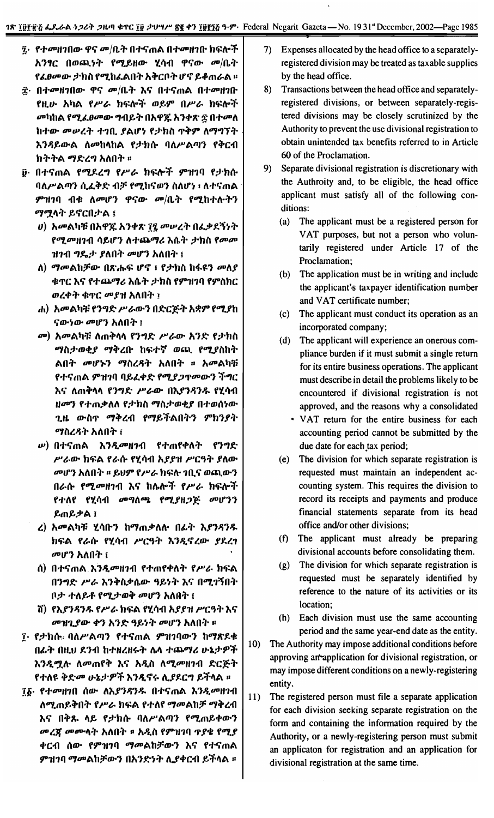- ፯· የተመዘገበው ዋና መ/ቤት በተናጠል በተመዘገቡ ክፍሎች አንፃር በወጪነት የሚይዘው ሂሳብ ዋናው መ/ቤት *የፌፀመው ታክ*ስ የሚከፌልበት አቅርቦት ሆኖ ይቆጠራል ፡፡
- ፰· በተመዘገበው ዋና መ/ቤት እና በተናጠል በተመዘገቡ የዚሁ አካል የሥራ ከፍሎች ወይም በሥራ ክፍሎች መካከል የሚፈፀመው ግብይት በአዋጁ አንቀጽ ፳ በተመለ ከተው መሠረት ተገቢ ያልሆነ የታክስ ጥቅም ለማግኘት እንዳይውል ለመከላከል የታክሱ ባለሥልጣን የቅርብ ክትትል ማድረግ አለበት ።
- <u>፱· በተናጠል የሚደረግ የሥራ ክፍሎች ምዝገባ የታክሱ</u> ባለሥልጣን ሲፈቅድ ብቻ የሚከናወን ስለሆነ ፣ ለተናጠል ምዝገባ ብቁ ለመሆን ዋናው መ/ቤት የሚከተሉትን ማሟላት ይኖርበታል ፤
	- ሀ) አመልካቹ በአዋጁ አንቀጽ ፲፯ መሠረት በፌቃደኝነት የሚመዘገብ ሳይሆን ለተጨማሪ እሴት ታክስ የመመ ዝገብ ግዴታ ያለበት መሆን አለበት ፤
	- ለ) ማመልከቻው በጽሑፍ ሆኖ ፣ የታክስ ከፋዩን መለያ ቁጥር እና የተጨማሪ እሴት ታክስ የምዝገባ የምስክር ወረቀት ቁጥር መያዝ አለበት ፤
	- ሐ) አመልካቹ የንግድ ሥራውን በድርጅት አቋም የሚያከ ናውነው መሆን አለበት ፤
	- መ) አመልካቹ ለጠቅላላ የንግድ ሥራው አንድ የታክስ ማስታወቂያ ማቅረቡ ከፍተኛ ወጪ የሚያስከት ልበት መሆኑን ማስረዳት አለበት ። አመልካቹ የተናጠል ምዝገባ ባይፈቀድ የሚያ*ጋ*ጥሙን ችግር እና ለጠቅላላ የንግድ ሥራው በእያንዳንዱ የሂሳብ ዘመን የተጠቃለለ የታክስ ማስታወቂያ በተወሰነው ጊዜ ውስጥ ማቅረብ የማይችልበትን ምክንያት ማስረዳት አለበት ፤
	- *ν***) በተና**ጠል እንዲመዘገብ የተጠየቀለት የንግድ ሥራው ክፍል የራሱ የሂሳብ አያያዝ ሥርዓት ያለው መሆን አለበት ። ይህም የሥራ ክፍሉ ገቢና ወጪውን በራሱ የሚመዘገብ እና ከሌሎች የሥራ ክፍሎች የተለየ የሂሳብ መግለጫ የሚያዘጋጅ መሆንን ይጠይቃል ፤
	- ረ) አመልካቹ ሂሳቡን ከማጠቃለሉ በፊት እያንዳንዱ ከፍል የራሱ የሂሳብ ሥርዓት እንዲኖረው ያደረገ መሆን አለበት ፤
	- ሰ) በተናጠል እንዲመዘገብ የተጠየቀለት የሥራ ክፍል በንግድ ሥራ እንቅስቃሴው ዓይነት እና በሚገኝበት ቦ*ታ ተለይቶ የሚታወቅ መሆን አ*ለበት ፤
	- ሽ) የእያንዳንዱ የሥራ ክፍል የሂሳብ አያያዝ ሥርዓት እና መዝጊያው ቀን አንድ ዓይነት መሆን አለበት ፡፡
- ፲ የታክሱ ባለሥልጣን የተናጠል ምዝገባውን ከማጽደቁ በፊት በዚህ ደንብ ከተዘረዘሩት ሴላ ተጨማሪ ሁኔታዎች እንዲሟሉ ለመጠየቅ እና አዲስ ለሚመዘገብ ድርጅት የተለዩ ቅድመ ሁኔታዎች እንዲኖሩ ሊያደርግ ይችላል ።
- ፲፩· የተመዘገበ ሰው ለእያንዳንዱ በተናጠል እንዲመዘገብ ለሚጠይቅበት የሥራ ከፍል የተለየ ማመልከቻ ማቅረብ እና በቅጹ ላይ የታክሱ ባለሥልጣን የሚጠይቀውን *መረጃ መ*ሙላት አለበት ፡፡ አዲስ የምዝገባ ጥያቄ የሚያ ቀርብ ሰው የምዝገባ ማመልከቻውን እና የተናጠል *ምዝገባ ማመ*ልከቻውን በአንድነት ሊያቀርብ ይችላል ፡፡
- 7) Expenses allocated by the head office to a separatelyregistered division may be treated as taxable supplies by the head office.
- Transactions between the head office and separately-8) registered divisions, or between separately-registered divisions may be closely scrutinized by the Authority to prevent the use divisional registration to obtain unintended tax benefits referred to in Article 60 of the Proclamation.
- $9)$ Separate divisional registration is discretionary with the Authroity and, to be eligible, the head office applicant must satisfy all of the following conditions:
	- (a) The applicant must be a registered person for VAT purposes, but not a person who voluntarily registered under Article 17 of the Proclamation;
	- (b) The application must be in writing and include the applicant's taxpayer identification number and VAT certificate number;
	- (c) The applicant must conduct its operation as an incorporated company;
	- The applicant will experience an onerous com- $(d)$ pliance burden if it must submit a single return for its entire business operations. The applicant must describe in detail the problems likely to be encountered if divisional registration is not approved, and the reasons why a consolidated
		- VAT return for the entire business for each accounting period cannot be submitted by the due date for each tax period;
	- (e) The division for which separate registration is requested must maintain an independent accounting system. This requires the division to record its receipts and payments and produce financial statements separate from its head office and/or other divisions;
	- (f) The applicant must already be preparing divisional accounts before consolidating them.
	- (g) The division for which separate registration is requested must be separately identified by reference to the nature of its activities or its location;
	- (h) Each division must use the same accounting period and the same year-end date as the entity.
- $10)$ The Authority may impose additional conditions before approving an application for divisional registration, or may impose different conditions on a newly-registering entity.
- $11)$ The registered person must file a separate application for each division seeking separate registration on the form and containing the information required by the Authority, or a newly-registering person must submit an applicaton for registration and an application for divisional registration at the same time.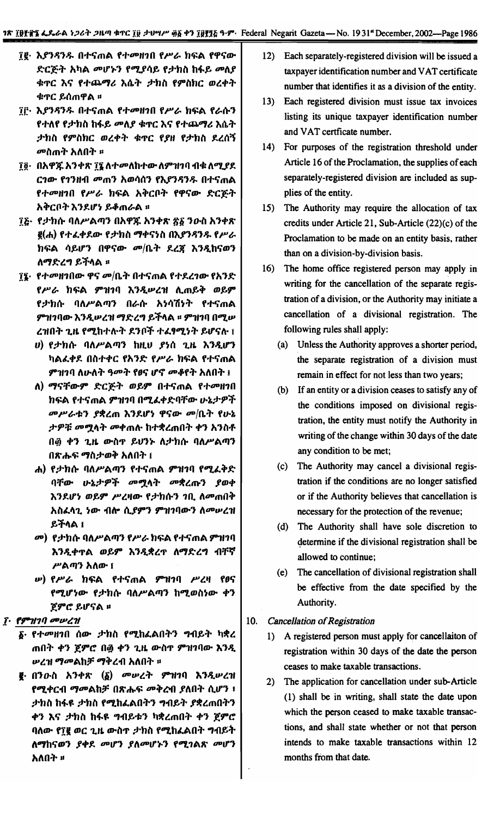- ፲፪· እ*ያንዳንዱ* በተናጠል የተመዘገበ የሥራ ክፍል የዋናው ድርጅት አካል መሆኑን የሚያሳይ የታክስ ከፋይ መለያ ቁዋር እና የተጨማሪ እሴት ታክስ የምስክር ወረቀት ቁጥር ይሰጠዋል ።
- ፲፫· እ*ያንዳንዱ* በተናጠል የተመዘገበ የሥራ ክፍል የራሱን የተለየ የታክስ ከፋይ መለያ ቁጥር እና የተጨማሪ እሴት ታክስ የምስክር ወረቀት ቁጥር የያዘ የታክስ ደረሰኝ *መ*ስጠት አለበት ፡፡
- ፲፬· በአዋጁ አንቀጽ ፲፯ ለተመለከተው ለምዝገባ ብቁ ለሚያደ ርገው የገንዘብ መጠን አወሳሰን የእያንዳንዱ በተናጠል የተመዘገበ የሥራ ክፍል አቅርቦት የዋናው ድርጅት አቅርቦት እንደሆነ ይቆጠራል ፡፡
- ፲፩· የታክሱ ባለሥልጣን በአዋጁ አንቀጽ ፳፩ ንውስ አንቀጽ e(ሐ) የተፈቀደው የታክስ ማቀናነስ በእያንዳንዱ የሥራ ክፍል ሳይሆን በዋናው *መ*/ቤት ደረጀ እንዲከናወን ለማድረግ ይችላል ፡፡
- ፕ**፤· የተመዘገበው ዋና መ/ቤት በተና**ጠል የተደረገው የአንድ የሥራ ከፍል ምዝገባ እንዲሥረዝ ሊጠይቅ ወይም የታክሱ ባለሥልጣን በራሱ አነሳሽነት የተናጠል ምዝገባው እንዲሥረዝ ማድረግ ይችላል ። ምዝገባ በሚሥ ረዝበት ጊዜ የሚከተሉት ደንቦች ተፈፃሚነት ይሆናሉ ፤
	- ሀ) የታከሱ ባለሥልጣን ከዚህ ያነሰ ጊዜ እንዲሆን ካልፈቀደ በስተቀር የአንድ የሥራ ከፍል የተናጠል ምዝገባ ለሁለት ዓመት የፀና ሆኖ መቆየት አለበት ፤
	- ለ) ማናቸውም ድርጅት ወይም በተናጠል የተመዘገበ ክፍል የተናጠል ምዝገባ በሚፈቀድባቸው ሁኔታዎች መሥራቱን ያቋረጠ እንደሆነ ዋናው መ/ቤት የሁኔ ታዎቹ መሟላት መቀጠሉ ከተቋረጠበት ቀን አንስቶ በ፴ ቀን ጊዜ ውስጥ ይህንኑ ለታክሱ ባለሥልጣን በጽሑፍ ማስታወቅ አለበት ፤
	- ሐ) የታከሱ ባለሥልጣን የተናጠል ምዝገባ የሚፈቅድ ባቸው ሁኔታዎች መሟላት መቋረጡን ያወቀ እንደሆነ ወይም ሥረዛው የታክሱን ገቢ ለመጠበቅ አስፈላጊ ነው ብሎ ሲያምን ምዝገባውን ለመሠረዝ ይችላል ፤
	- *መ*), የታክሱ ባለሥልጣን የሥራ ክፍል የተናጠል ምዝገባ እንዲቀጥል ወይም እንዲቋረጥ ለማድረግ ብቸኛ ሥልጣን አለው ፤
	- *<b>ι) የሥራ ከፍል የተናጠል ምዝገ*ባ ሥረዛ የፀና የሚሆነው የታክሱ ባለሥልጣን ከሚወስነው ቀን ጀምሮ ይሆናል **።**
- ፲. የምዝገባ መሠረዝ
	- **፩· የተመዘገበ ሰው ታከስ የሚከፈልበትን ግብይት ካቋረ** ጠበት ቀን ጀምሮ በ፴ ቀን ጊዜ ውስጥ ምዝገባው እንዲ ሥረዝ ማመልከቻ ማቅረብ አለበት ፡፡
	- **፪**· በንውስ አንቀጽ (δ) መሠረት ምዝገባ እንዲሠረዝ የሚቀርብ ማመልከቻ በጽሑፍ መቅረብ ያለበት ሲሆን ፣ ታክስ ከፋዩ ታክስ የሚከፈልበትን ግብይት ያቋረጠበትን ቀን እና ታክስ ከፋዩ ግብይቱን ካቋረጠበት ቀን ጀምሮ ባለው የ፲፪ ወር ጊዜ ውስጥ ታክስ የሚከፈልበት ግብይት ለማከናወን ያቀደ መሆን ያለመሆኑን የሚገልጽ መሆን አለበት ፡፡
- 12) Each separately-registered division will be issued a taxpayer identification number and VAT certificate number that identifies it as a division of the entity.
- 13) Each registered division must issue tax invoices listing its unique taxpayer identification number and VAT certficate number.
- 14) For purposes of the registration threshold under Article 16 of the Proclamation, the supplies of each separately-registered division are included as supplies of the entity.
- 15) The Authority may require the allocation of tax credits under Article 21, Sub-Article  $(22)(c)$  of the Proclamation to be made on an entity basis, rather than on a division-by-division basis.
- 16) The home office registered person may apply in writing for the cancellation of the separate registration of a division, or the Authority may initiate a cancellation of a divisional registration. The following rules shall apply:
	- (a) Unless the Authority approves a shorter period, the separate registration of a division must remain in effect for not less than two years;
	- (b) If an entity or a division ceases to satisfy any of the conditions imposed on divisional registration, the entity must notify the Authority in writing of the change within 30 days of the date any condition to be met;
	- (c) The Authority may cancel a divisional registration if the conditions are no longer satisfied or if the Authority believes that cancellation is necessary for the protection of the revenue;
	- (d) The Authority shall have sole discretion to determine if the divisional registration shall be allowed to continue;
	- (e) The cancellation of divisional registration shall be effective from the date specified by the Authority.
- $10.$ **Cancellation of Registration** 
	- 1) A registered person must apply for cancellaiton of registration within 30 days of the date the person ceases to make taxable transactions.
	- 2) The application for cancellation under sub-Article (1) shall be in writing, shall state the date upon which the person ceased to make taxable transactions, and shall state whether or not that person intends to make taxable transactions within 12 months from that date.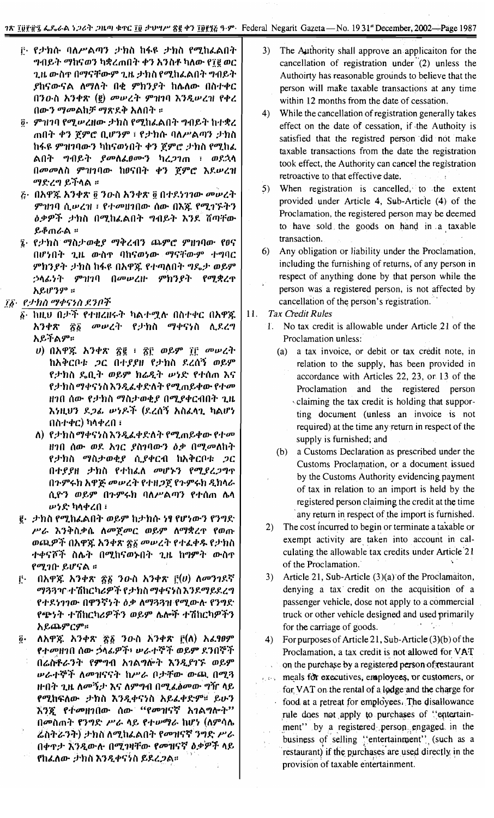- ը የታክሱ ባለሥልጣን ታክስ ከፋዩ ታክስ የሚከፌልበት ግብይት ማከናወን ካቋረጠበት ቀን አንስቶ ካለው የ፲፪ ወር ጊዜ ውስጥ በማናቸውም ጊዜ ታክስ የሚከፌልበት ግብይት ያከናውናል ለማለት በቂ ምክንያት ከሌለው በስተቀር በንዑስ አንቀጽ (፪) መሠረት ምዝገባ እንዲሠረዝ የቀረ በውን ማመልከቻ ማጽደቅ አለበት ።
- $\tilde{g}$ · ምዝገባ የሚሥረዘው ታክስ የሚከፌልበት ግብይት ከተቋረ ጠበት ቀን ጀምሮ ቢሆንም ፣ የታክሱ ባለሥልጣን ታክስ ከፋዩ ምዝገባውን ካከናወነበት ቀን ጀምሮ ታክስ የሚከፈ ልበት ግብይት *ያመ*ስፈፀሙን ካረ*ጋገ*ጠ ፣ ወደኋላ በመመለስ ምዝገባው ከፀናበት ቀን ጀምሮ እደሥረዝ ማድረግ ይችላል ።
- <u>ሯ· በአዋጁ አንቀጽ ፬ ንዑስ አንቀጽ ፬ በተደነገገው መሠረት</u> ምዝገባ ሲሥረዝ ፣ የተመዘገበው ሰው በእጇ የሚገኙትን *ዕቃዎች ታክ*ስ በሚከፈልበት ግብይት እንደ ሽጣቸው ይቆጠራል ፡፡
- ኜ· የታክስ ማስታወቂያ ማቅረብን ጨምሮ ምዘገባው የፀና በሆነበት ጊዜ ውስዋ ባከናወነው ማናቸውም ተግባር ምክንያት ታክስ ከፋዩ በአዋጁ የተጣለበት ግዴታ ወይም ኃላፊነት ምዝገባ በመሠረዙ ምክንያት የሚቋረ**ዋ** አይሆንም ።
- ፲፩・ የታክስ ማቀናነስ ደንቦች
	- ፩· ከዚህ በታች የተዘረዘሩት ካልተሟሉ በስተቀር በአዋጁ አንቀጽ ፳፩ መሠረት የታክስ ማቀናነስ ሲደረግ አይችልም።
		- $U$ ) በአዋጁ አንቀጽ ፳፪ ፡ ፳፫ ወይም ፲፫ መሠረት ከአቅርቦቱ *ጋ*ር በተያያዘ የታክስ ደረሰኝ ወይም የታክስ ዴቢት ወይም ክሬዲት ሥነድ የተሰጠ እና የታክስ ማቀናነስ እንዲፈቀድለት የሚጠይቀው የተመ ዘገበ ሰው የታክስ ማስታወቂያ በሚያቀርብበት ጊዜ እነዚህን ደ*ጋል ሠነዶች* (ደረሰኝ አስፈላጊ ካልሆነ በስተቀር) ካላቀረበ ፣
		- ለ) የታክስማቀናነስእንዲፈቀድለት የሚጠይቀው የተመ ዘገበ ሰው ወደ አገር ያስገባውን ዕቃ በሚመለከት የታክስ ማስታወቂያ ሲያቀርብ ከአቅርቦቱ *ጋ*ር በተያያዘ ታክስ የተከፈለ መሆኑን የሚያረጋግጥ በጉምሩክ አዋጅ መሠረት የተዘጋጀ የጉምሩክ ዲክሳራ ሲዮን ወይም በጉምሩክ ባለሥልጣን የተሰጠ ሴሳ ሥ**ነድ ካ**ላቀረበ ፣
	- ፪· ታክስ የሚከፈልበት ወይም ከታክሱ ነፃ የሆነውን የንግድ ሥራ እንቅስቃሴ ለመጀመር ወይም ለማቋረዋ የወጡ ወጪዎች በአዋጁ አንቀጽ ፳፩ መሠረት የተፈቀዱ የታክስ ተቀናሾች ስሌት በሚከናወኑበት ጊዜ ከማዎት ውስዋ የሚገቡ ይሆናል ።
	- በአዋጁ አንቀጽ ፳፩ ንውስ አንቀጽ ፫(ሀ) ለመንገዶኛ ŗ٠ *ማጓጓጒ* ተሽከርካሪዎች የታክስ ማቀናኑስ እንደማይደረግ የተደነገገው በዋንኛነት ዕቃ ለማጓጓዝ የሚውሉ የንግድ የጭነት ተሽከርካሪዎችን ወይም ሌሎች ተሽከርካዎችን አይጨምርም።
	- ለአዋጁ አንቀጽ ፳፩ ንውስ አንቀጽ ፫(ለ) አፈፃፀም  $\vec{p}$ . የተመዘገበ ሰው ኃላፊዎች፥ ሠራተኞች ወይም ደንበኞች በሬስቶራንት የምግብ አገልግሎት እንዲያገኙ ወይም ሥራተኞች ለመዝናናት ከሥራ ቦታቸው ውጪ በሚጓ ዙበት ጊዜ ለመኝታ እና ለምግብ በሚፈ*ስ*መው ግዥ ሳይ የሚከፍለው ታክስ እንዲቀናነስ አይፌቀድም። ይሁን እንጂ የተመዘገበው ሰው "የመዝናኛ አገልግሎት" በመስጠት የንግድ ሥራ ላይ የተሥማራ ከሆነ (ስምሳሴ ሬስትራንት) ታክስ ለሚከፌልበት የመዝናኛ ንግድ ሥራ በቀጥታ እንዲውሉ በሚገዛቸው የመዝናኛ ዕቃዎች ላይ የከፌለው ታክስ እንዲቀናነስ ይደረጋል።
- $3)$ The Authority shall approve an application for the cancellation of registration under (2) unless the Authoirty has reasonable grounds to believe that the person will make taxable transactions at any time. within 12 months from the date of cessation.
- $4)$ While the cancellation of registration generally takes effect on the date of cessation, if the Authoity is satisfied that the registred person did not make taxable transactions from the date the registration took effect, the Authority can cancel the registration retroactive to that effective date.
- 5) When registration is cancelled, to the extent provided under Article 4, Sub-Article (4) of the Proclamation, the registered person may be deemed to have sold the goods on hand in a taxable transaction.
- 6) Any obligation or liability under the Proclamation, including the furnishing of returns, of any person in respect of anything done by that person while the person was a registered person, is not affected by cancellation of the person's registration.
- **Tax Credit Rules** 11.
	- $\Gamma$ No tax credit is allowable under Article 21 of the Proclamation unless:
		- (a) a tax invoice, or debit or tax credit note, in relation to the supply, has been provided in accordance with Articles 22, 23, or 13 of the Proclamation and the registered person claiming the tax credit is holding that supporting document (unless an invoice is not required) at the time any return in respect of the supply is furnished; and
		- (b) a Customs Declaration as prescribed under the Customs Proclamation, or a document issued by the Customs Authority evidencing payment of tax in relation to an import is held by the registered person claiming the credit at the time any return in respect of the import is furnished.
	- 2) The cost incurred to begin or terminate a taxable or exempt activity are taken into account in calculating the allowable tax credits under Article 21 of the Proclamation.
	- Article 21, Sub-Article (3)(a) of the Proclamaiton,  $3)$ denying a tax credit on the acquisition of a passenger vehicle, dose not apply to a commercial truck or other vehicle designed and used primarily for the carriage of goods.
	- For purposes of Article 21, Sub-Article  $(3)(b)$  of the 4) Proclamation, a tax credit is not allowed for VAT on the purchase by a registered person of restaurant meals for executives, employees, or customers, or for VAT on the rental of a lodge and the charge for food at a retreat for employees. The disallowance rule does not apply to purchases of "entertainment" by a registered person engaged in the business of selling "entertainment" (such as a restaurant) if the purchases are used directly in the provision of taxable entertainment.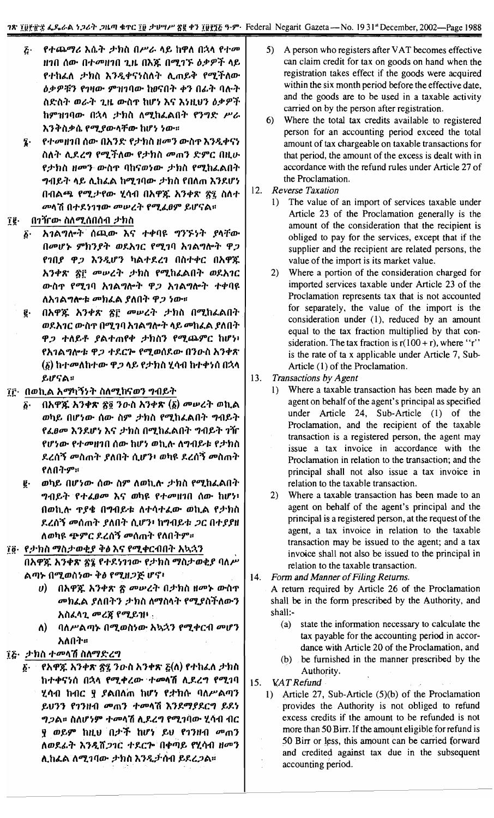- $\tilde{G}$ የተጨማሪ እሴት ታክስ በሥራ ላይ ከዋለ በኋላ የተመ ዘገበ ሰው በተመዘገበ ጊዜ በእጁ በሚገኙ ዕቃዎች ላይ የተከፈለ ታክስ እንዲቀናነስለት ሊጠይቅ የሚችለው ዕቃዎቹን የገዛው ምዝገባው ከፀናበት ቀን በፊት ባሉት ስድስት ወራት ጊዜ ውስዋ ከሆነ እና እነዚህን ዕቃዎች ከምዝገባው በኋላ ታክስ ለሚከፈልበት የንግድ ሥራ እንቅስቃሴ የሚያውላቸው ከሆነ ነው።
- የተመዘገበ ሰው በአንድ የታክስ ዘመን ውስዋ እንዲቀናነ z. ስለት ሊደረግ የሚችለው የታክስ መጠን ድምር በዚሁ የታክስ ዘመን ውስዋ ባከናወነው *ታክ*ስ የሚከፈልበት ግብይት ላይ ሊከፈል ከሚገባው ታክስ የበለጠ እንደሆነ በብልጫ የሚታየው ሂሳብ በአዋጁ አንቀጽ ፳፯ ስለተ መላሽ በተደ*ነገ<del>ገው መ</del>ሠረት የሚፈፀም ይሆና*ል።

#### îÇ. ብንዥው ስለሚሰበሰብ *ታክ*ስ

- አገልግሎት ሰጪው እና ተቀባዩ ግንኙነት ያላቸው  $\vec{b}$ . በመሆኑ ምክንያት ወደእገር የሚገባ አገልግሎት ዋጋ የገበያ ዋጋ እንዲሆን ካልተደረገ በስተቀር በአዋጁ አንቀጽ ፳፫ መሠረት ታክስ የሚከፈልበት ወደአገር ውስዋ የሚገባ አገልግሎት ዋጋ አገልግሎት ተቀባዩ ለአገልግሎቱ መክፈል ያለበት ዋ*ጋ ነ*ው።
- በአዋጁ አንቀጽ ፳፫ መሠረት ታክስ በሚከፈልበት  $\vec{e}$  . ወደአገር ውስዋ በሚገባ አገልግሎት ላይ መከፈል ያለበት ዋ*ጋ* ተለይቶ ያልተጠየቀ ታክስን የሚጨምር ከሆነ፡ የአገልግሎቱ ዋ*ጋ ተ*ደርሎ የሚወሰደው በንዑስ አንቀጽ (፩) ከተመለከተው ዋ*ጋ* ላይ የታክስ ሂሳብ ከተቀነሰ በኋላ ይሆናል።
- ፲፫· በወኪል አማካኝነት ስለሚከናወን ግብይት
	- $\left(\lambda \right)$ ች አንቀጽ ፳፬ ንዑስ አንቀጽ  $\left(\underline{\delta}\right)$  መሠረት ወኪል δ. ወካይ በሆነው ሰው ስም ታክስ የሚከፈልበት ግብይት *የፌፀመ እን*ደሆነ እና *ታ*ክስ በሚከፈልበት ግብይት *ገ*ዥ የሆነው የተመዘገበ ሰው ከሆነ ወኪሉ ለግብይቱ የታክስ ደረሰኝ መስጠት ያለበት ሲሆን፥ ወካዩ ደረሰኝ መስጠት የለበትም።
	- ወካይ በሆነው ሰው ስም ለወኪሎ ታክስ የሚከፈልበት ę. ግብይት የተፈፀመ እና ወካዩ የተመዘገበ ሰው ከሆን፡ በወኪሉ ዋያቄ በግብይቱ ለተሳተፈው ወኪል የታክስ ደረሰኝ መሰጠት ያለበት ሲሆን፥ ከግብይቱ *ጋ*ር በተያያዘ ለወካዩ ጭምር ደረሰኝ መሰጠት የለበትም።
- ፲፬· የታክስ ማስታወቂያ ቅፅ እና የሚቀርብበት አኳኋን በአዋጁ አንቀጽ ፳፮ የተደነገገው የታክስ ማስታወቂያ ባለሥ ልጣኑ በሚወስነው ቅ*ፅ የሚዘጋጅ ሆኖ*፣
	- በአዋጁ አንቀጽ ፳ መሠረት በታክስ ዘመኑ ውስዋ  $\boldsymbol{\theta}$ መክፈል ያለበትን ታክስ ለማስላት የሚያስችለውን አስፈሳጊ መረጃ የሚይዝዛ
	- ባለሥልጣኑ በሚወስነው አኳኋን የሚቀርብ መሆን ለ) -አለበት።
- ፲፭· <u>ታክስ ተመላሽ</u> ስለማድረግ
	- የአዋጁ አንቀጽ ጽ፯ ንውስ አንቀጽ ፩(ለ) የተከፈለ ታክስ  $\boldsymbol{\delta}$ ከተቀናነሰ በኋላ የሚቀረው ተመላሽ ሊደረግ የሚገባ ሂሳብ ከብር ፶ ያልበለጠ ከሆነ የታክሱ ባለሥልጣን ይሆንን የገንዘብ መጠን ተመሳሽ እንደማያደርግ ይደነ ግጋል። ስለሆነም ተመላሽ ሊደረግ የሚገባው ሂሳብ ብር ያ ወይም ከዚህ በታች ከሆነ ይህ የ1ንዘብ መጠን ለወደፊት እንዲሸጋገር ተደርሎ በቀጣይ የሂሳብ ዘመን ሊከፈል ለሚገባው ታክስ እንዲታሰብ ይደረጋል።
- A person who registers after VAT becomes effective 5) can claim credit for tax on goods on hand when the registration takes effect if the goods were acquired within the six month period before the effective date, and the goods are to be used in a taxable activity carried on by the person after registration.
- Where the total tax credits available to registered  $6)$ person for an accounting period exceed the total amount of tax chargeable on taxable transactions for that period, the amount of the excess is dealt with in accordance with the refund rules under Article 27 of the Proclamation.
- 12. **Reverse Taxation** 
	- 1) The value of an import of services taxable under Article 23 of the Proclamation generally is the amount of the consideration that the recipient is obliged to pay for the services, except that if the supplier and the recipient are related persons, the value of the import is its market value.
	- $2)$ Where a portion of the consideration charged for imported services taxable under Article 23 of the Proclamation represents tax that is not accounted for separately, the value of the import is the consideration under (1), reduced by an amount equal to the tax fraction multiplied by that consideration. The tax fraction is  $r(100 + r)$ , where "r" is the rate of ta x applicable under Article 7, Sub-Article (1) of the Proclamation.
- 13. Transactions by Agent
	- Where a taxable transaction has been made by an  $\mathbf{D}$ agent on behalf of the agent's principal as specified under Article 24, Sub-Article (1) of the Proclamation, and the recipient of the taxable transaction is a registered person, the agent may issue a tax invoice in accordance with the Proclamation in relation to the transaction; and the principal shall not also issue a tax invoice in relation to the taxable transaction.
	- $(2)$ Where a taxable transaction has been made to an agent on behalf of the agent's principal and the principal is a registered person, at the request of the agent, a tax invoice in relation to the taxable transaction may be issued to the agent; and a tax invoice shall not also be issued to the principal in relation to the taxable transaction.

#### 14. Form and Manner of Filing Returns.

A return required by Article 26 of the Proclamation shall be in the form prescribed by the Authority, and shall:-

- (a) state the information necessary to calculate the tax payable for the accounting period in accordance with Article 20 of the Proclamation, and
- (b) be furnished in the manner prescribed by the Authority.
- 15. **VAT Refund** 
	- 1) Article 27, Sub-Article (5)(b) of the Proclamation provides the Authority is not obliged to refund excess credits if the amount to be refunded is not more than 50 Birr. If the amount eligible for refund is 50 Birr or less, this amount can be carried forward and credited against tax due in the subsequent accounting period.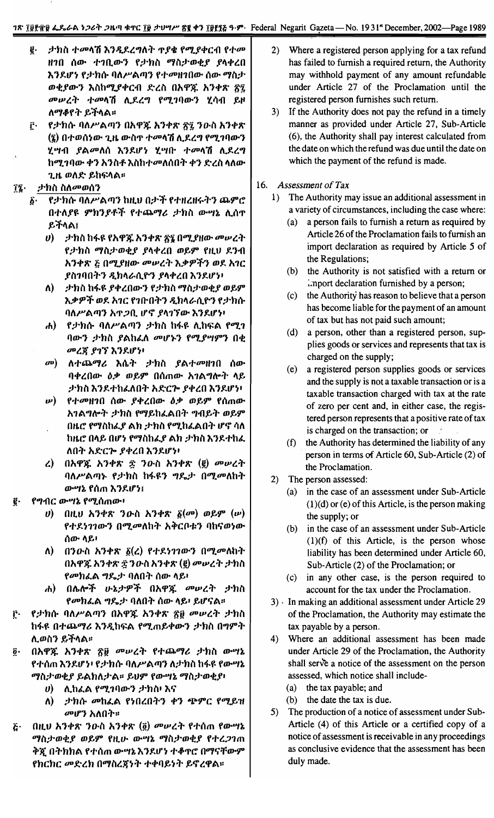#### 1~ *Iitl-tit* t..1..t.t.\ ~;MT .7""11~'I'C Iit *;ru'1P'* t!1 +1 Iiin~ ~-,... Federal Negarit G~eta- No. 193111December, 2002-Page 1989

as conclusive evidence that the assessment has been

duly made.

| ታክስ ተመላሽ እንዲደረግለት ጥያቄ የሚያቀርብ የተመ<br>ĝ.                                   | Where a registered person applying for a tax refund<br>2)  |  |  |
|--------------------------------------------------------------------------|------------------------------------------------------------|--|--|
| ዘገበ ሰው ተገቢውን የታክስ ማስታወቂያ ያላቀረበ                                           | has failed to furnish a required return, the Authority     |  |  |
| እንደሆነ የታክሱ ባለሥልጣን የተመዘገበው ሰው ማስታ                                         | may withhold payment of any amount refundable              |  |  |
| ወቂያውን እስከሚያቀርብ ድረስ በአዋጁ አንቀጽ ፳፯                                          | under Article 27 of the Proclamation until the             |  |  |
| መሠረት ተመላሽ ሊደረግ የሚገባውን ሂሳብ ይዞ                                             | registered person furnishes such return.                   |  |  |
| ለማቆየት ይችላል።                                                              | If the Authority does not pay the refund in a timely<br>3) |  |  |
| የታክሱ ባለሥልጣን በአዋጁ አንቀጽ ፳፯ ንዑስ አንቀጽ<br>ŗ٠                                  | manner as provided under Article 27, Sub-Article           |  |  |
| (፮) በተወሰነው ጊዜ ውስዋ ተመላሽ ሊደረግ የሚገባውን                                       | (6), the Authority shall pay interest calculated from      |  |  |
| ሂሣብ ያልመለሰ እንደሆነ ሂሣቡ ተመላሽ ሲደረግ                                            | the date on which the refund was due until the date on     |  |  |
| ከሚገባው ቀን አንስቶ እስከተመለሰበት ቀን ድረስ ላለው                                       | which the payment of the refund is made.                   |  |  |
| ጊዜ ወለድ ይከፍላል፡፡                                                           |                                                            |  |  |
| <i>ታከ</i> ስ ስለ <i>መወ</i> ሰን<br>$\mathbf{I}$ .                            | Assessment of Tax<br>16.                                   |  |  |
| የታክሱ ባለሥልጣን ከዚህ በታች የተዘረዘሩትን ጨምሮ<br>ĝ.                                   | The Authority may issue an additional assessment in<br>1)  |  |  |
| በተለያዩ ምክንያቶች የተጨማሪ ታክስ ውሣኔ ሊሰዋ                                           | a variety of circumstances, including the case where:      |  |  |
| ይችላል፤                                                                    | a person fails to furnish a return as required by<br>(a)   |  |  |
|                                                                          | Article 26 of the Proclamation fails to furnish an         |  |  |
| $\bm{v}$ ) ይታክስ ከፋዩ የአዋጁ አንቀጽ ፳፯ በሚያዘው መሠረት                              | import declaration as required by Article 5 of             |  |  |
| የታክስ ማስታወቂያ ያላቀረበ ወይም የዚህ ደንብ                                            | the Regulations;                                           |  |  |
| አንቀጽ ፩ በሚያዘው መሠረት እቃዎችን ወደ አገር                                           | the Authority is not satisfied with a return or<br>(b)     |  |  |
| ያስገባበትን ዲክላራሲዮን ያላቀረበ እንደሆነ፡                                             | import declaration furnished by a person;                  |  |  |
| ታክስ ከፋዩ ያቀረበውን የታክስ ማስታወቂያ ወይም<br>$\Lambda$                              | the Authority has reason to believe that a person<br>(c)   |  |  |
| እቃዎች ወደ አገር የገቡበትን ዲክላራሲዮን የታክሱ                                          | has become liable for the payment of an amount             |  |  |
| ባለሥልጣን አጥጋቢ ሆኖ ያላገኘው እንደሆነ፡                                              | of tax but has not paid such amount;                       |  |  |
| የታክሱ ባለሥልጣን ታክስ ከፋዩ ሊከፍል የሚገ<br>$\boldsymbol{d}$                         | a person, other than a registered person, sup-<br>(d)      |  |  |
| ባውን ታክስ ያልከፌለ መሆኑን የሚያሣምን በቂ                                             | plies goods or services and represents that tax is         |  |  |
| መረጃ ያገኘ እንደሆነ፡                                                           | charged on the supply;                                     |  |  |
| ለተጨማሪ እሴት ታክስ ያልተመዘገበ<br>$\omega$<br>ሰው                                  | a registered person supplies goods or services<br>(e)      |  |  |
| ባቀረበው ዕቃ ወይም በሰጠው አገልግሎት ላይ                                              | and the supply is not a taxable transaction or is a        |  |  |
| ታክስ እንደተከፈለበት አድርሎ ያቀረበ እንደሆነ፡                                           | taxable transaction charged with tax at the rate           |  |  |
| የተመዘገበ ሰው ያቀረበው ዕቃ ወይም የሰጠው<br>w) —                                      | of zero per cent and, in either case, the regis-           |  |  |
| አገልግሎት ታክስ የማይከፈልበት ግብይት ወይም                                             | tered person represents that a positive rate of tax        |  |  |
| በዜሮ የማስከፌያ ልክ ታክስ የሚከፌልበት ሆኖ ሳለ                                          | is charged on the transaction; or                          |  |  |
| ከዜሮ በላይ በሆነ የማስከፌያ ልክ ታክስ እንደተከፌ                                         | the Authority has determined the liability of any<br>(f)   |  |  |
| ለበት አድርሎ ያቀረበ እንደሆነ፡                                                     | person in terms of Article 60, Sub-Article (2) of          |  |  |
| በአዋጁ አንቀጽ ጅ ንውስ አንቀጽ (፪) መሠረት<br>$\mathcal{L}$                           | the Proclamation.                                          |  |  |
| ባለሥልጣኑ የታክስ ከፋዩን ግዴታ በሚመለከት                                              | 2)<br>The person assessed:                                 |  |  |
| ውሣኔ የሰጠ እንደሆን፤                                                           | in the case of an assessment under Sub-Article<br>(a)      |  |  |
| የግብር ውሣኔ የሚሰጠው፥<br>ĝ.                                                    | $(1)(d)$ or (e) of this Article, is the person making      |  |  |
| በዚሀ አንቀጽ ንውስ አንቀጽ $\tilde{g}(\sigma)$ ወይም $(w)$<br>$\boldsymbol{\theta}$ | the supply; or                                             |  |  |
| የተደነገገውን በሚመለከት አቅርቦቱን ባከናወነው                                            | in the case of an assessment under Sub-Article<br>(b)      |  |  |
| ሰው ላይ፥                                                                   | $(1)(f)$ of this Article, is the person whose              |  |  |
| በንውስ አንቀጽ $\tilde{g}(z)$ የተደነገገውን በሚመለከት<br>$\Lambda$ )                  | liability has been determined under Article 60,            |  |  |
| በአዋጁ አንቀጽ ፳ ንዑስ አንቀጽ (፪) መሠረት ታክስ                                        | Sub-Article (2) of the Proclamation; or                    |  |  |
| <i>የመከፌ</i> ል <i>ግ</i> ዴታ ባለበት ሰው ላይ፡                                    | in any other case, is the person required to<br>(c)        |  |  |
| ሐ) በሌሎች ሁኔታዎች በአዋጁ መሠረት ታክስ                                              | account for the tax under the Proclamation.                |  |  |
| የመክፌል ግዴታ ባለበት ሰው ላይ፡ ይሆናል።                                              | 3) In making an additional assessment under Article 29     |  |  |
| የታክሱ ባለሥልጣን በአዋጁ አንቀጽ ፳፱ መሠረት ታክስ<br>ŗ.                                  | of the Proclamation, the Authority may estimate the        |  |  |
| ከፋዩ በተጨማሪ እንዲከፍል የሚጠይቀውን ታክስ በግምት                                        | tax payable by a person.                                   |  |  |
| ሊወስን ይችላል፡፡                                                              | Where an additional assessment has been made<br>4)         |  |  |
| በአዋጁ አንቀጽ ፳፱ መሠረት የተጨማሪ ታክስ ውሣኔ<br>ĝ٠                                    | under Article 29 of the Proclamation, the Authority        |  |  |
| የተሰጠ እንደሆን፥ የታክሱ ባለሥልጣን ለታክስ ከፋዩ የውሣኔ                                    | shall serve a notice of the assessment on the person       |  |  |
| ማስታወቂያ ይልክለታል፡፡ ይህም የውሣኔ ማስታወቂያ፥                                         | assessed, which notice shall include-                      |  |  |
| ሊከፌል የሚገባውን ታክስ፡ እና<br>$\boldsymbol{\theta}$                             | the tax payable; and<br>(a)                                |  |  |
| ታክሱ መከፈል የነበረበትን ቀን ጭምር የሚይዝ<br>Λ)                                       | (b) the date the tax is due.                               |  |  |
| <i>መሆን</i> አለበት።                                                         | The production of a notice of assessment under Sub-<br>5)  |  |  |
| በዚህ አንቀጽ ንውስ አንቀጽ (፬) መሠረት የተሰጠ የውሣኔ<br>$\boldsymbol{\tilde{G}}$ .       | Article (4) of this Article or a certified copy of a       |  |  |
| ማስታወቂያ ወይም የዚሁ ውሣኔ ማስታወቂያ የተረጋገጠ                                         | notice of assessment is receivable in any proceedings      |  |  |

*"'Iil~OJotf OJf,9"* ftto- *m ,). "'Iil~OJotf* f+l.71m :J>:( O..,.hh A f *+(l* <sup>m</sup> *m ,).* ,,"}1.If ., +~'I'e' *O"'l'iTm-9"*

fhchc 00*'(-lh O"'lilljf.,..,.* ++I1f,""" f,Ij lCPA::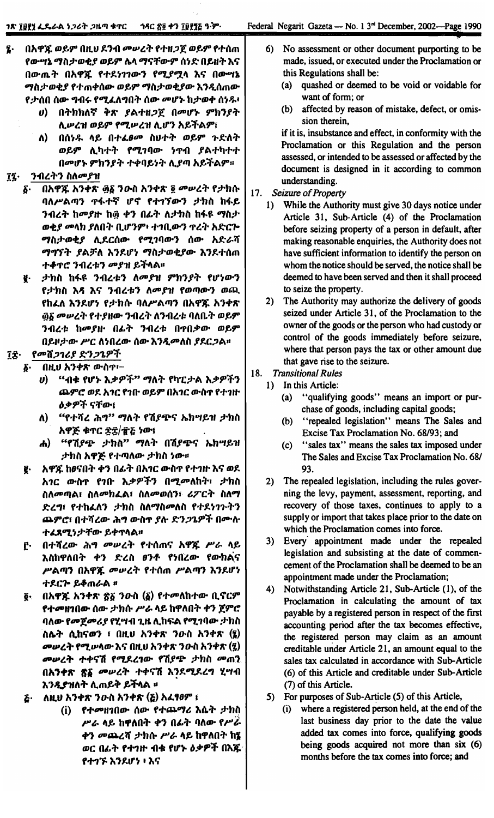- Į. በአዋጁ ወይም በዚህ ደንብ መሠረት የተዘጋጀ ወይም የተሰጠ የውሣኔ ማስታወቂያ ወይም ሌላ ማናቸውም ሰነድ በይዘት እና በውጤት በአዋጁ የተደነገገውን የሚያሟላ እና በውሣኔ ማስታወቂያ የተጠቀሰው ወይም ማስታወቂያው እንዲሰጠው የታሰበ ሰው ግብሩ የሚፈለግበት ሰው መሆኑ ከታወቀ ሰነዱ፡
	- በትክክለኛ ቅጽ ያልተዘጋጀ በመሆኑ ምክንያት  $\boldsymbol{\theta}$ ሊሥረዝ ወይም የሚሥረዝ ሊሆን አይችልም፣
	- በሰነዱ ላይ በተፈፀመ ስሀተት ወይም ጉድለት Λ) ወይም ሊካተት የሚገባው ነጥብ ያልተካተተ በመሆኑ ምክንያት ተቀባይነት ሊያጣ አይችልም።

#### ንብረትን ስለመያዝ ΊŹ·

- በአዋጁ አንቀጽ ፴፩ ንውስ አንቀጽ ፬ መሠረት የታክሱ δ. ባለሥልጣን ጥፋተኛ ሆኖ የተገኘውን ታክስ ከፋይ ንብረት ከመያዙ ከ፴ ቀን በፊት ለታክስ ከፋዩ ማስታ ወቂያ መላክ ያለበት ቢሆንም፥ ተገቢውን ጥረት አድርጕ ማስታወቂያ ሊደርሰው የሚገባውን ሰው አድራሻ ማግኘት ያልቻለ እንደሆነ ማስታወቂያው እንደተሰጠ ተቆ**ጥሮ ንብረቱን መያዝ ይ**ችላል፡፡
- ታክስ ከፋዩ ንብረቱን ለመያዝ ምክንያት የሆነውን ą. የታክስ እዳ እና ንብረቱን ለመያዝ የወጣውን ወጪ የከፈለ እንደሆነ የታክሱ ባለሥልጣን በአዋጁ አንቀጽ ፴፩ መሥረት የተያዘው ንብረት ለንብረቱ ባለቤት ወይም ንብረቱ ከመያዙ በፊት ንብረቱ በጥበቃው ወይም በይዞታው ሥር ለነበረው ሰው እንዲመለስ ያደርጋል።

#### የመሽጋገሪያ ድንጋጌዎች ገቷ

- በዚህ አንቀጽ ውስጥ፦ δ.
	- $\boldsymbol{\theta}$ "ብቁ የሆኑ እቃዎች" ማለት የካፒታል እቃዎችን ጨምሮ ወደ አገር የገቡ ወይም በአገር ውስጥ የተገዙ **ዕቃዎች ናቸው**፤
	- ለ) "የተሻረ ሕግ" ማለት የሽያጭና ኤክሣይዝ ታክስ አዋጅ ቁጥር ድ፰/፹፩ ነው፣
	- ሐ) "የሽያጭ ታክስ" ማለት በሽያጭና ኤክሣይዝ ታክስ አዋጅ የተጣለው ታክስ ነው።
- አዋጁ ከፀናበት ቀን በፊት በአາር ውስጥ የተገዙ እና ወደ g. አገር ውስጥ የገቡ እቃዎችን በሚመለከት፣ ታክስ ስለመጣል፣ ስለመከፌል፣ ስለመወሰን፣ ሪፖርት ስለማ ድረግ፣ የተከፈለን ታክስ ስለማስመለስ የተደነገጉትን ጨምሮ፣ በተሻረው ሕግ ውስጥ ያሉ ድንጋጌዎች በሙሉ ተፈጸሚነታቸው ይቀጥላል።
- በተሻረው ሕግ መሠረት የተሰጠና አዋጁ ሥራ ላይ  $\mathbf{f}$ እስከዋለበት ቀን ድረስ ፀንቶ የነበረው የውክልና ሥልጣን በአዋጁ መሠረት የተሰጠ ሥልጣን እንደሆነ ተደርጕ ይቆጠራል ፡፡
- ፬· በአዋጁ አንቀጽ ጽ፩ ንውስ (δ) የተመለከተው ቢኖርም የተመዘገበው ሰው ታክሱ ሥራ ላይ ከዋለበት ቀን ጀምሮ ባለው የመጀመሪያ የሂሣብ ጊዜ ሊከፍል የሚገባው ታክስ ስሌት ሲከናወን ፣ በዚህ አንቀጽ ንውስ አንቀጽ (፮) መሠረት የሚሠላው እና በዚህ አንቀጽ ንዑስ አንቀጽ (፯) መሠረት ተቀናሽ የሚደረገው የሽያጭ ታክስ መጠን በአንቀጽ ጽ፩ መሠረት ተቀናሽ እንደሚደረግ ሂሣብ እንዲያዝለት ሊጠይቅ ይችላል <del>፡፡</del>
- ለዚህ አንቀጽ ንውስ አንቀጽ (ሯ) አፈፃፀም ፣  $\boldsymbol{\tilde{c}}$ 
	- (i) የተመዘገበው ሰው የተጨማሪ እሴት ታክስ ሥራ ላይ ከዋለበት ቀን በፊት ባለው የሥራ ቀን መጨረሻ ታክሱ ሥራ ላይ ከዋለበት ከ፤ ወር በፊት የተገዙ ብቁ የሆኑ ዕቃዎች በእጁ የተገኙ እንደሆነ ፥ እና
- 6) No assessment or other document purporting to be made, issued, or executed under the Proclamation or this Regulations shall be:
	- quashed or deemed to be void or voidable for  $(a)$ want of form; or
	- affected by reason of mistake, defect, or omis-(b) sion therein,

if it is, insubstance and effect, in conformity with the Proclamation or this Regulation and the person assessed, or intended to be assessed or affected by the document is designed in it according to common understanding.

- $17.$ Seizure of Property
	- While the Authority must give 30 days notice under  $1)$ Article 31, Sub-Article (4) of the Proclamation before seizing property of a person in default, after making reasonable enquiries, the Authority does not have sufficient information to identify the person on whom the notice should be served, the notice shall be deemed to have been served and then it shall proceed to seize the property.
	- The Authority may authorize the delivery of goods  $2)$ seized under Article 31, of the Proclamation to the owner of the goods or the person who had custody or control of the goods immediately before seizure, where that person pays the tax or other amount due that gave rise to the seizure.
- 18. **Transitional Rules** 
	- $1)$ In this Article:
		- "qualifying goods" means an import or pur- $(a)$ chase of goods, including capital goods;
		- "repealed legislation" means The Sales and  $(b)$ Excise Tax Proclamation No. 68/93; and
		- "sales tax" means the sales tax imposed under  $(c)$ The Sales and Excise Tax Proclamation No. 68/ 93.
		- 2) The repealed legislation, including the rules governing the levy, payment, assessment, reporting, and recovery of those taxes, continues to apply to a supply or import that takes place prior to the date on which the Proclamation comes into force.
	- 3) Every appointment made under the repealed legislation and subsisting at the date of commencement of the Proclamation shall be deemed to be an appointment made under the Proclamation;
	- Notwithstanding Article 21, Sub-Article (1), of the 4) Proclamation in calculating the amount of tax payable by a registered person in respect of the first accounting period after the tax becomes effective, the registered person may claim as an amount creditable under Article 21, an amount equal to the sales tax calculated in accordance with Sub-Article (6) of this Article and creditable under Sub-Article (7) of this Article.
	- 5) For purposes of Sub-Article (5) of this Article,
		- $(i)$ where a registered person held, at the end of the last business day prior to the date the value added tax comes into force, qualifying goods being goods acquired not more than six (6) months before the tax comes into force; and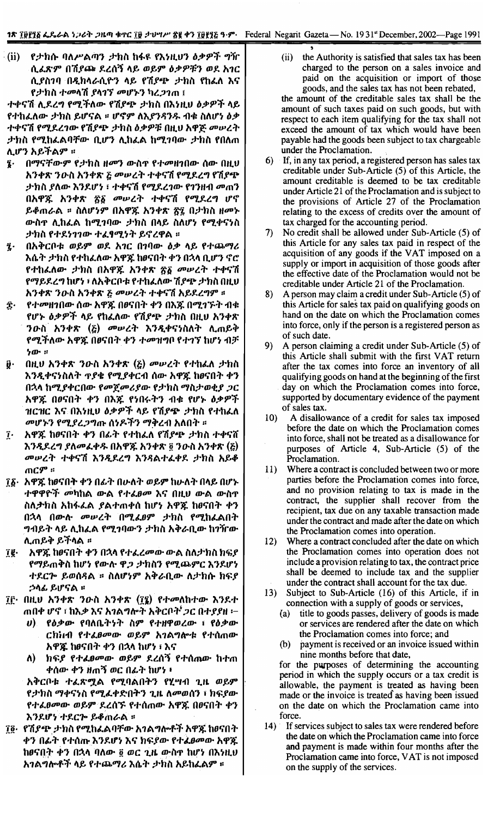$\cdot$ (ii) የታክሱ ባለሥልጣን ታክስ ከፋዩ የእነዚህን ዕቃዎች ግዥ ሲፈጽም በሽያጩ ደረሰኝ ላይ ወይም ዕቃዎቹን ወደ አገር ሲያስገባ በዲክላራሲዮን ላይ የሽያጭ ታክስ የከፈለ እና የታክስ ተመላሽ ያላገኘ መሆኑን ካረ*ጋገ*ጠ ፤

ተቀናሽ ሊደረግ የሚችለው የሽያጭ ታክስ በእነዚህ ዕቃዎች ላይ የተከፈለው ታክስ ይሆናል ፡፡ ሆኖም ለእያንዳንዱ ብቁ ስለሆነ ዕቃ ተቀናሽ የሚደረገው የሽያጭ ታክስ ዕቃዎቹ በዚህ አዋጅ መሠረት ታክስ የሚከፌልባቸው ቢሆን ሊከፌል ከሚገባው ታክስ የበለጠ ሊሆን አይችልም ።

- በማናቸውም የታክስ ዘመን ውስ**ዋ የተ**መዘገበው ሰው በዚህ 7. አንቀጽ ንዑስ አንቀጽ ፩ መሠረት ተቀናሽ የሚደረግ የሽያጭ ታክስ ያለው እንደሆነ ፣ ተቀናሽ የሚደረገው የገንዘብ መጠን በአዋጁ አንቀጽ ፳፩ መሠረት ተቀናሽ የሚደረግ ሆኖ ይቆጠራል ፡፡ ስለሆነም በአዋጁ አንቀጽ ፳፯ በታክስ ዘመኑ ውስዋ ሊከፈል ከሚገባው ታክስ በላይ ስለሆነ የሚቀናነስ ታክስ የተደነገገው ተፈፃሚነት ይኖረዋል ፡፡
- በአቅርቦቱ ወይም ወደ አገር በገባው ዕቃ ላይ የተጨማሪ  $\mathbf{\hat{i}}$ . እሴት ታክስ የተከፈለው አዋጁ ከፀናበት ቀን በኋላ ቢሆን ኖሮ የተከፈለው *ታ*ክስ በአዋጁ አንቀጽ <u>ኛ</u>る መሠረት ተቀናሽ የማይደረግ ከሆነ ፣ ለአቅርቦቱ የተከፈለው ሽያጭ ታክስ በዚህ አንቀጽ ንዑስ አንቀጽ ፩ መሠረት ተቀናሽ አይደረግም ፡፡
- î. የተመዘገበው ሰው አዋጁ በፀናበት ቀን በእጁ በሚገኙት ብቁ የሆኑ ዕቃዎች ላይ የከፈለው የሽያጭ ታክስ በዚህ አንቀጽ *ንዑ*ስ አንቀጽ (፩) መሠረት እንዲቀናነስለት ሊጠይቅ የሚችለው አዋጁ በፀናበት ቀን ተመዝግቦ የተገኘ ከሆነ ብቻ  $20 - x$
- በዚሀ አንቀጽ ንውስ አንቀጽ  $\Sigma$ ) መሠረት የተከፈለ ታክስ ŷ٠ እንዲቀናነስለት ዋያቄ የሚያቀርብ ሰው አዋጁ ከፀናበት ቀን በኋላ ከሚያቀርበው የመጀመሪያው የታክስ ማስታወቂያ ጋር አዋጁ በፀናበት ቀን በእጁ የነበሩትን ብቁ የሆኑ ዕቃዎች ዝርዝር እና በእነዚህ ዕቃዎች ላይ የሽያ<del>ጭ</del> ታክስ የተከፈለ *መሆኑን የሚያረጋግ*ጡ ሰነዶችን ማቅረብ አለበት ።
- አዋጁ ከፀናበት ቀን በፊት የተከፈለ የሽያጭ ታክስ ተቀናሸ ĵ. እንዲደረግ ያለመፈቀዱ በአዋጁ አንቀጽ ፬ ንዑስ አንቀጽ (፩) መሠረት ተቀናሽ እንዲደረግ እንዳልተፈቀደ ታክስ አይቆ ጠ**ርም** ።
- ፲፩· አዋጁ ከፀናበት ቀን በፊት በሁለት ወይም ከሁለት በላይ በሆኑ *ተ*ዋዋዮች *መ*ካከል ውል የ*ተፌፀመ* እና በዚህ ውል ውስዋ ስለ*ታ*ክስ አከፋፌል ያልተጠቀሰ ከሆነ አዋጁ ከፀናበት ቀን በኋላ በውሉ መሠረት በሚፈፀም ታክስ የሚከፈልበት *ግ*ብይት ላይ ሊከፈል የሚገባውን ታክስ አቅራቢው ከገዥው ሊጠይቅ ይችላል ፡፡
- ĵg∙ አዋጁ ከፀናበት ቀን በኋላ የተፈረመው ውል ስለታክስ ክፍያ የማይጠቅስ ከሆነ የውሉ ዋ*ጋ ታ*ክስን የሚጨምር እንደሆነ ተደርጕ ይወሰዳል ፡፡ ስለሆነም አቅራቢው ለታክሱ ክፍያ *ኃ*ላፊ ይሆናል ፡፡
- ፲፫· በዚህ አንቀጽ ንውስ አንቀጽ (፲፪) የተመለከተው እንደተ ጠበቀ ሆኖ ፣ ከእ*ቃ* እና አ*ገ*ልግሎት አቅርቦት *ጋ*ር በተ*ያያ*ዘ ፦
	- የዕቃው የባለቤትነት ስም የተዘዋወረው ፣ የዕቃው  $\bm{v}$ ). ርከነብ የተፈፀመው ወይም አገልግሎቱ የተሰጠው አዋጇ ከፆናበት ቀን በኋላ ከሆነ ፣ እና
	- ለ) ክፍ*ያ* የተ*ፈፀመ*ው ወይም ደረሰኝ የተሰሐው ከተጠ ቀሰው ቀን ዘጠኝ ወር በፊት ከሆነ ፥

አቅርቦቱ ተፈጽሟል የሚባልበትን የሂሣብ ጊዜ ወይም የታክስ ማቀናነስ የሚፈቀድበትን ጊዜ ለመወሰን ፣ ክፍያው የተፈፀመው ወይም ደረሰኙ የተሰጠው አዋጁ በፀናበት ቀን እንደሆነ ተደርሎ ይቆጠራል ፡፡

፲፬· የሽያጭ ታክስ የሚከፌልባቸው አገልግሎቶች አዋጁ ከፀናበት ቀን በፊት የተሰጡ እንደሆነ እና ክፍያው የተፈፀመው አዋጁ ከፀናበት ቀን በኋላ ባለው ፩ ወር ጊዜ ውስዋ ከሆነ በእነዚህ አገልግሎቶች ላይ የተጨማሪ እሴት ታክስ አይከፈልም ፡፡

 $(ii)$ the Authority is satisfied that sales tax has been charged to the person on a sales invoice and paid on the acquisition or import of those goods, and the sales tax has not been rebated,

the amount of the creditable sales tax shall be the amount of such taxes paid on such goods, but with respect to each item qualifying for the tax shall not exceed the amount of tax which would have been payable had the goods been subject to tax chargeable under the Proclamation.

- If, in any tax period, a registered person has sales tax creditable under Sub-Article (5) of this Article, the amount creditable is deemed to be tax creditable under Article 21 of the Proclamation and is subject to the provisions of Article 27 of the Proclamation relating to the excess of credits over the amount of tax charged for the accounting period.
- No credit shall be allowed under Sub-Article (5) of 7). this Article for any sales tax paid in respect of the acquisition of any goods if the VAT imposed on a supply or import in acquisition of those goods after the effective date of the Proclamation would not be creditable under Article 21 of the Proclamation.
- A person may claim a credit under Sub-Article (5) of 8) this Article for sales tax paid on qualifying goods on hand on the date on which the Proclamation comes into force, only if the person is a registered person as of such date.
- 9) A person claiming a credit under Sub-Article (5) of this Article shall submit with the first VAT return after the tax comes into force an inventory of all qualifying goods on hand at the beginning of the first day on which the Proclamation comes into force, supported by documentary evidence of the payment of sales tax.
- $10<sub>l</sub>$ A disallowance of a credit for sales tax imposed before the date on which the Proclamation comes into force, shall not be treated as a disallowance for purposes of Article 4, Sub-Article (5) of the Proclamation.
- Where a contract is concluded between two or more 11) parties before the Proclamation comes into force, and no provision relating to tax is made in the contract, the supplier shall recover from the recipient, tax due on any taxable transaction made under the contract and made after the date on which the Proclamation comes into operation.
- $12)$ Where a contract concluded after the date on which the Proclamation comes into operation does not include a provision relating to tax, the contract price shall be deemed to include tax and the supplier under the contract shall account for the tax due.
- 13) Subject to Sub-Article (16) of this Article, if in connection with a supply of goods or services,
	- $(a)$ title to goods passes, delivery of goods is made or services are rendered after the date on which the Proclamation comes into force; and
	- payment is received or an invoice issued within  $(b)$ nine months before that date,

for the purposes of determining the accounting period in which the supply occurs or a tax credit is allowable, the payment is treated as having been made or the invoice is treated as having been issued on the date on which the Proclamation came into force.

14) If services subject to sales tax were rendered before the date on which the Proclamation came into force and payment is made within four months after the Proclamation came into force, VAT is not imposed on the supply of the services.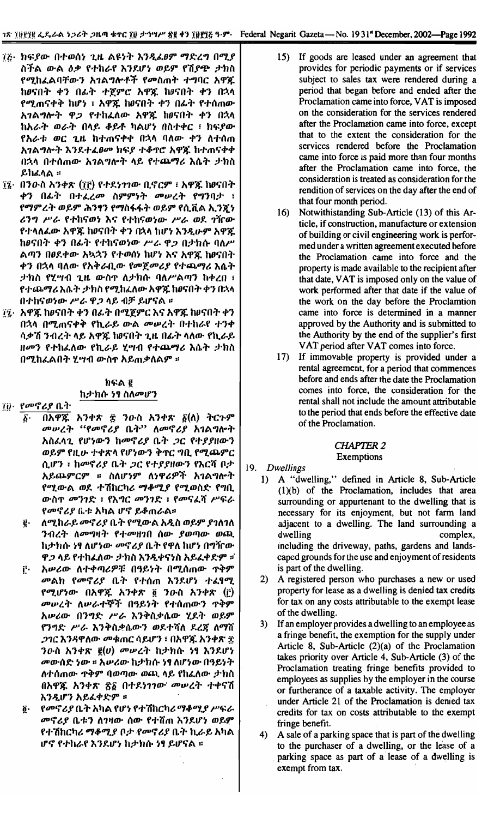- ፲፫· ከፍያው በተወሰነ ጊዜ ልዩነት እንዲፌፀም ማድረግ በሚያ ስችል ውል ዕቃ የተከራየ እንደሆነ ወይም የሽያጭ ታክስ የሚከፈልባቸውን አገልግሎቶች የመስጠት ተግባር አዋጁ ከፀናበት ቀን በፊት ተጀምሮ አዋጁ ከፀናበት ቀን በኋላ የሚጠናቀቅ ከሆነ ፣ አዋጁ ከፀናበት ቀን በፊት የተሰጠው አገልግሎት ዋጋ የተከፈለው አዋጁ ከፀናበት ቀን በኋላ ከአራት ወራት በላይ ቆይቶ ካልሆነ በስተቀር ፣ ከፍያው የአራቱ ወር ጊዜ ከተጠናቀቀ በኋላ ባለው ቀን ለተሰጠ አገልግሎት እንደተፈፀመ ክፍያ ተቆዋሮ አዋጁ ከተጠናቀቀ በኋላ በተሰጠው አገልግሎት ላይ የተጨማሪ እሴት ታክስ ይከፈላል ።
- ፲፯· በንውስ አንቀጽ (፲፫) የተደነገገው ቢኖርም ፣ አዋጁ ከፀናበት ቀን በፊት በተፈረመ ስምምነት መሠረት የግንባታ ፣ የማምረት ወይም ሕንፃን የማስፋፋት ወይም የሲቪል ኢንጀነ ሪንግ ሥራ የተከናወነ እና የተከናወነው ሥራ ወደ ገዥው የተላለፌው አዋጁ ከፀናበት ቀን በኋላ ከሆነ እንዲሁም አዋጁ ከፀናበት ቀን በፊት የተከናወነው ሥራ ዋጋ በታክሱ ባለሥ ልጣን በፀደቀው አኳኋን የተወሰነ ከሆነ እና አዋጁ ከፀናበት ቀን በኋላ ባለው የአቅራቢው የመጀመሪያ የተጨማሪ እሴት ታክስ የሂሣብ ጊዜ ውስዋ ለታክሱ ባለሥልጣን ከቀረበ ፣ የተጨማሪ እሴት ታክስ የሚከፈለው አዋጁ ከፀናበት ቀን በኋላ በተከናወነው ሥራ ዋ*ጋ* ላይ ብቻ ይሆናል ፡፡
- ፲፯· አዋጁ ከፀናበት ቀን በፊት በሚጀምር እና አዋጁ ከፀናበት ቀን በኋላ በሚጠናቀቅ የኪራይ ውል መሠረት በተከራየ ተንቀ ሳቃሽ ንብረት ላይ አዋጁ ከፀናበት ጊዜ በፊት ላለው የኪራይ ዘመን የተከፈለው የኪራይ ሂሣብ የተጨማሪ እሴት ታክስ በሚከፈልበት ሂሣብ ውስዋ አይጠቃለልም ።

## $h$ ፍል ፪ ከታክሱ ነፃ ስለመሆን

#### ፲፱· የመኖሪያ ቤት

- በአዋጁ አንቀጽ ፰ ንውስ አንቀጽ  $\delta(\lambda)$  ትርጉም б. መሠረት "የመኖሪያ ቤት" ለመኖሪያ አገልግሎት አስፈላጊ የሆነውን ከመኖሪያ ቤት ጋር የተያያዘውን ወይም የዚሁ ተቀጽላ የሆነውን ቅጥር ግቢ የሚጨምር ሲሆን ፣ ከመኖሪያ ቤት ጋር የተያያዘውን የእርሻ ቦታ አይጨምርም ፡፡ ስለሆነም ለነዋሪዎች አገልግሎት የሚውል ወደ ተሽከርካሪ ማቆሚያ የሚወስድ የግቢ ውስዋ መንገድ ፣ የእግር መንገድ ፣ የመናፈሻ ሥፍራ የመኖሪያ ቤቱ አካል ሆኖ ይቆጠራል።
- ለሚከራይ መኖሪያ ቤት የሚውል አዲስ ወይም ያገለገለ ĝ. ንብረት ለመግዛት የተመዘገበ ሰው ያወጣው ወጪ ከታክሱ ነፃ ለሆነው መኖሪያ ቤት የዋለ ከሆነ በግዥው ዋ*ጋ* ላይ የተከፈለው *ታክ*ስ እንዲቀናነስ አይፈቀድም ፡፡
- አሥሪው ለተቀጣሪዎቹ በዓይነት በሚሰጠው ዋቅም  $\mathbf{r}$ መልክ የመኖሪያ ቤት የተሰጠ እንደሆነ ተፈፃሚ የሚሆነው በአዋጁ አንቀጽ ፬ ንዑስ አንቀጽ (፫) መሠረት ለሠራተኞች በዓይነት የተሰጠውን ዋቅም አሥሪው በንግድ ሥራ እንቅስቃሴው ሂደት ወይም የንግድ ሥራ እንቅስቃሴውን ወደተሻለ ደረጃ ለማሽ *ጋገር እንዳዋለው መቁ*ጠር ሳይሆን ፣ በአዋጁ አንቀጽ ፰ ንውስ አንቀጽ  $g(v)$  መሠረት ከታክሱ ነፃ እንደሆነ መውሰድ ነው ፡፡ አሥሪው ከታክሱ ነፃ ለሆነው በዓይነት ለተሰጠው ዋቅም ባወጣው ወጪ ላይ የከፈለው ታክስ በአዋጁ አንቀጽ ፳፩ በተደነገገው መሠረት ተቀናሽ እንዲሆን አይፈቀድም ።
- *የመኖሪያ* ቤት አካል የሆነ የተሽከርካሪ ማቆሚ*ያ ሥ*ፍራ  $\tilde{\mathbf{0}}$ መኖሪያ ቤቱን ለገዛው ሰው የተሸጠ እንደሆነ ወይም የተሽከርካሪ ማቆሚያ ቦታ የመኖሪያ ቤት ኪራይ አካል ሆኖ የተከራየ እንደሆነ ከታክሱ ነፃ ይሆናል ፡፡
- 15) If goods are leased under an agreement that provides for periodic payments or if services subject to sales tax were rendered during a period that began before and ended after the Proclamation came into force, VAT is imposed on the consideration for the services rendered after the Proclamation came into force, except that to the extent the consideration for the services rendered before the Proclamation came into force is paid more than four months after the Proclamation came into force, the consideration is treated as consideration for the rendition of services on the day after the end of that four month period.
- 16) Notwithistanding Sub-Article (13) of this Article, if construction, manufacture or extension of building or civil engineering work is performed under a written agreement executed before the Proclamation came into force and the property is made available to the recipient after that date, VAT is imposed only on the value of work performed after that date if the value of the work on the day before the Proclamtion came into force is determined in a manner approved by the Authority and is submitted to the Authority by the end of the supplier's first VAT period after VAT comes into force.
- 17) If immovable property is provided under a rental agreement, for a period that commences before and ends after the date the Proclamation comes into force, the consideration for the rental shall not include the amount attributable to the period that ends before the effective date of the Proclamation.

#### **CHAPTER 2** Exemptions

## 19. Dwellings

- 1) A "dwelling," defined in Article 8, Sub-Article  $(1)(b)$  of the Proclamation, includes that area surrounding or appurtenant to the dwelling that is necessary for its enjoyment, but not farm land adjacent to a dwelling. The land surrounding a dwelling complex, including the driveway, paths, gardens and landscaped grounds for the use and enjoyment of residents is part of the dwelling.
- A registered person who purchases a new or used  $2)$ property for lease as a dwelling is denied tax credits for tax on any costs attributable to the exempt lease of the dwelling.
- $3)$ If an employer provides a dwelling to an employee as a fringe benefit, the exemption for the supply under Article 8, Sub-Article  $(2)(a)$  of the Proclamation takes priority over Article 4, Sub-Article (3) of the Proclamation treating fringe benefits provided to employees as supplies by the employer in the course or furtherance of a taxable activity. The employer under Article 21 of the Proclamation is denied tax credits for tax on costs attributable to the exempt fringe benefit.
- 4) A sale of a parking space that is part of the dwelling to the purchaser of a dwelling, or the lease of a parking space as part of a lease of a dwelling is exempt from tax.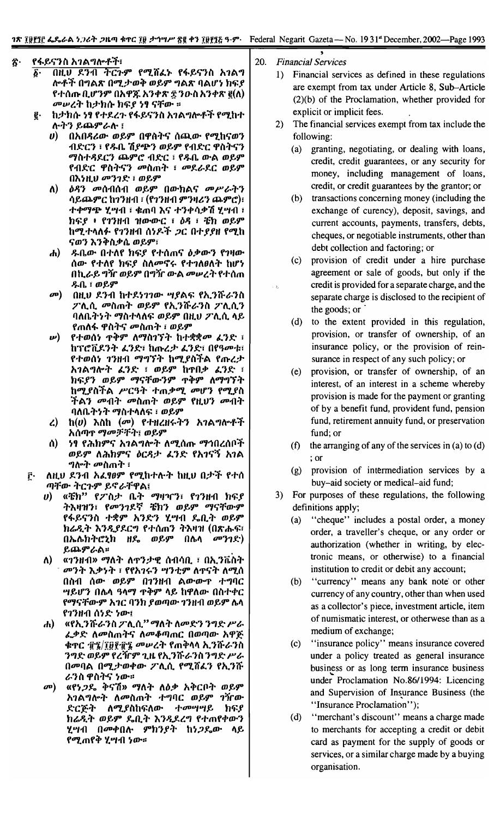- ጽ· የፋይናንስ አ*ገ*ልግሎቶች፣
	- *b'* mUJ 1.,}11 TC1-9" f"7. if4.), f~~'i,} it 1\1A.., <sup>~</sup> I\o-f'f n"'A~ *n"7.:1'm:" m~9"* "'A~ I}A(J'~ *h~f* f.,.{\lflc n.(J''}9'' n1\'P)t 1\,}+~ ~ *'}o-it* 1\,}"'~ *I(t\) መሠረት* ከታክሱ ክፍ*ያ ነ*ፃ ናቸው ፡፡
	- g hታክሱ ነፃ የተደረጉ የፋይናንስ አገልግሎቶች የሚከተ tt-:"'} *~(JJ.9"t.tt-* I
		- *V*) በአበዳሪው ወይም በዋስትና ሰጪው የሚከናወን ብድርን ፣ **የዱቤ ሽ***ያጭ***ን ወይም የብድር ዋስትና**ን *OI/it.,.~1.C'} ~9"C' l1~C* -:fJ;.o. aJ«A*m~9"* fl1~C CPit:"'i,} ooitill:" -: *oo1.t.1.C m~9"* n"HUJ *00'}1~* -: *m~9"*
		- *t\)* c)~'} *00{\11{\11 m~9"* naJ«hA'i *00P't.:"'}* 1t~(JJ.9"C *h1'}Hl1* -:(f1'}Hl1 9"')If&'} *~9"C')-:* .,..,.0I/6J.I" *'L*Pfl1 -:chml} "'I' .,.'}.,.It.+7i *'L*Pfl1 -: htt:f . f1'}Hl1 *'HaJ«aJ«C* -: C)~ -: ~h *m~9" h"7."'''t\f.* f1'}Hl1 *{\~P.'f* ;JC *n"'ffH* f"7.h 'I'm'} ,,'}:"it.+f1. *m~9"-:*
		- **ditity** and the extended that the *h*, the mean  $\mathbf{f}$  and  $\mathbf{f}$  is a  $\mathbf{f}$  and  $\mathbf{f}$  and  $\mathbf{f}$  and  $\mathbf{f}$  and  $\mathbf{f}$  and  $\mathbf{f}$  and  $\mathbf{f}$  and  $\mathbf{f}$  and  $\mathbf{f}$  and  $\mathbf{f}$  and  $\mathbf{f}$  and  $\$ ለው የተለየ ክፍ*ያ* ስለ*መ*ኖሩ የተገለፀለት ከሆነ በኪራይ*ግ*ዥ ወይም በግዥ ውል *መ*ሠረት የተሰጠ *J;.o.-:m~9"*
		- መ) በዚህ ደንብ ከተደነገገው ሣያልፍ የኢንሹራንስ *Tt\j'1. ooitm:" m~9"* f1\. '}n:t.'} it *TiLl\.'} I}t\o.:"~:" OI/it",,,t\tt: m~9"* nH.tJ *TiLl\.* ,,~ fmt\~ CPit:"'i *ooitm:"* -: *m~9"*
		- *ν) የተወሰነ ጥቅም ለማስገኘት ከተቋቋመ ፈንድ ፡* **ከፕሮቪደንት ፈንድ፣ ከጡረታ ፈንድ፣ በየዓመቱ፣** የተወሰነ *ገን*ዘብ *ማግኘት* ከሚያስችል የጡረ*ታ* 1\1A..,I\o:" *L* '}~ -: *m~9"* h'l'n.+ 4.'}~ -: h *tt:f'} m*~9" *0I/'i:faJ«'}*9" '1':"9" *t\01/"'1* :,. h"7.fit'fA P'Cq:,.. "'m.+"7. *00(J''}* f"7.fit 'f A'} *0011:"* 00 itm:" *m*~9" f *H.*tJ'} *0011:" I}t\o.:"~:" OI/it"'''t\~* -:*m~9"*
		- *l) h(V)* "ith *(00) f"'HlH~:"'}* 1\1A..,I\o-f'f 1\*(t*lI)'I' *01/00*;F:f:"I *m*~9"
		- (\) ~, <sup>f</sup> *t'h*h 9"'1' 1\1 A.., 1\0:" *t\* "7. {\lflc *01/..,*<sup>n</sup> *<sup>l</sup>* {\{1'f *ወይም ለሕክምና ዕርዳታ ፌንድ የአገናኝ አገል*<br>*ግ*ሎት መስጠት ፡
	- <u>፫· ለዚህ ዶንብ አፈፃፀም የሚከተሉት ከዚህ በታች የተሰ</u> *ጣቸው ትርጉም ይኖራቸዋል*፤
		- *V*) «ቼክ" የፖስታ ቤት ማዛዣን፣ የ1ንዘብ ክፍያ ትእዛዝን፣ የ**መንገደኛ ቼክን ወይም ማናቸው**ም fፋይናንስ *ተ*ቋም አንድን ሂ**ሣብ ይቢት ወይ**ም *ከሬዲት እንዲያ*ደርግ የተሰጠን ትእዛዝ (በጽሑፍ፣ በኤሌክትሮኒክ ዘዴ ወይም በሌላ *መንገ*ድ) ይጨምራል**።**
		- *t\)* «1 '} *<sup>H</sup>*11» *01/t\* :,. *t\* 'I''} :1' If {\11It n. -: n1\. '} it ~:,. <sup>-</sup> መንት እቃነት ፣ የየአገሩን ሣንቲም ለጥናት ለሚሰ በስብ ሰው ወይም በ**1**ንዘብ ልውውጥ ተግባር <u>ሣይሆን በሌላ ዓላማ ጥቅም ላይ ከዋለው በስተቀር</u> fማናቸውም አ*ገ*ር ባንክ ያወጣው ገንዘብ ወይም ሌላ<br>የገንዘብ ሰነድ ነው፣
		- tit) «f 1\.'}n:t. '}it *TiLl\." 01/t\:" t\*00~'} '}..,~ *P't. L*.ቃድ ለመስጠትና ለመቆጣጠር በወጣው አዋጅ **·ቁ**ዋር ፹፯/፲፱፻፹፮ *መሥረት* የጠቅላላ ኢንሹራንስ ንግድ ወይም የረዥም ጊዜ የኢንሹራንስ*ንግድ ሥራ* በመባል በሚ*ታወቀው ፖ*ሊሲ የሚሸፌን የኢንሹ *ራን*ስ ዋስትና ነው።
		- *መ*) «የነ*ጋ*ዴ ቅናሽ» ማለት ለዕቃ አቅርቦት ወይም 1\1A.., 1\0:" *t\* <sup>00</sup> itm:" .,...,I}C *m*~9" 1VaJ« ድርጅት ለሚያስከፍለው *ተመ*ሣሣይ ክፍያ h *t.Jl:" m*~9" Yon.:,. ,,'}*Jlf.,l..,* f.,. m f *"'aJ«'}* ሂሣብ በ*መ*ቀበሉ ምክን*ያት* ከነ*ጋ*ዱው ላይ የሚጠየቅ ሂሣብ *ነ*ው።

20. *Financial Services*

i:.,

,

- 1) Financial services as defined in these regulations are exempt from tax under Article 8, Sub-Article (2)(b) of the Proclamation, whether provided for explicit or implicit fees.
- 2) The financial services exempt from tax include the following:
	- (a) granting, negotiating, or dealing with loans, credit, credit guarantees, or any security for money, including management of loans, credit, or credit guarantees by the grantor; or
	- (b) transactions concerning money (including the exchange of curency), deposit, savings, and current accounts, payments, transfers, debts, cheques, or negotiable instruments, other than debt collection and factoring; or
	- (c) provision of credit under a hire purchase agreement or sale of goods, but only if the credit is provided for a separate charge, and the separate charge is disclosed to the recipient of the goods; or .
	- (d) to the extent provided in this regulation, provision, or transfer of ownership, of an insurance policy, or the provision of reinsurance in respect of any such policy; or
	- (e) provision, or transfer of ownership, of an interest, of an interest in a scheme whereby provision is made for the payment or granting of by a benefit fund, provident fund, pension fund, retirement annuity fund, or preservation fund; or
	- (f) the arranging of any of the services in (a) to (d) ; or
	- $(g)$  provision of intermediation services by a buy-aid society or medical-aid fund;
- 3) For purposes of these regulations, the following definitions apply;
	- (a) "cheque" includes a postal order, a money order, a traveller's cheque, or any order or authorization (whether in writing, by electronic means, or otherwise) to a financial institution to credit or debit any account;
	- (b) "currency" means any bank note' or other currency of any country, other than when used as a collector's piece, investment article, item of numismatic interest, or otherwese than as a medium of exchange;
	- (c) "insurance policy" means insurance covered under a policy treated as general insurance business or as long term insurance business under Proclamation No.86/1994: Licencing and Supervision of Insurance Business (the "Insurance Proclamation");
	- (d) "merchant's discount" means a charge made to merchants for accepting a credit or debit card as payment for the supply of goods or services, or a similar charge made by a buying organisation.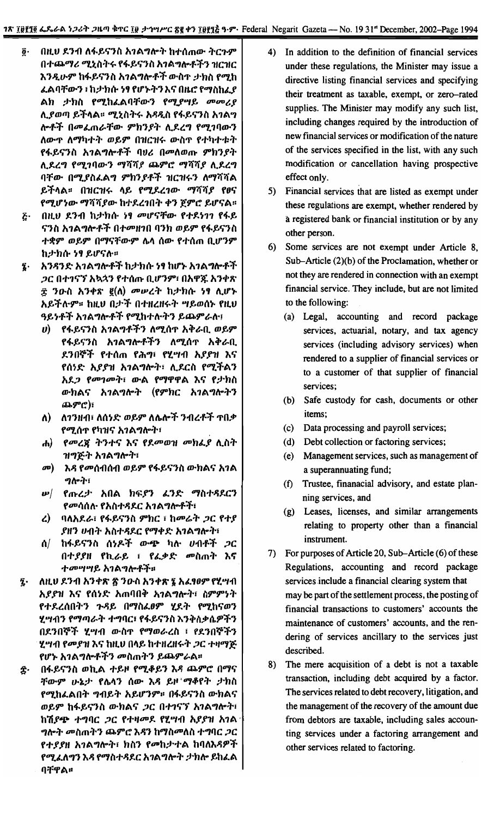- በዚህ ደንብ ለፋይናንስ አንልግሎት ከተሰጠው ትርጉም ĝ٠ በተጨማሪ ሚኒስትሩ የፋይናንስ አንልግሎቶችን ዝርዝር እንዲሁም ከፋይናንስ አገልግሎቶች ውስጥ ታክስ የሚከ ፌልባቸውን ፣ ከታክሱ ነፃ የሆኑትን እና በዜሮ የማስከፌያ ልክ ታክስ የሚከፌልባቸውን የሚያሣይ መመሪያ ሊያወጣ ይችላል፡፡ ሚኒስትሩ አዳዲስ የፋይናንስ አንልግ ሎቶች በመፌጠራቸው ምክንያት ሲደረግ የሚገባውን ለውጥ ለማካተት ወይም በዝርዝሩ ውስጥ የተካተቱት የፋይናንስ አገልግሎቶች ባህሪ በመለወጡ ምክንያት ሊደረግ የሚገባውን ማሻሻያ ጨምሮ ማሻሻያ ሊደረግ ባቸው በሚያስፌልግ ምክንያቶች ዝርዝሩን ለማሻሻል ይችላል። በዝርዝሩ ላይ የሚደረገው ማሻሻያ የፀና የሚሆነው ማሻሻያው ከተደረገበት ቀን ጀምሮ ይሆናል፡፡
- $\vec{c}$ በዚህ ደንብ ከታክሱ ነፃ መሆናቸው የተደነገገ የፋይ ናንስ አገልግሎቶች በተመዘገበ ባንክ ወይም የፋይናንስ ተቋም ወይም በማናቸውም ሴሳ ሰው የተሰጠ ቢሆንም ከታክሱ ነፃ ይሆናሉ።
- አንዳንድ አገልግሎቶች ከታክሱ ነፃ ከሆኑ አገልግሎቶች Ţ. *ጋ*ር በተገናኘ አኳኋን የተሰጡ ቢሆንም፣ በአዋጁ አንቀጽ ፰ ንዑስ አንቀጽ ፪(ለ) *መሡረ*ት ከታክሱ ነፃ ሊሆኑ አይችሉም። ከዚህ በታች በተዘረዘሩት ግይወሰኑ የዚህ ዓይነቶች አገልግሎቶች የሚከተሉትን ይጨምራሉ፤
	- *ሀ*) የፋይናንስ አ*ገ*ልግቶችን ለሚሰጥ አቅራቢ ወይም የፋይናንስ አገልግሎቶችን ለሚሰዋ አቅራቢ ደንበኞች የተሰ**ጠ የሕ**ግ፣ የሂሣብ አ*ያያ*ዝ እና የሰነድ እያያዝ አገልግሎት፣ ሲደርስ የሚችልን አደ*ጋ የመገመት*፣ ውል የማዋዋል እና የታክስ ውክልና አገልግሎት (የምክር አገልግሎትን ጨምሮ)፣
	- ለ) ለገንዘብ፣ ለሰነድ ወይም ለሌሎች ንብረቶች ተበቃ የሚሰጥ የካዝና አገልግሎት፣
	- ሐ) የመረጀ ትንተና እና የደመወዝ መክፌያ ሲስት ዝግጅት አ*ገ*ልግሎት፣
	- መ) እዳ የመሰብሰብ ወይም የፋይናንስ ውክልና አገል ግሎት፣
	- የጡረታ አበል ክፍያን ፈንድ ማስተዳደርን  $\boldsymbol{w}$ *የመ*ሳሰሉ የአስተዳደር አ*ገ*ልግሎቶች፣
	- ረ) ባለአደራ፣ የፋይናንስ ምክር ፣ ከመሬት ጋር የተያ ያዘን ሀብት አስተዳደር የማቀድ አገልግሎት፣
	- ሰ/ ከፋይናንስ ሰነዶች ው<del>ጭ</del> ካሉ ሀብቶች *ጋ*ር በተያያዘ የኪራይ ፤ የፌቃድ መስጠት እና ተመሣሣይ አገልግሎቶች።
- ለዚህ ደንብ አንቀጽ ጽ ንውስ አንቀጽ ፮ አፌፃፀም የሂሣብ Į. *አያያዝ እና የሰነድ አ*ጠባበቅ *አገ*ልግሎት፣ ስምምነት የተደረሰበትን ጉዳይ በማስፌፀም ሂደት የሚከናወን ሂሣብን የማጣራት ተግባር፣ የፋይናንስ እንቅስቃሴዎችን በደንበኞች ሂሣብ ውስጥ የማወራረስ ፣ የደንበኞችን ሂሣብ የመያዝ እና ከዚህ በላይ ከተዘረዘሩት *ጋ*ር ተዛማጅ የሆኑ አገልግሎቶችን መስጠትን ይጨምራል፡፡
- በፋይናንስ ወኪል ተይዞ የሚቆይን እዳ ጨምሮ በማና ŝ. *ቸውም ሁኔታ የ*ሌላን ሰው እዳ ይዞ ማቆየት *ታ*ክስ የሚከፌልበት ግብይት አይሆንም። በፋይናንስ ውክልና ወይም ከፋይናንስ ውክልና *ጋ*ር በተገናኘ አገልግሎት፣ ከሽያጭ ተግባር *ጋ*ር የተዛመደ የሂሣብ አያያዝ አገል *ግ*ሎት መስጠትን ጨምሮ እዳን ከማስመለስ ተግባር *ጋ*ር የተ*ያያ*ዘ አገልግሎት፣ ክስን የመከታተል ከባለእዳዎች የሚፈለግን እዳ የማስተዳደር አገልግሎት ታክሎ ይከፈል ባቸዋል።
- 4) In addition to the definition of financial services under these regulations, the Minister may issue a directive listing financial services and specifying their treatment as taxable, exempt, or zero-rated supplies. The Minister may modify any such list, including changes required by the introduction of new financial services or modification of the nature of the services specified in the list, with any such modification or cancellation having prospective effect only.
- 5) Financial services that are listed as exempt under these regulations are exempt, whether rendered by a registered bank or financial institution or by any other person.
- 6) Some services are not exempt under Article 8, Sub-Article (2)(b) of the Proclamation, whether or not they are rendered in connection with an exempt financial service. They include, but are not limited to the following:
	- (a) Legal, accounting and record package services, actuarial, notary, and tax agency services (including advisory services) when rendered to a supplier of financial services or to a customer of that supplier of financial services;
	- (b) Safe custody for cash, documents or other items;
	- $(c)$ Data processing and payroll services;
	- (d) Debt collection or factoring services;
	- (e) Management services, such as management of a superannuating fund;
	- (f) Trustee, finanacial advisory, and estate planning services, and
	- (g) Leases, licenses, and similar arrangements relating to property other than a financial instrument.
- 7) For purposes of Article 20, Sub-Article (6) of these Regulations, accounting and record package services include a financial clearing system that may be part of the settlement process, the posting of financial transactions to customers' accounts the maintenance of customers' accounts, and the rendering of services ancillary to the services just described.
- The mere acquisition of a debt is not a taxable 8) transaction, including debt acquired by a factor. The services related to debt recovery, litigation, and the management of the recovery of the amount due from debtors are taxable, including sales accounting services under a factoring arrangement and other services related to factoring.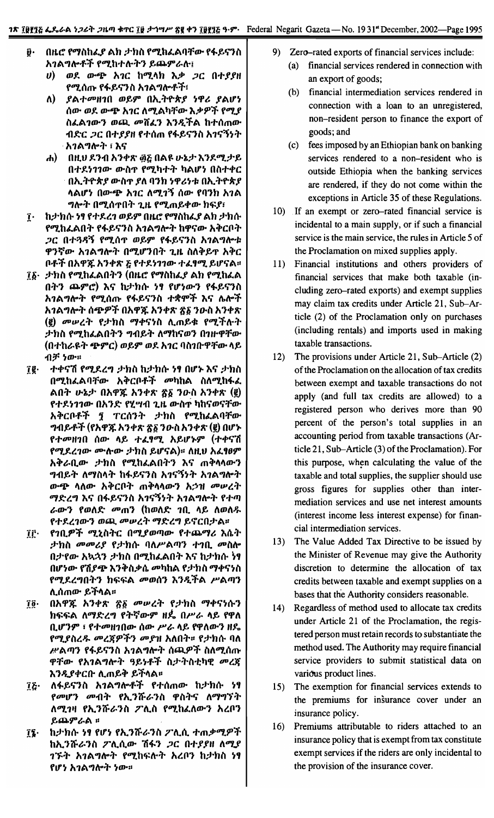- $\ddot{\boldsymbol{\theta}}$ . በዜሮ የማስከፌያ ልክ ታክስ የሚከፌልባቸው የፋይናንስ አገልግሎቶች የሚከተሉትን ይጨምራሉ፤
	- ወደ ውጭ አገር ከሚላክ እቃ ጋር በተያያዘ  $\boldsymbol{\theta}$ የሚሰጡ የፋይናንስ አገልግሎቶች፣
	- $\Lambda$ ያልተመዘገበ ወይም በኢትዮጵያ ነዋሪ ያልሆነ ሰው ወደ ውጭ አገር ለሚልካቸው እቃዎች የሚያ ስፌል*ገውን ወጪ መ*ሸፈን እንዲችል ከተሰጠው ብድር *ጋ*ር በተያያዘ የተሰጠ የፋይናንስ አ*ገ*ናኝነት <sub>'</sub> አገልግሎት ፣ እና
	- በዚህ ደንብ አንቀጽ ፴፩ በልዩ ሁኔታ እንደሚታይ  $\mathbf{d}$ በተደነገገው ውስዋ የሚካተት ካልሆነ በስተቀር በኢትዮጵያ ውስተ ያለ ባንክ ነዋሪነቱ በኢትዮጵያ <u>ላልሆነ በውጭ አ*ገ*ር ለሚገኝ ሰው የባንክ አገል</u> *ግ*ሎት በሚሰዋበት ጊዜ የሚጠይቀው ክፍያ፣
- ከታክሱ ነፃ የተደረገ ወይም በዚሮ የማስከፌያ ልክ ታክሱ  $\mathbf{r}$ የሚከፈልበት የፋይናንስ አንልግሎት ከዋናው አቅርቦት *ጋ*ር በተጓዳኝ የሚሰ**ዋ ወይም የፋይናንስ አ**ገልግሎቱ ዋንኛው አገልግሎት በሚሆንበት ጊዜ ስለቅይዋ አቅር ቦቶች በአዋጁ አንቀጽ ፩ የተደነገገው ተፈፃሚ ይሆናል።
- ፲፩· ታክስ የሚከፌልበትን (በዜሮ የማስከፌያ ልክ የሚከፌል በትን ጨምሮ) እና ከታክሱ ነፃ የሆነውን የፋይናንስ አገልግሎት የሚሰጡ የፋይናንስ ተቋሞች እና ሴሎች አገልግሎት ሰጭዎች በአዋጁ አንቀጽ ፳፩ ንውስ አንቀጽ (፪) መሠረት የታክስ ማቀናነስ ሲጠይቁ የሚችሉት ታክስ የሚከፌልበትን ግብይት ለማከናወን በገዙዋቸው (በተከራዩት ጭምር) ወይም ወደ አገር ባስገቡዋቸው ላይ ብቻ ነው።
- ተቀናሽ የሚደረግ ታክስ ከታክሱ ነፃ በሆኑ እና ታክስ ĵĝ∙ በሚከፌልባቸው አቅርቦቶች መካከል ስለሚከፋፌ ልበት ሁኔታ በአዋጁ አንቀጽ ጽ፩ ንዑስ አንቀጽ (፪) የተደነገገው በአንድ የሂሣብ ጊዜ ውስዋ ካከናወናቸው አቅርቦቶች ያ ፐርሰንት ታክስ የሚከፈልባቸው *ግ*ብይቶች (የአዋጁ አንቀጽ ፳፩ ንውስ አንቀጽ (፪) በሆኑ የተመዘገበ ሰው ላይ ተፈፃሚ አይሆኑም (ተቀናሽ የሚደረገው ሙስው ታክስ ይሆናል)። ለዚህ አፈፃፀም አቅራቢው ታክስ የሚከፈልበትን እና ጠቅላላውን *ግ*ብይት ለማስላት ከፋይናንስ አ*ገ*ናኝነት አ*ገ*ልግሎት ውጭ ላለው አቅርቦት ጠቅላላውን አኃዝ መሠረት ማድረግ እና በፋይናንስ አገናኝነት አገልግሎት የተጣ ራውን የወለድ መጠን (ከወለድ ንቢ ላይ ለወለዱ የተደረገውን ወጪ መሠረት ማድረግ ይኖርበታል።
- የኀቢዎች ሚኒስትር በሚያወጣው የተጨማሪ እሴት ÎΓ. ታክስ መመሪያ የታክሱ ባለሥልጣን ተገቢ መስሎ በታየው አኳኋን ታክስ በሚከፈልበት እና ከታክሱ ነፃ በሆነው የሽያጭ እንቅስቃሴ መካከል የታክስ ማቀናነስ የሚደረግበትን ከፍፍል መወሰን እንዲችል ሥልጣን ሊሰጠው ይችላል።
- በአዋጁ አንቀጽ ፳፩ መሠረት የታክስ ማቀናነሱን Ţĝ∙ ክፍፍል ለማድረግ የትኛውም ዘዴ በሥራ ላይ የዋለ ቢሆንም ፣ የተመዘገበው ሰው ሥራ ላይ የዋለውን ዘዴ የሚያስረዱ መረጃዎችን መያዝ አለበት። የታክሱ ባለ ሥልጣን የፋይናንስ አገልግሎት ሰጪዎች ስለሚሰጡ ዋቸው የአ**ገል**ግሎት ዓይነቶች ስታትስቲካዊ *መረ*ጀ እንዲያቀርቡ ሊጠይቅ ይችላል።
- ለፋይናንስ አገልግሎቶች የተሰጠው ከታክሱ ነፃ īξ∙ *የመሆን መብት የኢንሹራን*ስ ዋስትና ለማግኘት ለሚገዛ የኢንሹራንስ ፖሊስ የሚከፈለውን አረቦን ይጨምራል ፡፡
- ከታክሱ ነፃ የሆነ የኢንሹራንስ ፖሊሲ ተጠቃሚዎች  $\mathbf{r}$ ከኢንሹራንስ ፖሊሲው ሽፋን *ጋ*ር በተያያዘ ለሚያ *ገኙት አገልግ*ሎት የሚከፍሎት አረቦን ከታክስ ነፃ የሆነ አገልግሎት ነው።
- 9) Zero-rated exports of financial services include: financial services rendered in connection with  $(a)$ 
	- an export of goods;
	- (b) financial intermediation services rendered in connection with a loan to an unregistered, non-resident person to finance the export of goods; and
	- $(c)$ fees imposed by an Ethiopian bank on banking services rendered to a non-resident who is outside Ethiopia when the banking services are rendered, if they do not come within the exceptions in Article 35 of these Regulations.
- 10) If an exempt or zero-rated financial service is incidental to a main supply, or if such a financial service is the main service, the rules in Article 5 of the Proclamation on mixed supplies apply.
- 11) Financial institutions and others providers of financial services that make both taxable (including zero-rated exports) and exempt supplies may claim tax credits under Article 21, Sub-Article (2) of the Proclamation only on purchases (including rentals) and imports used in making taxable transactions.
- $12)$ The provisions under Article 21, Sub-Article (2) of the Proclamation on the allocation of tax credits between exempt and taxable transactions do not apply (and full tax credits are allowed) to a registered person who derives more than 90 percent of the person's total supplies in an accounting period from taxable transactions (Article 21, Sub-Article (3) of the Proclamation). For this purpose, when calculating the value of the taxable and total supplies, the supplier should use gross figures for supplies other than intermediation services and use net interest amounts (interest income less interest expense) for financial intermediation services.
- 13) The Value Added Tax Directive to be issued by the Minister of Revenue may give the Authority discretion to determine the allocation of tax credits between taxable and exempt supplies on a bases that the Authority considers reasonable.
- 14) Regardless of method used to allocate tax credits under Article 21 of the Proclamation, the registered person must retain records to substantiate the method used. The Authority may require financial service providers to submit statistical data on various product lines.
- $15)$ The exemption for financial services extends to the premiums for insurance cover under an insurance policy.
- Premiums attributable to riders attached to an 16) insurance policy that is exempt from tax constitute exempt services if the riders are only incidental to the provision of the insurance cover.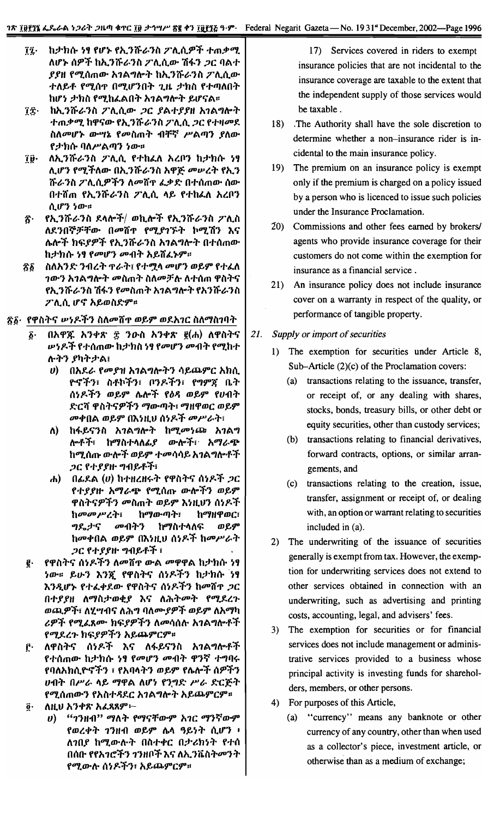- ከታክሱ ነፃ የሆኑ የኢንሹራንስ ፖሊሲዎች ተጠቃሚ Îį∙ ለሆኑ ሰዎች ከኢንሹራንስ ፖሊሲው ሽፋን ጋር ባልተ ያያዘ የሚሰጠው አገልግሎት ከኢንሹራንስ ፖሊሲው ተለይቶ የሚሰጥ በሚሆንበት ጊዜ ታክስ የተጣለበት ከሆነ ታክስ የሚከፌልበት አገልግሎት ይሆናል።
- ከኢንሹራንስ ፖሊሲው ጋር ያልተያያዘ አገልግሎት ÎÎ∙ *ተጠቃሚ* ከዋናው የኢንሹራንስ ፖሊሲ *ጋ*ር የተዛመደ ስለመሆኑ ውሣኔ የመስጠት ብቸኛ ሥልጣን ያለው የታክሱ ባለሥልጣን ነው።
- ለኢንሹራንስ ፖሊሲ የተከፈለ አረቦን ከታክሱ ነፃ ÎÛ∙ ሊሆን የሚችለው በኢንሹራንስ አዋጅ መሠረት የኢን ሹራንስ ፖሊሲዎችን ለመሸዋ ፌቃድ በተሰጠው ሰው በተሸጠ የኢንሹራንስ ፖሊሲ ላይ የተከፈለ አረቦን ሲሆን ነው።
- *የኢንሹራን*ስ ደላሎች/ ወኪሎች የኢንሹራንስ **ፖሊ**ስ ጽ. ለደንበኞቻቸው በመሸዋ የሚያገኙት ኮሚሽን እና ሌሎች ክፍያዎች የኢንሹራንስ አገልግሎት በተሰጠው ከታክሱ <del>ነፃ የ</del>መሆን መብት አይሸፈኑም።
- ስለአንድ ንብረት ዋራት፤ የተሟላ መሆን ወይም የተፈለ Ŝδ *ገውን አገልግ*ሎት *መ*ስጠት ስለመቻሉ ለተሰጠ ዋስትና የኢንሹራንስ ሽፋን የመስጠት አገልግሎት የአንሹራንስ ፖሊሲ ሆኖ አይወስድም።
- <u>፳፩· የዋስትና ሥነዶችን ስለመሸዋ ወይም ወደአገር ስለማስገባት</u>
	- በአዋጁ አንቀጽ ፰ ንውስ አንቀጽ ፪(ሐ) ለዋስትና δ. *ሡነዶች* የተሰጠው ከታክስ*ነ¶ የመ*ሆን መብት የሚከተ ሉትን ያካትታል፤
		- በአደራ የመያዝ አገልግሎትን ሳይጨምር አክሲ  $\bm{v}$ ዮኖችን፣ ስቶኮችን፣ ቦንዶችን፣ የግምጃ ቤት ሰነዶችን ወይም ሌሎች የዕዳ ወይም የሀብት ድርሻ ዋስትናዎችን ማውጣት፣ ማዘዋወር ወይም መቀበል ወይም በእነዚህ ሰነዶች መሥራት፣
		- ለ) ከፋይናንስ *አገ*ልግሎት ከሚ*መነ*ጮ *አገ*ልግ ሎቶች፣ ከማስተላለፊያ ውሎች፣ አማራጭ ከሚሰጡ ውሎች ወይም ተመሳሳይ አገልግሎቶች ጋር የተያያዙ ግብይቶች፣
		- ሐ) በፊደል  $(v)$  ከተዘረዘሩት የዋስትና ሰነዶች *ጋ*ር የተያያዙ አማራጭ የሚሰጡ ውሎችን ወይም ዋስትናዎችን መስጠት ወይም እነዚህን ሰነዶች ከመመሥረት፣ ከማውጣት፣ ከማዘዋወር፣ መብትን ግዴታና ከማስተላለፍ ወይም ከመቀበል ወይም በእነዚህ ሰነዶች ከመሥራት *ጋር የተያያ*ዙ ግብይቶች ፣
	- g. የዋስትና ሰነዶችን ለመሸዋ ውል መዋዋል ከታክሱ ነ<del>ፃ</del> <u>ነው። ይሁን እንኟ</u> የዋስትና ሰነዶችን ከታክሱ ነ<del>ፃ</del> እንዲሆኑ የተፈቀደው የዋስትና ሰነዶችን ከመሽጥ *ጋ*ር በተያያዘ ለማስታወቂያ እና ለሕትመት የሚደረጉ ወጪዎች፣ ለሂሣብና ለሕግ ባለሙያዎች ወይም ለአማካ *ሪዎች የሚፌ*ጸሙ ክፍ*ያዎችን ለመ*ሳሰሉ አ*ገ*ልግሎቶች የሚደረጉ ከፍያዎችን አይጨምርም።
	- ŕ٠ ለዋስትና ሰነዶች እና ለፋይናንስ አገልግሎቶች የተሰጠው ከታክሱ <del>ነፃ የ</del>መሆን መብት ዋንኛ ተግባሩ የባለአክሲዮኖችን ፣ የአባላትን ወይም የሌሎች ሰዎችን ሀብት በሥራ ላይ ማዋል ለሆነ የንግድ ሥራ ድርጅት የሚሰጠውን የአስተዳደር አገልግሎት አይጨምርም።
	- ለዚህ አንቀጽ አፈጻጸም፦ ĝ.
		- "ኅንዘብ" ማለት የማናቸውም አገር ማንኛውም U) የወረቀት ገንዘብ ወይም ሌላ ዓይነት ሲሆን ፥ ለንበያ ከሚውሉት በስተቀር በታሪክነት የተሰ በሰቡ የየአ*ገሮችን ገን*ዘቦች እና ለኢ*ን*ቬስት*መንት* የሚውሉ ሰነዶችን፣ አይጨምርም።

17) Services covered in riders to exempt insurance policies that are not incidental to the insurance coverage are taxable to the extent that the independent supply of those services would be taxable.

- 18) The Authority shall have the sole discretion to determine whether a non-insurance rider is incidental to the main insurance policy.
- $19)$ The premium on an insurance policy is exempt only if the premium is charged on a policy issued by a person who is licenced to issue such policies under the Insurance Proclamation.
- 20) Commissions and other fees earned by brokers/ agents who provide insurance coverage for their customers do not come within the exemption for insurance as a financial service.
- 21) An insurance policy does not include insurance cover on a warranty in respect of the quality, or performance of tangible property.
- 21. Supply or import of securities
	- 1) The exemption for securities under Article 8, Sub-Article (2)(c) of the Proclamation covers:
		- (a) transactions relating to the issuance, transfer, or receipt of, or any dealing with shares, stocks, bonds, treasury bills, or other debt or equity securities, other than custody services;
		- (b) transactions relating to financial derivatives, forward contracts, options, or similar arrangements, and
		- (c) transactions relating to the creation, issue, transfer, assignment or receipt of, or dealing with, an option or warrant relating to securities included in (a).
	- 2) The underwriting of the issuance of securities generally is exempt from tax. However, the exemption for underwriting services does not extend to other services obtained in connection with an underwriting, such as advertising and printing costs, accounting, legal, and advisers' fees.
	- The exemption for securities or for financial  $3)$ services does not include management or administrative services provided to a business whose principal activity is investing funds for shareholders, members, or other persons.
	- 4) For purposes of this Article,
		- (a) "currency" means any banknote or other currency of any country, other than when used as a collector's piece, investment article, or otherwise than as a medium of exchange;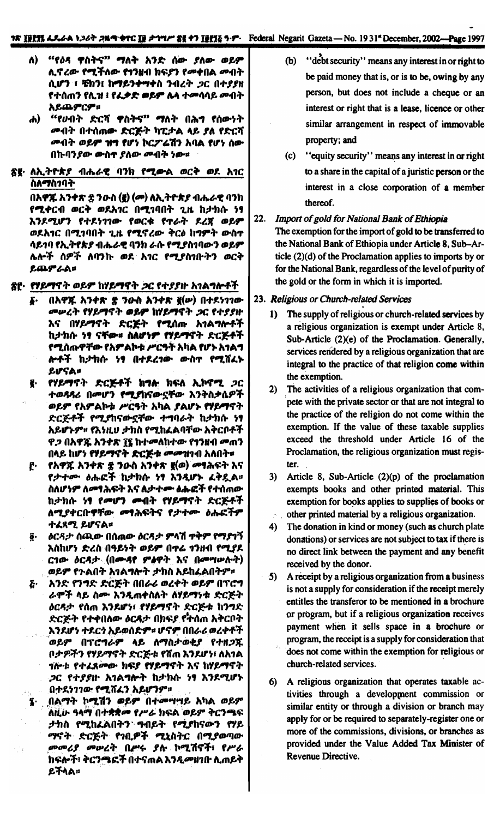- ለ) "የዕዳ ዋስትና" ማለት አንድ ሰው ያለው ወይም ሊኖረው የሚችለው የኀንዘብ ክፍያን የመቀበል መብት ሲሆን ፣ ቼክን፤ ከማይንቀማቀስ ንብረት ጋር በተያያዘ የተሰጠን የሲዝ ፧ የፌቃድ ወይም ሌላ ተመሳሳይ መብት አይጨምርም።
- ሐ) "የሀብት ድርሻ ዋስትና" ማለት በሕግ የሰውነት *መብት በተሰጠው ድርጅት ካፒታል ላይ ያለ የድርሻ ሙ*ብት ወይ**ም ዝግ የ**ሆነ ኮርፖሬሽን አባል የሆነ ሰው በኩባንያው ውስኖ ያለው መብት ነው።
- <u>ጽ</u>፪· ለኢትዮጵያ ብሔራዊ ባንክ የሚውል ወርቅ ወደ አ*ገ*ር ስለማስንባት

በአዋጁ አንቀጽ ቌ ንዑስ (፪) (መ) ለኢትዮጵያ ብሔራዊ ባንክ የሚቀርብ ወርቅ ወደአገር በሚገባበት ጊዜ ከታክሱ ነፃ እንደሚሆን የተደነገገው የወርቁ የጥራት ደረጀ ወይም ወደአገር በሚገባበት ጊዜ የሚኖረው ቅርፅ ከግምት ውስጥ ሳይ1ባ የኢትየጵያ ብሔራዊ ባንክ ራሱ የሚያስ1ባውን ወይም ሌሎች ሰዎች ለባንኩ ወደ አገር የሚያስገቡትን ወርቅ ይጨምራል።

- <u>ጽ</u>ዮ· *የሃይማ*ናት ወይም ከሃይማኖት *ጋ*ር የተ*ያያ*ዙ አገል<del>ግ</del>ሎቶች
	- በአዋጁ አንቀጽ ቌ ንዑስ አንቀጽ ፪(ሥ) በተደነገገው **S.** መሠረት የሃይማኖት ወይም ከሃይማኖት ጋር የተያያዙ እና በሃይማኖት ድርጅት የሚሰጡ አገልግሎቶች ከታክሱ ነፃ ናቸው። ስለሆነም የሃይማኖት ድርጅቶች የሚሰጡዋቸው የአምልኮቱ ሥርዓት አካል የሆኑ አ1ልግ ሎቶች ከታክሱ ነፃ በተደረገው ውስዋ የሚሸፈኑ LUSA=
	- የሃይማኖት ድርጅቶች ከግ<del>ሉ</del> ክፍል ኢኮኖሚ *ጋ*ር ₹. ተወዳዳሪ በመሆን የሚያከናውኗቸው እንቅስቃሴዎች ወይም የአምልኮቱ ሥርዓት አካል ያልሆኑ የሃይማናት ድርጅቶች የሚያከናውኗቸው ተግባራት ከታክሱ ነፃ አይሆኑም። የእነዚህ ታክስ የሚከፈልባቸው አቅርቦቶች ዋ*ጋ* በአዋጁ አንቀጽ ፲፪ ከተ*መ*ለከተው የ1ንዘብ *መ*ጠን በላይ ከሆነ የሃይማኖት ድርጅቱ መመዝገብ አለበት።
	- ፫· የአዋጁ አንቀጽ ቌ ንውስ አንቀጽ ፪(ወ) መፃሕፍት እና የታተሙ ዕሑፎች ከታከሱ ነፃ እንዲሆኑ ፈቅዷል። ስለሆነም ለመፃሕፍት እና ለታተሙ ልሑፎች የተሰጠው ከታክሱ ነፃ የመሆን መብት የሃይማኖት ድርጅቶች ለሚያቀርቡዋቸው *መ*ፃሕፍትና የ*ታተ*ሙ ዕሑፎች<del>ም</del> ተፈጸሚ ይሆናል።
	- ዕርዳታ ሰጫው በሰሐው ዕርዳታ ምላሽ ዋቅም የማያገኝ  $\vec{a}$  . እስከሆነ ድረስ በዓይነት ወይም በዋሬ 1ንዘብ የሚያደ ርገው ዕርዳታ (በሙዳየ ምልዋት እና በመግሠሉት) ወይም የጉልበት አገልግሎት ታክስ አይከፈልበትም።
	- $\boldsymbol{\tilde{c}}$  . እንድ የንግድ ድርጅት በበራሪ ወረቀት ወይም በፕሮግ ራሞች ላይ ስሙ እንዲጠቀስለት ለሃይማነቱ ድርጅት ዕርዳታ የሰጠ እንደሆነ፣ የሃይማኖት ድርጅቱ ከንግድ ድርጅት የተቀበለው ዕርዳታ በክፍያ የትሰጠ አቅርቦት እንደሆነ ተደርጎ አይወሰድም። ሆኖም በበራሪ ወረቀቶች ወይም በፕሮግራም ላይ ለማስታወቂያ የተዘጋጁ በታዎችን የሃይማኖት ድርጅቱ የሸጠ እንደሆነ፣ ለአገል *ጎ*ሎቱ የተፈጸ**መው ክፍያ የሃይማኖት** እና ከሃይማኖት ጋር የተያያዙ አገልግሎት ከታክሱ ነፃ እንደሚሆኑ በተደነገገው የሚሸፈን አይሆንም።
	- <u>\_በልማት ኮሚሽን ወይም በተመሣሣይ አ</u>ካል ወይም ለዚሁ ዓላማ በተቋቋመ የሥራ ክፍል ወይም ቅርንጫፍ ታክስ የሚከፈልበትን ግብይት የሚያከናውን የሃይ ማኖት ድርጅት የኀቢዎች ሚኒስትር በሚያወጣው *መመሪያ መሠረት በሥሩ ያሉ ኮሚ*ሽኖች፣ የሥራ ክፍሎች፣ ቅርንጫፎች በተናጠል እንዲመዘገቡ ሊጠይቅ ይችላል።
- (b) "debt security" means any interest in or right to be paid money that is, or is to be, owing by any person, but does not include a cheque or an interest or right that is a lease, licence or other similar arrangement in respect of immovable property; and
- "equity security" means any interest in or right  $(c)$ to a share in the capital of a juristic person or the interest in a close corporation of a member thereof.
- $22.$ Import of gold for National Bank of Ethiopia The exemption for the import of gold to be transferred to the National Bank of Ethiopia under Article 8, Sub-Article (2)(d) of the Proclamation applies to imports by or for the National Bank, regardless of the level of purity of the gold or the form in which it is imported.
- 23. Religious or Church-related Services
	- 1) The supply of religious or church-related services by a religious organization is exempt under Article 8, Sub-Article (2)(e) of the Proclamation. Generally, services rendered by a religious organization that are integral to the practice of that religion come within the exemption.
	- 2) The activities of a religious organization that compete with the private sector or that are not integral to the practice of the religion do not come within the exemption. If the value of these taxable supplies exceed the threshold under Article 16 of the Proclamation, the religious organization must register.
	- 3) Article 8, Sub-Article  $(2)(p)$  of the proclamation exempts books and other printed material. This exemption for books applies to supplies of books or other printed material by a religious organization.
	- 4) The donation in kind or money (such as church plate donations) or services are not subject to tax if there is no direct link between the payment and any benefit received by the donor.
	- 5) A receipt by a religious organization from a business is not a supply for consideration if the receipt merely entitles the transferor to be mentioned in a brochure or program, but if a religious organization receives payment when it sells space in a brochure or program, the receipt is a supply for consideration that does not come within the exemption for religious or church-related services.
	- 6) A religious organization that operates taxable activities through a development commission or similar entity or through a division or branch may apply for or be required to separately-register one or more of the commissions, divisions, or branches as provided under the Value Added Tax Minister of Revenue Directive.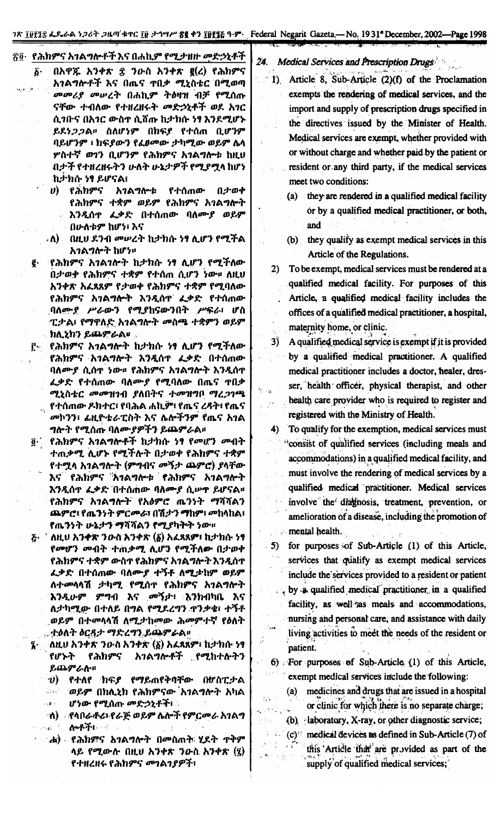ገጽ ፲፱፻፶፰ ፌዴራል ነጋሪት ጋዜጣ ቁጥር ፲፱ ታኅሣሥ <mark>ጽ፪ ቀን ፲፱፻፺</mark>፭ ዓ·ም· Federal Negarit Gazeta - No. 1931<sup>ª</sup> December, 2002—Page 1998

## ፳፬· የሕክምና አገልግሎቶች እና በሐኪም የሚታዘዙ መድኃኒቶች

- $0$ አዋጁ አንቀጽ  $\hat{\mathcal{Z}}$  ንውስ አንቀጽ  $g(z)$  የሕክምና δ. አገልግሎቶች እና በጤና ተበቃ ሚኒስቴር በሚወጣ መመሪያ መሠረት በሐኪም ትዕዛዝ ብቻ የሚሰጡ ናቸው ተብለው የተዘረዘሩት መድኃኒቶች ወደ አገር ሲገቡና በአገር ውስዋ ሲሸጡ ከታክሱ ነፃ እንደሚሆኑ ይደነ*ጋጋ*ል። ስለሆነም በክፍያ የተሰጠ ቢሆንም ባይሆንም ፣ ክፍያውን የፈፀመው ታካሚው ወይም ሴሳ **ሦስተኛ ወገን ቢሆንም የሕክምና አገልግሎቱ ከዚህ** ብታች የተዘረዘሩትን ሁለት ሁኔታዎች የሚያሟላ ከሆነ ከታክሱ ነፃ ይሆናል፤
	- የሕክምና አገልግሎቱ የተሰጠው በታወቀ D) -የሕክምና ተቋም ወይም የሕክምና አገልግሎት እንዲሰዋ ፌቃድ በተሰጠው ባለሙያ ወይም በሁለቱም ከሆነ፣ እና
	- . ለ) በዚህ ደንብ መሠረት ከታክሱ ነፃ ሊሆን የሚችል አገልግሎት ከሆነ።
- g· የሕክምና አገልገሎት ከታክሱ ነፃ ሊሆን የሚችለው በታወቅ የሕክምና ተቋም የተሰጠ ሲሆን ነው። ለዚህ አንቀጽ አፈጻጸም የታወቀ የሕክምና ተቋም የሚባለው የሕክምና አገልግሎት እንዲሰዋ ፈቃድ የተሰጠው ባለሙያ ሥራውን የሚያከናውንበት ሥፍራ፣ ሆስ ፒታል፣ የማዋለድ አገልግሎት መስጫ ተቋምን ወይም <sub>։</sub> ክሊኒክን ይጨምራል። .
- <u>ሮ« የሕክምና አ*ገ*ልግሎት ከታክሱ ነፃ ሊሆን የሚች</u>ለው የሕክምና አባልግሎት እንዲሰዋ ፈቃድ በተሰጠው ባለሙያ ሲሰዋ ነው። የሕክምና አገልግሎት እንዲሰዋ ፌቃድ የተሰጠው ባለሙ*ያ* የሚባለው በጤና **ዋበ**ቃ ሚኒስቴር መመዝገብ ያለበትና ተመዝግቦ ማረ*ጋገጫ* የተሰጠው ዶክተር፣ የባሕል ሐኪም፣ የጤና ረዳት፣ የጤና መኮንን፣ ፊዚዮቴራፒስት እና ሴሎችንም የጤና አገል ግሎት የሚሰጡ ባለሙያዎችን ይጨምራል።
- ፬· የሕክምና አገልግሎቶች ከታክሱ ነፃ የመሆን መብት ተጠቃሚ ሊሆኑ የሚችሉት በታወቀ የሕክምና ተቋም የተሟላ አገልግሎት (ምግብና መኝታ ጨምሮ) ያላቸው እና የሕክምና አኅልግሎቱ የሕክምና አኅልግሎት እንዲሰዋ ፌቃድ በተሰጠው ባለሙያ ሲሥዋ ይሆናል። የሕክምና አገልግሎት የአዕምሮ ጤንነት ማሻሻልን ጨምሮ፣ የጤንነት ምርመራ፣ በሽታን ማከም፣ መከላከል፣ የጤንነት ሁኔታን ማሻሻልን የሚያካትት ነው።
- ξ· ້ ለዚህ አንቀጽ ንውስ እንቀጽ (δ) አፈጻጸም፣ ከታክሱ ነፃ የመሆን መብት ተጠቃሚ ሊሆን የሚችለው በታወቀ የሕክምና ተቋም ውስጥ የሕክምና አገልግሎት እንዲሰጥ ፌቃድ በተሰጠው ባለሙያ ተኝቶ ለሚታከም ወይም ለተመሳሳሽ *ታካሚ የሚ*ሰዋ የሕክምና *አገ*ልግሎት እንዲሁም ምግብ እና መኝታ፣ እንክብካቤ እና ለታካሚው በተለይ በግል የሚደረግን ጥንቃቄ፣ ተኝቶ <sub>.</sub>ወይም በተመሳሳሽ ለሚታከመው ሕመምተኛ የዕለት \_\_\_\_ ተዕለት ዕርዳታ ማድረግን ይጨምራል።
- ፯· ለዚህ አንቀጽ ንዑስ አንቀጽ (፩) አፈጻጸም፣ ከታከሱ ነፃ የሕክምና አ*ገ*ልግሎቶች የሚከተሉትን የሆኑት ይጨምራሱ።
	- *ህ*) የተለየ ክፍ*ያ* የማይጠየቅባቸው በሆስፒታል Dan L *ወይም* በክሊኒክ የሕክምናው አ*ገ*ልግሎት አካል
	- ሆነው የሚሰጡ መድኃኒቶች፣ zik s
	- ፡ነስ) *፡፡* የላቦራቶሪ፣ የራጅ ወይም ሌሎች የምር*ሙራ አገ*ልግ **Antipational**  $\mathcal{L}^{\text{max}}(\mathcal{L})$ 
		- ላይ የሚውሉ በዚህ አንቀጽ ንውስ አንቀጽ (፯) የተዘረዘሩ የሕክምና *መገ*ል*ገያዎች*፣

## 24. Medical Services and Prescription Drugs

- 1) Article 8, Sub-Article (2)(f) of the Proclamation exempts the rendering of medical services, and the import and supply of prescription drugs specified in the directives issued by the Minister of Health. Medical services are exempt, whether provided with or without charge and whether paid by the patient or resident or any third party, if the medical services meet two conditions:
	- (a) they are rendered in a qualified medical facility or by a qualified medical practitioner, or both, and
	- (b) they qualify as exempt medical services in this Article of the Regulations.
- To be exempt, medical services must be rendered at a  $2)$ qualified medical facility. For purposes of this Article, a qualified medical facility includes the offices of a qualified medical practitioner, a hospital, maternity home, or clinic.
- A qualified medical service is exempt if it is provided 3) by a qualified medical practitioner. A qualified medical practitioner includes a doctor, healer, dresser, health officer, physical therapist, and other y.<br>Yuuni health care provider who is required to register and registered with the Ministry of Health.
	- To qualify for the exemption, medical services must 4) . 'consist of qualified services (including meals and accommodations) in a qualified medical facility, and must involve the rendering of medical services by a qualified medical practitioner. Medical services involve the diagnosis, treatment, prevention, or amelioration of a disease, including the promotion of  $\blacksquare$  mental health.
	- for purposes of Sub-Article (1) of this Article,  $.5)$ services that qualify as exempt medical services include the services provided to a resident or patient
		- by a qualified medical practitioner in a qualified facility, as well sas meals and accommodations, nursing and personal care, and assistance with daily living activities to meet the needs of the resident or patient.
	- 6) For purposes of Sub-Article (1) of this Article, exempt medical services include the following:

Ò.

i i

深光色

- medicines and drugs that are issued in a hospital  $(a)$ or clinic for which there is no separate charge;
- (b) laboratory, X-ray, or other diagnostic service;
- $(c)$ : medical devices as defined in Sub-Article (7) of this Article that are provided as part of the supply of qualified medical services;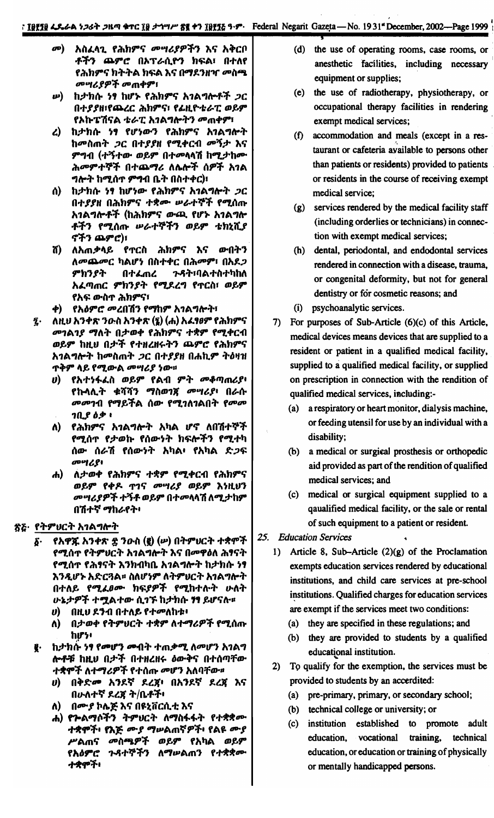- *መ*) አስፈላጊ የሕክምና መሣሪያዎችን እና አቅርቦ ቶችን ጨምሮ በአፕራሲዮን ክፍል፣ በተለየ የሕክምና ክትትል ክፍል እና በማደንዘዣ መስጫ *መሣሪያዎች መ*ጠቀም፣
- **ω) ከታክሱ ነፃ ከሆኑ የሕክምና አገልግሎቶች ጋር** በተያያዘ፣የጨረር ሕክምና፣ የፊዚዮቴራፒ ወይም የአኩፔሽናል ቴራፒ አገልግሎትን መጠቀም፣
- ረ) ከታክሱ ነፃ የሆነውን የሕክምና አገልግሎት ከመስጠት *ጋ*ር በተ*ያያ*ዘ የሚቀርብ መኝታ እና ምግብ (ተኝተው ወይም በተመላላሽ ከሚታከሙ ሕመምተኞች በተጨማሪ ለሌሎች ሰዎች አገል ግሎት ከሚሰጥ ምግብ ቤት በስተቀር)፣
- ስ) ከታክሱ ነፃ ከሆነው የሕክምና አ*ገ*ልግሎት *ጋ*ር በተያያዘ በሕክምና ተቋሙ ሥራተኞች የሚሰጡ አገልግሎቶች (ከሕክምና ውጪ የሆኑ አገልግሎ ቶችን የሚሰጡ ሥራተኞችን ወይም ቴክኒሺያ ኖችን ጨምሮ)፣
- ሽ) ለአጠቃላይ የተርስ ሕክምና እና ውበትን ለመጨመር ካልሆነ በስተቀር በሕመም፣ በአደጋ ምክንያት *ጉዳት*፣ባልተስተካከለ በተፈጠረ አፈጣጠር ምክንያት የሚደረግ የጥርስ፣ ወይም የአፍ ውስጥ ሕክምና፣
- ቀ) የአዕምሮ መረበሽን የማከም አገልግሎት፣
- $\mathbf{z}$ . ለዚህ አንቀጽ ንውስ አንቀጽ (፯) (ሐ) አፈፃፀም የሕክምና *መገ*ል*ገያ ማ*ለት በታወቀ የሕክምና ተቋም የሚቀርብ ወይም ከዚህ በታች የተዘረዘሩትን ጨምሮ የሕክምና አገልግሎት ከመስጠት ጋር በተያያዘ በሐኪም ትዕዛዝ ጥቅም ላይ የሚውል *መሣሪያ ነ*ው።
	- ሀ) የአተነፋፈስ ወይም የልብ ምት መቆጣጠሪያ<del>፡</del> የኩላሊት ቁሻሻን ማስወገኛ መሣሪያ፥ በራሱ *መመገ*ብ የማይችል ሰው የሚገለገልበት የመመ  $70.8$   $69.1$
	- ለ) የሕክምና አገልግሎት አካል ሆኖ ለበሽተኞች የሚሰጥ የ*ታወ*ኩ የሰውነት ክፍሎችን የሚተካ ሰው ሰራሽ የሰውነት አካል፥ የአካል ድ*ጋ*ፍ መሣሪያ፥
	- ሐ) ለታወቀ የሕክምና ተቋም የሚቀርብ የሕክምና ወይም የቀዶ ጥገና መሣሪያ ወይም እነዚህን *መግሪያዎች ተችቶ* ወይም በተመላላሽ ለሚ*ታ* ከም በሽተኛ ማከራየት፡

#### ጽሯ· የትምሀርት አገልግሎት

- የአዋጁ አንቀጽ ቌ ንዑስ (፪) (ሥ) በትምሀርት ተቋሞች  $\delta$ . የሚሰጥ የትምህርት አገልግሎት እና በመዋዕለ ሕፃናት የሚሰጥ የሕፃናት እንክብካቤ አንልግሎት ከታክሱ ነፃ እንዲሆኑ አድርጓል፡፡ ስለሆነም ለትምሀርት አገልግሎት በተለይ የሚፈፀሙ ክፍያዎች የሚከተሉት ሁለት ሁኔታዎች ተሟልተው ሲገኙ ከታክሱ ነፃ ይሆናሉ።
	- በዚህ ደንብ በተለይ የተመለከቱ፥  $\boldsymbol{\theta}$
	- በታወቀ የትምህርት ተቋም ለተማሪዎች የሚሰጡ Λ) ከሆነ፥
- g. ከታክሱ ነፃ የመሆን መብት ተጠቃሚ ለመሆን አገልግ ሎቶቹ ከዚህ በታች በተዘረዘሩ ዕውቅና በተሰጣቸው ተቋሞች ለተማሪዎች የተሰጡ መሆን አለባቸው።
	- *ህ*) በቅድ*መ* አንደኛ ደረጀ፥ በአንደኛ ደረጀ እና በሁለተኛ ደረጃ ት/ቤቶች፡
	- ለ) በሙያ ኮሌጅ እና በዩኒቨርሲቲ እና
	- ሐ) የጐልማሶችን ትምሀርት ለማስፋፋት የተቋቋሙ ተቋሞች፥ የእጅ ሙያ ማሠልጠኛዎች፥ የልዩ ሙያ ሥልጠና መስጫዎች ወይም የአካል ወይም የእዕምሮ ጉዳተኞችን ለማሥልጠን የተቋቋሙ ተቋሞች፥
- (d) the use of operating rooms, case rooms, or anesthetic facilities, including necessary equipment or supplies;
- (e) the use of radiotherapy, physiotherapy, or occupational therapy facilities in rendering exempt medical services;
- (f) accommodation and meals (except in a restaurant or cafeteria available to persons other than patients or residents) provided to patients or residents in the course of receiving exempt medical service;
- (g) services rendered by the medical facility staff (including orderlies or technicians) in connection with exempt medical services;
- (h) dental, periodontal, and endodontal services rendered in connection with a disease, trauma, or congenital deformity, but not for general dentistry or for cosmetic reasons; and
- (i) psychoanalytic services.
- 7) For purposes of Sub-Article (6)(c) of this Article, medical devices means devices that are supplied to a resident or patient in a qualified medical facility, supplied to a qualified medical facility, or supplied on prescription in connection with the rendition of qualified medical services, including:-
	- (a) a respiratory or heart monitor, dialysis machine, or feeding utensil for use by an individual with a disability;
	- (b) a medical or surgical prosthesis or orthopedic aid provided as part of the rendition of qualified medical services; and
	- (c) medical or surgical equipment supplied to a qaualified medical facility, or the sale or rental of such equipment to a patient or resident.
- 25. Education Services
	- 1) Article 8, Sub-Article  $(2)(g)$  of the Proclamation exempts education services rendered by educational institutions, and child care services at pre-school institutions. Qualified charges for education services are exempt if the services meet two conditions:
		- (a) they are specified in these regulations; and
		- (b) they are provided to students by a qualified educational institution.
	- 2) To qualify for the exemption, the services must be provided to students by an accerdited:
		- (a) pre-primary, primary, or secondary school;
		- (b) technical college or university; or
		- (c) institution established to promote adult education, vocational training, technical education, or education or training of physically or mentally handicapped persons.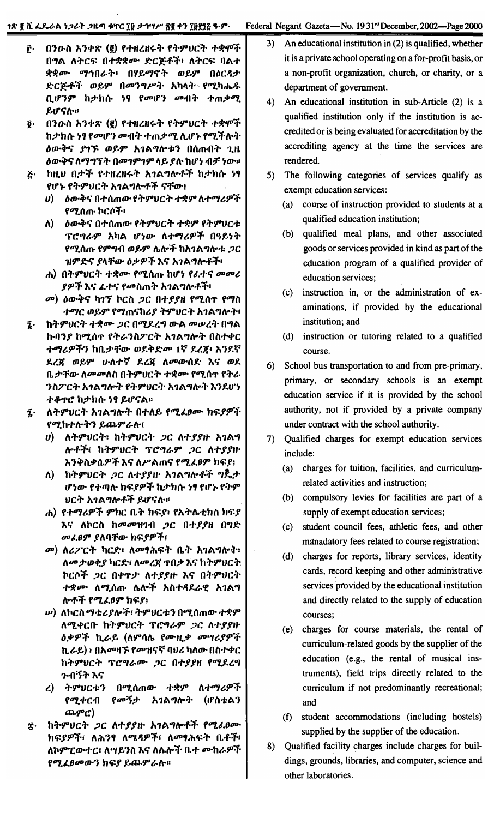- በንዑስ አንቀጽ (፪) የተዘረዘሩት የትምህርት ተቋሞች ŗ٠, በግል ለትርፍ በተቋቋሙ ድርጅቶች፡ ለትርፍ ባልተ ቋቋሙ ማኅበራት፥ በሃይማኖት ወይም በዕርዳታ ድርጅቶች ወይም በመንግሥት አካላት የሚካሔዱ ቢሆንም ከታክሱ ነፃ የመሆን መብት ተጠቃሚ ይሆናሉ።
- በንዑስ አንቀጽ (፪) የተዘረዘሩት የትምሀርት ተቋሞች  $\ddot{\mathbf{0}}$  . ከታክሱ ነፃ የመሆን መብት ተጠቃሚ ሊሆኑ የሚችሉት *ዕ*ውቅና *ያገኙ ወይም አገ*ልግሎቱን በሰጡበት ጊዜ ዕውቅና ለማግኘት በመገምገም ላይ ያሉ ከሆነ ብቻ ነው። ከዚህ በታች የተዘረዘሩት አገልግሎቶች ከታክሱ ነፃ  $\tilde{G}$
- የሆኑ የትምህርት አገልግሎቶች ናቸው፤
	- ሀ) ዕውቅና በተሰጠው የትምህርት ተቋም ለተማሪዎች የሚሰጡ ኮርሶች፥
	- *ስ*ውቅና በተሰጠው የትምህርት ተቋም የትምህርቱ ለ) -ፕሮግራም አካል ሆነው ለተማሪዎች በዓይነት <u>የሚሰጡ የምግብ ወይም ሌሎች ከአገልግሎቱ *ጋ*ር</u> ዝምድና ያላቸው ዕቃዎች እና አገልግሎቶች፥
	- ሐ) በትምሀርት ተቋሙ የሚሰጡ ከሆነ የፌተና መመሪ *ያዎች* እና ፈተና የመስጠት አገልግሎቶች፡
	- *መ*) ዕውቅና ካ1ኝ ኮርስ *ጋ*ር በተ*ያያዘ የሚ*ሰጥ የማስ ተማር ወይም የማጠናከሪያ ትምህርት አገልግሎት፥
- ከትምሀርት ተቋሙ *ጋ*ር በሚደረግ ውል መሠረት በግል Ţ. ኩባንያ ከሚሰጥ የትራንስፖርት አገልግሎት በስተቀር ተማሪዎችን ከቤታቸው ወደቅድመ 1ኛ ደረጀ፡ አንደኛ ደረጃ ወይም ሁለተኛ ደረጃ ለመውሰድ እና ወደ ቤታቸው ለመመለስ በትምሀርት ተቋሙ የሚሰጥ የትራ ንስፖርት አገልግሎት የትምህርት አገልግሎት እንደሆነ ተቆዋሮ ከታክሱ ነፃ ይሆናል።
- ለትምሀርት አገልግሎት በተለይ የሚፈፀሙ ክፍያዎች  $\bar{\mathbf{z}}$  . የሚከተሉትን ይጨምራሉ፤
	- υ) ለትምህርት፣ ከትምህርት *ጋ*ር ለተያያዙ አገልግ ሎቶች፤ ከትምሀርት ፕሮግራም *ጋ*ር ለተያያዙ እንቅስቃሴዎች እና ለሥልጠና የሚፈፀም ክፍያ፤
	- ለ) ከትምሀርት *ጋ*ር ለተያያዙ አገልግሎቶች ግጅታ ሆነው የተጣሉ ክፍያዎች ከታክሱ ነፃ የሆኑ የትም ህርት አ*ገ*ልግሎቶች ይሆናሉ።
	- ሐ) የተማሪዎች ምክር ቤት ክፍያ፣ የአትሌቲክስ ክፍያ እና ለኮርስ ከመመዝገብ ጋር በተያያዘ በግድ መፈፀም ያለባቸው ከፍያዎች፤
	- መ) ለሪፖርት ካርድ፣ ለመፃሕፍት ቤት አገልግሎት፣ ለመታወቂያ ካርድ፣ ለመረጃ ዋበቃ እና ከትምህርት ኮርሶች *ጋ*ር በቀዋታ ለተያያዙ እና በትምሀርት ተቋሙ ለሚሰጡ ሴሎች አስተዳደራዊ አገልግ ሎቶች የሚፈፀም ከፍያ፤
	- *w*) ለኮርስ*ማቴሪያ*ሎች፣ ትምሀርቱን በሚሰጠው ተቋም ለሚቀርቡ ከትምሀርት ፕሮግራም ጋር ለተያያዙ *ዕቃዎች* ኪራይ (ለምሳሌ የሙዚ*ቃ መግሪያዎች* ኪራይ) ፣ በአመዛኙ የመዝናኛ ባህሪ ካለው በስተቀር ከትምህርት ፕሮግራሙ ጋር በተያያዘ የሚደረግ ጉብኝት እና
	- ትምሀርቱን በሚሰጠው ተ**ቋም ለተ**ማሪዎች  $\mathcal{L}$ የሚቀርብ *የመኝታ* አገልግሎት (ሆስቴልን ጨምሮ)
- ከትምሀርት ጋር ለተያያዙ አገልግሎቶች የሚፈፀሙ Ţ. ከፍያዎች፣ ለሕንፃ ለሜዳዎች፣ ለመፃሕፍት ቤቶች፣ ለኮምፒውተር፣ ለሣይንስ እና ለሌሎች ቤተ ሙከራዎች የሚፈፀመውን **ከፍ**ያ ይጨምራስ።
- An educational institution in (2) is qualified, whether  $3)$ it is a private school operating on a for-profit basis, or a non-profit organization, church, or charity, or a department of government.
- 4) An educational institution in sub-Article (2) is a qualified institution only if the institution is accredited or is being evaluated for accreditation by the accrediting agency at the time the services are rendered.
- 5) The following categories of services qualify as exempt education services:
	- (a) course of instruction provided to students at a qualified education institution;
	- qualified meal plans, and other associated  $(b)$ goods or services provided in kind as part of the education program of a qualified provider of education services;
	- (c) instruction in, or the administration of examinations, if provided by the educational institution; and
	- (d) instruction or tutoring related to a qualified course.
- 6) School bus transportation to and from pre-primary, primary, or secondary schools is an exempt education service if it is provided by the school authority, not if provided by a private company under contract with the school authority.
- 7) Qualified charges for exempt education services include:
	- (a) charges for tuition, facilities, and curriculumrelated activities and instruction;
	- (b) compulsory levies for facilities are part of a supply of exempt education services;
	- student council fees, athletic fees, and other  $(c)$ manadatory fees related to course registration;
	- $(d)$ charges for reports, library services, identity cards, record keeping and other administrative services provided by the educational institution and directly related to the supply of education courses;
	- (e) charges for course materials, the rental of curriculum-related goods by the supplier of the education (e.g., the rental of musical instruments), field trips directly related to the curriculum if not predominantly recreational; and
	- (f) student accommodations (including hostels) supplied by the supplier of the education.
- 8) Qualified facility charges include charges for buildings, grounds, libraries, and computer, science and other laboratories.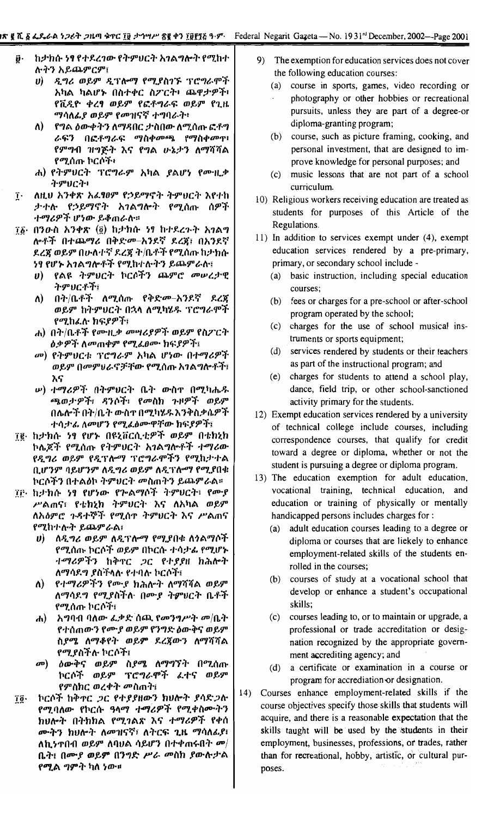- ከታክሱ ነፃ የተደረገው የትምህርት አገልግሎት የሚከተ ij. **ሉትን አይጨምርም፤** 
	- ሀ) ዲግሪ ወይም ዲፕሎማ የሚያስገኙ ፕሮግራሞች አካል ካልሆኑ በስተቀር ስፖርት፥ ጨዋታዎች፥ የቪዲዮ ቀረፃ ወይም የፎቶግራፍ ወይም የጊዜ ማሳለፊያ ወይም የመዝናኛ ተግባራት፡
	- ለ) የግል ዕውቀትን ለማዳበር ታስበው ለሚሰጡ ፎቶግ ራፍን በፎቶግራፍ ማስቀመጫ የማስቀመጥ የምግብ ዝግጅት እና የግል ሁኔታን ለማሻሻል የሚሰጡ ኮርሶች፥
	- ሐ) የትምሀርት ፕሮግራም አካል ያልሆነ የሙዚቃ ትምህርት፥
- ለዚህ አንቀጽ አፌፃፀም የኃይማኖት ትምህርት እየተከ  $\mathbf{\hat{I}}$ . ታተሉ የኃይማኖት አገልግሎት የሚሰጡ ሰዎች ተማሪዎች ሆነው ይቆጠራሉ።
- 76· በንውስ አንቀጽ (፬) ከታክሱ ነፃ ከተደረጉት አንልግ ሎቶች በተጨማሪ በቅድመ–አንደኛ ደረጃ፤ በአንደኛ ደረጃ ወይም በሁለተኛ ደረጃ ት/ቤቶች የሚሰጡ ከታክሱ ንፃ የሆኑ አ*ገ*ልግሎቶች የሚከተሉትን ይጨምራሉ፤
	- *ህ*) የልዩ ትምሀርት ኮርሶችን ጨምሮ መሠረታዊ ትምህርቶች፤
	- ለ) በት/ቤቶች ለሚሰጡ የቅድመ–አንደኛ ደረጃ ወይም ከትምሀርት በኋላ ለሚካሄዱ ፕሮግራሞች የሚከፌሉ ክፍያዎች፣
	- ሐ) በት/ቤቶች የሙዚቃ መሣሪያዎች ወይም የስፖርት *ዕቃዎች ለመ*ጠቀም የሚፈፀሙ ክፍያዎች፤
	- *መ*) የትምህርቱ ፕሮግራም አካል ሆነው በተማሪዎች ወይም በመምህራኖቻቸው የሚሰጡ አገልግሎቶች፣ እና
	- **ω) ተማሪዎች በትምሀርት ቤት ውስ**ኖ በሚካሔዱ ጫወታዎች፣ ዳንሶች፣ የመስክ ጉዞዎች ወይም በሌሎች በት/ቤት ውስተ በሚካሄዱ እንቅስቃሴዎች ተሳታፊ ለመሆን የሚፌፅሙዋቸው ክፍያዎች፤
- ፲፪ ከታክሱ ነፃ የሆኑ በዩኒቨርሲቲዎች ወይም በቴክኒክ ኮሌጆች የሚሰጡ የትምህርት አገልግሎቶች ተማሪው የዲግሪ ወይም የዲፕሎማ ፕሮግራሞችን የሚከታተል ቢሆንም ባይሆንም ለዲግሪ ወይም ለዲፕለማ የሚያበቁ ኮርሶችን በተልዕኮ ትምህርት መስጠትን ይጨምራል።
- ፲፫ ከታክሱ ነፃ የሆነው የጕልማሶች ትምህርት፣ የሙያ ሥልጠና፣ የቴክኒክ ትምሀርት እና ለአካል ወይም ለአዕምሮ ጉዳተኞች የሚሰዋ ትምህርት እና ሥልጠና የሚከተሉት ይጨምራል፤
	- ሀ) ለዲግሪ ወይም ለዲፕሎማ የሚያበቁ ለ*ጎ*ልማሶች የሚሰጡ ኮርሶች ወይም በኮርሱ ተሳታፊ የሚሆኑ *ተማሪዎችን* ከቅኖር *ጋ*ር የተያያዘ ክሕሎት ለማሳደግ ያስችላሉ የተባሉ ኮርሶች፤
	- የተማሪዎችን የሙያ ክሕሎት ለማሻሻል ወይም  $\lambda$ ለማሳደግ የሚያስችሉ በሙያ ትምህርት ቤቶች የሚሰጡ ኮርሶች፣
	- ሐ) አግባብ ባለው ፌቃድ ሰጪ የመንግሥት መ/ቤት የተሰጠውን የሙያ ወይም የንግድ ዕውቅና ወይም ስያሜ ለማቆየት ወይም ደረጃውን ለማሻሻል የሚያስችሉ ኮርሶች፤
	- መ) ዕውቅና ወይም ስ*ያሜ* ለማግኘት በሚሰጡ ኮርሶች ወይም ፕሮግራሞች ፈተና ወይም የምስክር ወረቀት *መ*ስጠት፤
- ኮርሶች ከቅኖር ጋር የተያያዘውን ከሀሎት ያሳድጋሉ īğ. የሚባለው የኮርሱ ዓላማ ተማሪዎች የሚቀስሙትን ከሀሎት በትክክል የሚገልጽ እና ተማሪዎች የቀሰ ሙትን ከህሎት ለመዝናኛ፣ ለትርፍ ጊዜ ማሳለፊያ፣ ለኪንኖበብ ወይም ለባህል ሳይሆን በተቀጠሩበት መ $/$ ቤት፤ በሙያ ወይም በንግድ ሥራ መስክ ያውሉታል የሚል *ግ*ምት ካለ ነው።
- 9) The exemption for education services does not cover the following education courses:
	- (a) course in sports, games, video recording or photography or other hobbies or recreational pursuits, unless they are part of a degree-or diploma-granting program;
	- (b) course, such as picture framing, cooking, and personal investment, that are designed to improve knowledge for personal purposes; and
	- (c) music lessons that are not part of a school curriculum.
- 10) Religious workers receiving education are treated as students for purposes of this Article of the Regulations.
- 11) In addition to services exempt under (4), exempt education services rendered by a pre-primary, primary, or secondary school include -
	- (a) basic instruction, including special education courses:
	- (b) fees or charges for a pre-school or after-school program operated by the school;
	- (c) charges for the use of school musical instruments or sports equipment;
	- (d) services rendered by students or their teachers as part of the instructional program; and
	- (e) charges for students to attend a school play, dance, field trip, or other school-sanctioned activity primary for the students.
- 12) Exempt education services rendered by a university of technical college include courses, including correspondence courses, that qualify for credit toward a degree or diploma, whether or not the student is pursuing a degree or diploma program.
- 13) The education exemption for adult education, vocational training, technical education, and education or training of physically or mentally handicapped persons includes charges for:
	- (a) adult education courses leading to a degree or diploma or courses that are liekely to enhance employment-related skills of the students enrolled in the courses;
	- (b) courses of study at a vocational school that develop or enhance a student's occupational skills;
	- (c) courses leading to, or to maintain or upgrade, a professional or trade accreditation or designation recognized by the appropriate government accrediting agency; and
	- (d) a certificate or examination in a course or program for accrediation or designation.
- Courses enhance employment-related skills if the  $(14)$ course objectives specify those skills that students will acquire, and there is a reasonable expectation that the skills taught will be used by the students in their employment, businesses, professions, or trades, rather than for recreational, hobby, artistic, or cultural purposes.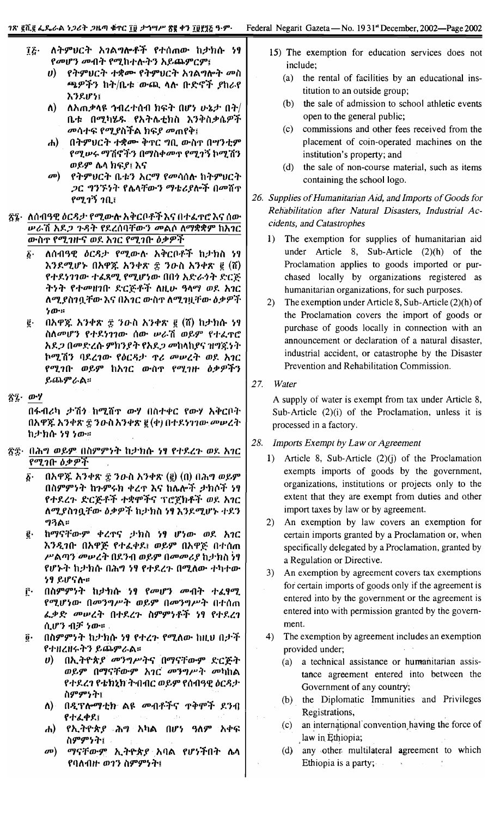- $\tilde{a}$ ለትምህርት አገልግሎቶች የተሰጠው ከታክሱ ነፃ የመሆን መብት የሚከተሉትን አይጨምርም፤
	- ሀ) የትምህርት ተቋሙ የትምህርት አገልግሎት መስ *ጫዎችን* ከት/ቤቱ ውጪ ላሉ ቡድኖች *ያ*ከራየ አንደሆነ፤
	- $\mathbf{v}$ ለአጠቃላዩ ኅብረተሰብ ክፍት በሆነ ሁኔታ በት $\prime$ ቤቱ በሚካሄዱ የአትሌቲክስ እንቅስቃሴዎች *መ*ሳተፍ የሚያስችል ክፍያ መጠየቅ፤
	- በትምሀርት ተቋሙ ቅኖር ግቢ ውስተ በሣንቲም  $\mathbf{d}$ የሚሥሩ ማሽኖችን በማስቀመጥ የሚገኝ ኮሚሽን ወይም ሌላ ክፍያ፤ እና
	- $\boldsymbol{\sigma}$ የትምሀርት ቤቱን አርማ የመሳሰሉ ከትምሀርት *ጋር ግንኙነት የሌላቸውን ማቴሪያ*ሎች በመሸተ  $9$ ሚገኝ ገቢ $\overline{1}$
- ፳፯· ለሰብዓዊ ዕርዳታ የሚውሉ አቅርቦቶች እና በተፈጥሮ እና ሰው <u> ሥራሽ አደ*ጋ ጉዳ*ት የደረሰባቸውን መልሶ ለማቋቋም ከአ*ገ*ር</u> ውስጥ የሚገዙና ወደ አገር የሚገቡ ዕቃዎች
	- $\boldsymbol{\delta}$ . ለሰብዓዊ *ዕርዳታ የሚ*ውሉ አቅርቦቶች ከታክስ ነፃ እንደሚሆኑ በአዋጁ አንቀጽ ቿ ንዑስ አንቀጽ ፪ (ሽ) የተደነገገው ተፈጻሚ የሚሆነው በበነ አድራጎት ድርጅ ትነት የተመዘገቡ ድርጅቶች ለዚሁ ዓላማ ወደ አገር ለሚያስገቧቸው እና በአገር ውስጥ ለሚገዟቸው ዕቃዎች  $70...$
	- በአዋጁ አንቀጽ ፰ ንውስ አንቀጽ ፪ (ሽ) ከታክሱ ነፃ  $\vec{\mathbf{g}}$  . ስስመሆን የተደነገገው ሰው ሥራሽ ወይም የተፈዋሮ *አደጋ በመድረሱ ምክንያት የአደጋ መ*ከላከ*ያና ዝግ*ጁነት ኮሚሽን ባደረገው የዕርዳታ ዋሪ መሠረት ወደ አገር የሚገቡ ወይም ከአገር ውስጥ የሚገዙ ዕቃዎችን ይጨምራል።
- ፳፯· ውሃ

በፋብሪካ ታሽን ከሚሸጥ ውሃ በስተቀር የውሃ አቅርቦት በአዋጁ አንቀጽ ፰ ንዑስአንቀጽ ፪ (ቀ) በተደነገገው መሠረት ከታክሱ ነፃ ነው።

- ፳፰· በሕግ ወይም በስምምነት ከታክሱ ነፃ የተደረጉ ወደ አገር የሚገቡ ዕቃዎች
	- $\vec{b}$ . በአዋጁ አንቀጽ ፰ ንውስ አንቀጽ (፪) (በ) በሕግ ወይም በስምምነት ከጉምሩክ ቀረጥ እና ከሌሎች ታክሶች ነፃ የተደረጉ ድርጅቶች ተቋሞችና ፕሮጀክቶች ወደ አገር ለሚያስገቧቸው ዕቃዎች ከታክስ ነፃ እንደሚሆኑ ተደን ግንል።
	- ከማናቸውም ቀረጥና ታክስ ነፃ ሆነው ወደ አገር ĝ٠ እንዲገቡ በአዋጅ የተፈቀደ፤ ወይም በአዋጅ በተሰጠ ሥልጣን መሠረት በደንብ ወይም በመመሪያ ከታክስ ነፃ የሆኑት ከታክሱ በሕግ ነፃ የተደረጉ በሚለው ተካተው ነፃ ይሆናሉ።
	- በስምምነት ከቃክሱ ነፃ የመሆን መብት ተፈፃሚ  $\mathbf{\vec{r}}$ . የሚሆነው በመንግሥት ወይም በመንግሥት በተሰጠ ፌቃድ መሠረት በተደረጉ ስምምነቶች ነፃ የተደረገ ሲሆን ብቻ ነው።
	- $\vec{0}$ . በስምምነት ከታክሱ ነፃ የተረጉ የሚለው ከዚህ በታች የተዘረዘሩትን ይጨምራል።
		- በኢትዮጵያ መንግሥትና በማናቸውም ድርጅት  $\boldsymbol{\theta}$ ወይም በማናቸውም አገር መንግሥት መካከል የተደረገ የቴክኒክ ትብብር ወይም የሰብዓዊ ዕርዳታ ስምምንት፤
		- ለ) በዲፕሎማቲክ ልዩ መብቶችና **ተቅ**ሞች ደንብ የተፈቀደ፤
		- የኢትዮጵ*ያ ሕግ* አካል በሆነ ዓለም አቀፍ  $\mathbf{d}$ ስምምንት፤
		- ማናቸውም ኢትዮጵያ አባል የሆነችበት ሴላ  $\boldsymbol{\sigma}$ የባለብዙ ወገን ስምምነት፤
- 15) The exemption for education services does not include;
	- (a) the rental of facilities by an educational institution to an outside group;
	- (b) the sale of admission to school athletic events open to the general public;
	- $(c)$ commissions and other fees received from the placement of coin-operated machines on the institution's property; and
	- (d) the sale of non-course material, such as items containing the school logo.
- 26. Supplies of Humanitarian Aid, and Imports of Goods for Rehabilitation after Natural Disasters, Industrial Accidents, and Catastrophes
	- $1)$ The exemption for supplies of humanitarian aid under Article 8, Sub-Article (2)(h) of the Proclamation applies to goods imported or purchased locally by organizations registered as humanitarian organizations, for such purposes.
	- 2) The exemption under Article 8, Sub-Article  $(2)(h)$  of the Proclamation covers the import of goods or purchase of goods locally in connection with an announcement or declaration of a natural disaster, industrial accident, or catastrophe by the Disaster Prevention and Rehabilitation Commission.
- 27. Water

A supply of water is exempt from tax under Article 8, Sub-Article (2)(i) of the Proclamation, unless it is processed in a factory.

- 28. Imports Exempt by Law or Agreement
	- 1) Article 8, Sub-Article  $(2)(j)$  of the Proclamation exempts imports of goods by the government, organizations, institutions or projects only to the extent that they are exempt from duties and other import taxes by law or by agreement.
	- 2) An exemption by law covers an exemption for certain imports granted by a Proclamation or, when specifically delegated by a Proclamation, granted by a Regulation or Directive.
	- 3) An exemption by agreement covers tax exemptions for certain imports of goods only if the agreement is entered into by the government or the agreement is entered into with permission granted by the government.
	- The exemption by agreement includes an exemption 4) provided under;
		- (a) a technical assistance or humanitarian assistance agreement entered into between the Government of any country;
		- (b) the Diplomatic Immunities and Privileges Registrations,
		- an international convention having the force of  $\mathcal{L}(\mathbf{c})$ law in Ethiopia;
		- (d) any other multilateral agreement to which Ethiopia is a party;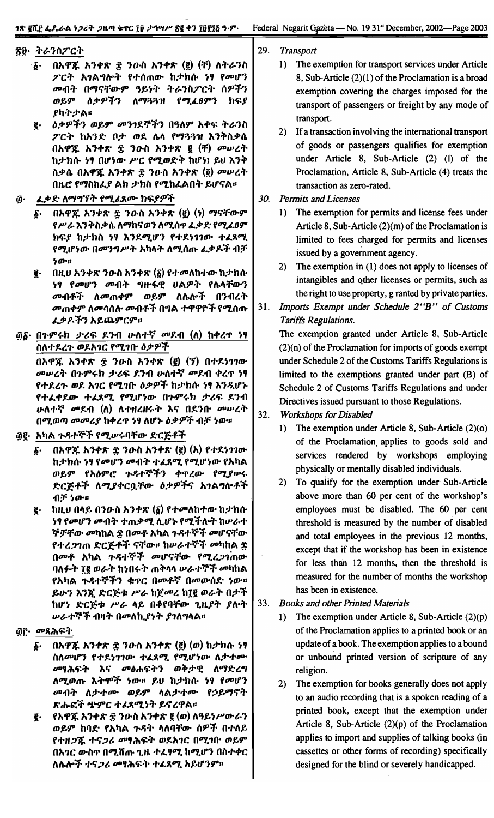## ኛ፱· ትራንስፖርት

- በአዋጁ አንቀጽ ፰ ንውስ አንቀጽ (፪) (ቸ) ለትራንስ  $\boldsymbol{\delta}$ . ፖርት አገልግሎት የተሰጠው ከታክሱ ነፃ የመሆን መብት በማናቸውም ዓይነት ትራንስፖርት ሰዎችን ወይም *ዕቃዎችን* ለማጓጓዝ የሚፌፀምን ክፍ*ያ* ያካትታል።
- *ዕቃዎችን ወይም መንገ*ደኞችን በዓለም አቀፍ ትራንስ g. ፖርት ከአንድ ቦታ ወደ ሌላ የማጓጓዝ እንቅስቃሴ በአዋጁ አንቀጽ ፰ ንውስ አንቀጽ ፪ (ቸ) መሠረት ከታክሱ ነፃ በሆነው ሥር የሚወድቅ ከሆነ፤ ይህ እንቅ ስቃሴ በአዋጁ አንቀጽ ፰ ንዑስ አንቀጽ (፬) መሠረት በዚሮ የማስከፌያ ልክ ታክስ የሚከፌልበት ይሆናል።
- <u>ፈቃድ ለማግኘት የሚፈጸሙ ከፍያዎች</u> ĝ٠
	- በአዋጁ አንቀጽ ፰ ንዑስ አንቀጽ (፪) (ነ) ማናቸውም  $\delta$ . የሥራ እንቅስቃሴ ለማከናወን ለሚሰጥ ፌቃድ የሚፈፀም ክፍያ ከታክስ ነፃ እንደሚሆን የተደነገገው ተፈጻሚ የሚሆነው በመንግሥት አካላት ለሚሰጡ ፌቃዶች ብቻ ንው።
	- በዚህ አንቀጽ ንውስ አንቀጽ  $(\tilde{\mathbf{g}})$  የተመለከተው ከታክሱ g. ነፃ የመሆን መብት ግዙፋዊ ሀልዎት የሴላቸውን *መብቶች ለመ*ጠቀም ወይም ለሌሎች በንብረት *መ*ጠቀም ለመሳሰሉ መብቶች በግል ተዋዋዮች የሚሰጡ ፌቃዶችን አይጨምርም።
- ፴δ· በጉምሩክ *ታሪ*ፍ ደንብ ሁለተኛ *መ*ደብ (ለ) ከቀረጥ ነፃ ስለተደረጉ ወደአገር የሚገቡ ዕቃዎች

በአዋጁ አንቀጽ ፰ ንውስ አንቀጽ (፪) (ኘ) በተደነገገው መሠረት በጉምሩክ ታሪፍ ደንብ ሁለተኛ መደብ ቀረጥ ነፃ የተደረጉ ወደ አገር የሚገቡ ዕቃዎች ከታክሱ ነፃ እንዲሆኑ የተፈቀደው ተፈጸሚ የሚሆነው በጉምሩክ ታሪፍ ደንብ ሁለተኛ መደብ (ለ) ለተዘረዘሩት እና በደንቡ መሠረት በሚወጣ መመሪያ ከቀረጥ ነፃ ለሆኑ ዕቃዎች ብቻ ነው።

- ፴፪· አካል ጉዳተኞች የሚሥሩባቸው ድርጅቶች
	- $($ ለአዋጁ አንቀጽ  $\frac{1}{2}$ ንውስ አንቀጽ  $(\frac{p}{2})$  (አ) የተደነገገው  $\delta$ . ከታክሱ ነፃ የመሆን መብት ተፈጸሚ የሚሆነው የአካል ወይም የአዕምሮ ጉዳተኞችን ቀጥረው የሚያሥሩ ድርጅቶች ለሚያቀርቧቸው ዕቃዎችና አገልግሎቶች ብቻ ነው።
	- ከዚህ በላይ በንውስ አንቀጽ (፩) የተመለከተው ከታክሱ g. *ነፃ የመሆን መብት ተጠቃሚ* ሊሆኑ የሚችሉት ከሥራተ **ኞቻቸው መካከል <u>ቋ</u> በመቶ አካል ጉዳተኞች መሆናቸው** የተረ*ጋገ*ጠ ድርጅቶች ናቸው፡፡ ከሥራተኞች *መ*ካከል <u>ቋ</u> በመቶ አካል ጉዳተኞች መሆናቸው የሚረጋገጠው ባለፉት ፲፪ ወራት ከነበሩት ጠቅላላ ሥራተኞች *መ*ካከል የአካል ጉዳተኞችን ቁጥር በመቶኛ በመውሰድ ነው። ይሁን እንጇ ድርጅቱ ሥራ ከጀመረ ከ፲፪ ወራት በታች ከሆነ ድርጅቱ ሥራ ላይ በቆየባቸው ጊዜያት ያሉት *ሡራተ*ኞች ብዛት በመለኪያነት ያገለግላል፡፡
- *፴*፫∙ *መ*ጻሕፍት
	- $\mathsf{A}\mathsf{P} \mathsf{R}$  አንቀጽ ቋ ንውስ አንቀጽ (፪) (ወ) ከታክሱ ነፃ  $\delta$ . ስለመሆን የተደነገገው ተፈጸሚ የሚሆነው ለታተሙ መፃሕፍት እና መፅሐፍትን ወቅታዊ ለማድረግ ለሚወጡ እትሞች ነው። ይህ ከታክሱ ነፃ የመሆን መብት ለታተሙ ወይም ላልታተሙ የኃይማኖት ጽሑፎች ዌምር ተፈጻሚነት ይኖረዋል።
	- የአዋጁ አንቀጽ ፰ ንውስ አንቀጽ ፪ (ወ) ለዓይነሥውራን g. ወይም ከባድ የአካል ጉዳት ላለባቸው ሰዎች በተለይ የተዘ*ጋ*ጁ ተና*ጋሪ መ*ፃሕፍት ወደአገር በሚገቡ ወይም በአ*ገር ው*ስጥ በሚሸጡ ጊዜ ተፈፃሚ ከሚሆን በስተቀር ለሴሎች ተና*ጋሪ መ*ፃሕፍት ተፈጸሚ አይሆንም።
- 29. **Transport** 
	- $1)$ The exemption for transport services under Article 8, Sub-Article (2)(1) of the Proclamation is a broad exemption covering the charges imposed for the transport of passengers or freight by any mode of transport.
	- 2) If a transaction involving the international transport of goods or passengers qualifies for exemption under Article 8, Sub-Article (2) (l) of the Proclamation, Article 8, Sub-Article (4) treats the transaction as zero-rated.
- 30. **Permits and Licenses** 
	- $1)$ The exemption for permits and license fees under Article 8, Sub-Article  $(2)(m)$  of the Proclamation is limited to fees charged for permits and licenses issued by a government agency.
	- 2) The exemption in (1) does not apply to licenses of intangibles and other licenses or permits, such as the right to use property, g ranted by private parties.
- Imports Exempt under Schedule 2"B" of Customs 31. **Tariffs Regulations.**

The exemption granted under Article 8, Sub-Article  $(2)(n)$  of the Proclamation for imports of goods exempt under Schedule 2 of the Customs Tariffs Regulations is limited to the exemptions granted under part (B) of Schedule 2 of Customs Tariffs Regulations and under Directives issued pursuant to those Regulations.

- 32. **Workshops for Disabled** 
	- The exemption under Article 8, Sub-Article  $(2)(0)$  $1)$ of the Proclamation applies to goods sold and services rendered by workshops employing physically or mentally disabled individuals.
	- To qualify for the exemption under Sub-Article 2) above more than 60 per cent of the workshop's employees must be disabled. The 60 per cent threshold is measured by the number of disabled and total employees in the previous 12 months, except that if the workshop has been in existence for less than 12 months, then the threshold is measured for the number of months the workshop has been in existence.
- 33. **Books and other Printed Materials** 
	- $1)$ The exemption under Article 8, Sub-Article  $(2)(p)$ of the Proclamation applies to a printed book or an update of a book. The exemption applies to a bound or unbound printed version of scripture of any religion.
	- The exemption for books generally does not apply  $2)$ to an audio recording that is a spoken reading of a printed book, except that the exemption under Article 8, Sub-Article  $(2)(p)$  of the Proclamation applies to import and supplies of talking books (in cassettes or other forms of recording) specifically designed for the blind or severely handicapped.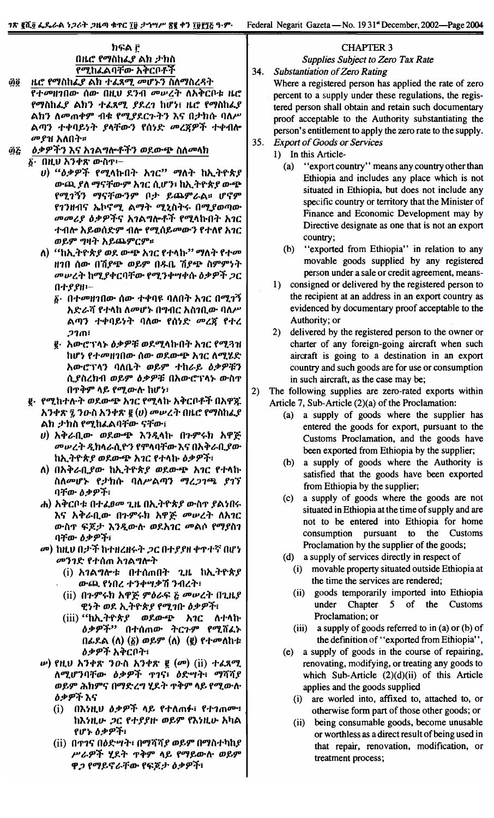## ክፍል ፫ በዜሮ የማስከፌያ ልክ ታክስ የሚከፌልባቸው አቅርቦቶች

- ዜሮ የማስከፌያ ልክ ተፌጻሚ መሆኑን ስለማስረዳት ហ្គិត្តិ የተመዘገበው ሰው በዚህ ደንብ መ**ሠረት ለአቅርቦቱ ዜሮ** የማስከፈያ ልክን ተፈጻሚ ያደረገ ከሆነ፤ ዜሮ የማስከፈያ ልክን ለመጠቀም ብቁ የሚያደርጉትን እና በታክሱ ባለሥ ልጣን ተቀባይነት *ያ*ላቸውን የሰነድ *መረ*ጀዎች ተቀብሎ *መያ*ዝ አለበት።
- *ዕቃዎችን* እና አ*ገ*ልግሎቶችን ወደውጭ ስለመላክ ŶQ
	- ፩· በዚህ አንቀጽ ውስም፦
		- υ) "ዕቃዎች የሚላኩበት አ*ገር*" ማለት ከኢትዮጵያ ውጪ ያለ ማናቸውም አገር ሲሆን፣ ከኢትዮጵያ ውጭ የሚገኝን ማናቸውንም ቦታ ይጨምራል፡፡ ሆኖም የኀንዘብና ኤኮኖሚ ልማት ሚኒስትሩ በሚያወጣው *መመሪያ ዕቃዎች*ና አ*ገ*ልግሎቶች የሚላኩበት አገር ተብሎ አይወሰድም ብሎ የሚሰይመውን የተለየ አገር ወይም ግዛት አይጨምርም።
		- ለ) "ከኢትዮጵ*ያ ወ*ደ ውጭ አገር የተላኩ" ማለት የተመ ዘገበ ሰው በሽያጭ ወይም በዱቤ ሽያጭ ስምምነት *መሠረት ከሚያቀርባቸው የሚንቀሣቀሱ ዕቃዎች ጋር* በተያያዘ፡-
			- ፩· በተመዘገበው ሰው ተቀባዩ ባለበት አገር በሚገኝ አድራሻ የተላከ ለመሆኑ በግብር አስገቢው ባለሥ ልጣን ተቀባይነት ባለው የሰነድ *መረ*ጀ የተረ **21ጠ፣**
			- ፪· አውሮፕላኑ ዕቃዎቹ ወደሚላኩበት አገር የሚጓዝ ከሆነ የተመዘገበው ሰው ወደውጭ አገር ለሚሄድ አውሮፕላን ባለቤት ወይም ተከራይ ዕቃዎቹን ሲያስረክብ ወይም ዕቃዎቹ በአውሮፕላኑ ውስጥ በጥቅም ላይ የሚውሉ ከሆነ፣
		- ፪· *የሚ*ከተሉት ወደውጭ አ*ገ*ር የሚላኩ አቅርቦቶች በአዋጁ አንቀጽ ፯ ንዑስ አንቀጽ ፪ (ሀ) መሠረት በዜሮ የማስከፌያ ልክ ታክስ የሚከፌልባቸው ናቸው፤
			- ሀ) አቅራቢው ወደውጭ እንዲላኩ በጉምሩክ አዋጅ *መሠረት ዲከ*ሳራሲዮን የምላባቸው እና በአቅራቢያው ከኢትዮጵያ ወደውጭ አገር የተላኩ ዕቃዎች፣
			- ለ) በአቅራቢያው ከኢትዮጵያ ወደውጭ አገር የተላኩ ስለመሆኑ የታክሱ ባለሥልጣን ማረ*ጋገ*ጫ ያገኘ ባቸው ዕቃዎች፣
			- ሐ) አቅርቦቱ በተፈፀመ ጊዜ በኢትዮጵያ ውስጥ ያልነበሩ እና አቅራቢው በጉምሩክ አዋጅ መሠረት ለአገር ውስጥ ፍጆታ እንዲውሉ ወደአገር መልሶ የማያስገ ባቸው ዕቃዎች፣
			- መ) ከዚህ በታች ከተዘረዘሩት *ጋ*ር በተያያዘ ቀጥተኛ በሆነ *መንገድ የተ*ሰጠ አ*ገ*ልግሎት
				- $(i)$  አገልግሎቱ በተሰጠበት ጊዜ ከኢትዮጵያ ውጪ የነበረ ተንቀሣቃሽ ንብረት፣
				- (ii) በጉምሩክ አዋጅ ምዕራፍ <u>ξ</u> መሠረት በጊዜያ ዊነት ወደ ኢትዮጵያ የሚገቡ ዕቃዎች፣
				- (iii) "ከኢትዮጵያ ወደውጭ አ*ገ*ር ለተላኩ *ዕቃዎች''* በተሰጠው ትርጉም የሚሸፌኑ በፊደል (ለ) (፩) ወይም (ለ) (፪) የተመለከቱ <u>ዕቃዎች አቅርቦት፣</u>
			- *w***) የዚህ አንቀጽ ን**ውስ አንቀጽ ፪ (*σ*) (ii) ተፈጸሚ ለሚሆንባቸው ዕቃዎች ጥገና፣ ዕድሣት፣ ማሻሻያ ወይም ሕክምና በማድረግ ሂደት ጥቅም ላይ የሚውሉ *ዕቃዎች* እና
				- በእነዚህ ዕቃዎች ላይ የተለጠፉ፣ የተገጠሙ፣  $(i)$ ከእነዚሁ *ጋ*ር የተ*ያያ*ዙ ወይም የእነዚሁ አካል የሆኑ ዕቃዎች፣
				- (ii) በጥገና በዕድሣት፣ በማሻሻ*ያ ወይም* በማስተካከ*ያ* ሥራዎች ሂደት ጥቅም ላይ የማይውሉ ወይም ዋ*ጋ* የማይኖራቸው የፍጆታ ዕቃዎች፣

## **CHAPTER 3**

**Supplies Subject to Zero Tax Rate** 

34. **Substantiation of Zero Rating** 

> Where a registered person has applied the rate of zero percent to a supply under these regulations, the registered person shall obtain and retain such documentary proof acceptable to the Authority substantiating the person's entitlement to apply the zero rate to the supply.

- $35.$ **Export of Goods or Services** 
	- 1) In this Article-
		- $(a)$ "export country" means any country other than Ethiopia and includes any place which is not situated in Ethiopia, but does not include any specific country or territory that the Minister of Finance and Economic Development may by Directive designate as one that is not an export country;
		- "exported from Ethiopia" in relation to any  $(b)$ movable goods supplied by any registered person under a sale or credit agreement, means-
	- 1) consigned or delivered by the registered person to the recipient at an address in an export country as evidenced by documentary proof acceptable to the Authority; or
	- 2) delivered by the registered person to the owner or charter of any foreign-going aircraft when such aircraft is going to a destination in an export country and such goods are for use or consumption in such aircraft, as the case may be;
- $2)$ The following supplies are zero-rated exports within Article 7, Sub-Article (2)(a) of the Proclamation:
	- (a) a supply of goods where the supplier has entered the goods for export, pursuant to the Customs Proclamation, and the goods have been exported from Ethiopia by the supplier;
	- (b) a supply of goods where the Authority is satisfied that the goods have been exported from Ethiopia by the supplier;
	- a supply of goods where the goods are not  $(c)$ situated in Ethiopia at the time of supply and are not to be entered into Ethiopia for home consumption pursuant to the Customs Proclamation by the supplier of the goods;
	- (d) a supply of services directly in respect of
		- (i) movable property situated outside Ethiopia at the time the services are rendered;
		- (ii) goods temporarily imported into Ethiopia under Chapter 5 of the Customs Proclamation; or
		- (iii) a supply of goods referred to in (a) or (b) of the definition of "exported from Ethiopia",
	- (e) a supply of goods in the course of repairing, renovating, modifying, or treating any goods to which Sub-Article  $(2)(d)(ii)$  of this Article applies and the goods supplied
		- (i) are worled into, affixed to, attached to, or otherwise form part of those other goods; or
		- (ii) being consumable goods, become unusable or worthless as a direct result of being used in that repair, renovation, modification, or treatment process;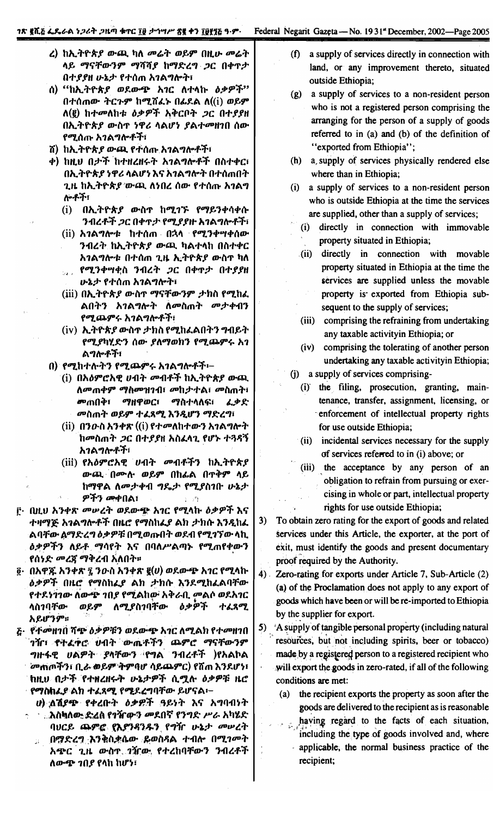- ረ) ከኢትዮጵያ ውጪ ካለ መሬት ወይም በዚሁ መሬት ላይ ማናቸውንም ማሻሻያ ከማድረግ ጋር በቀጥታ በተያያዘ ሁኔታ የተሰጠ አገልግሎት፣
- ሰ) "ከኢትዮጵያ ወደውጭ አገር ለተላኩ ዕቃዎች" በተሰጠው ትርጉም ከሚሸፈኑ በፊደል ለ((i) ወይም  $\Lambda$ (፪) ከተመለከቱ ዕቃዎች አቅርቦት ጋር በተያያዘ በኢትዮጵያ ውስጥ ነዋሪ ላልሆነ ያልተመዘገበ ሰው የሚሰጡ አገልግሎቶች፣
- ሽ) ከኢትዮጵ*ያ* ውጪ የተሰጡ አ*ገ*ልግሎቶች፣
- ቀ) ከዚህ በታች ከተዘረዘሩት አገልግሎቶች በስተቀር፣ በኢትዮጵያ ነዋሪ ላልሆነ እና አገልግሎት በተሰጠበት ጊዜ ከኢትዮጵያ ውጫ ለነበረ ሰው የተሰጡ አገልግ ሎቶች፡
	- $(i)$  በኢትዮጵያ ውስጥ ከሚገኙ የማይንቀሳቀሱ ንብረቶች ጋር በቀጥታ የሚያያዙ አገልግሎቶች፣
	- (ii) አ*ገ*ልግሎቱ ከተሰጠ በኋላ የሚንቀሣቀሰው ንብረት ከኢትዮጵያ ውጪ ካልተላከ በስተቀር አገልግሎቱ በተሰጠ ጊዜ ኢትዮጵያ ውስጥ ካለ የሚንቀሣቂስ ንብረት ጋር በቀጥታ በተያያዘ
		- ሁኔታ የተሰጠ አገልግሎት፣
	- $(iii)$  በኢትዮጵያ ውስጥ ማናቸውንም ታክስ የሚከፈ ልበትን አገልግሎት ለመስጠት መታቀብን የሚጨምሩ አገልግሎቶች፣
	- (iv) ኢትዮጵ*ያ* ውስጥ ታክስ የሚከፈልበትን ግብይት የሚያካሂድን ሰው ያለማወክን የሚጨምሩ አገ ልግሎቶች፣
- በ) የሚከተሉትን የሚጨምሩ አገልግሎቶች፡-
	- (i) በአዕምሮአዊ ሀብት መብቶች ከኢትዮጵያ ውጪ ለመጠቀም ማስመዝገብ፣ መከታተል፣ መስጠት፣ *መ*ጠበቅ፣ ማዘዋወር፣ *ማ*ስተላለፍ፣ ፈቃድ መስጠት ወይም ተፈጸሚ እንዲሆን ማድረግ፣
	- (ii) በንውስ አንቀጽ ((i) የተመለከተውን አንልግሎት ከመስጠት *ጋ*ር በተያያዘ አስፈላጊ የሆኑ ተጓዳኝ አገልግሎቶች፣
	- (iii) የአዕምሮአዊ ሀብት መብቶችን ከኢትዮጵያ ውጪ በሙሉ ወይም በከፊል በጥቅም ላይ ከማዋል ለመታቀብ ግዴታ የሚያስገቡ ሁኔታ ዎችን መቀበል፣
- <u>፫· በዚህ አንቀጽ መሠረት ወደውጭ አገር የሚላኩ ዕቃዎች እና</u> ተዛማጅ አንልግሎቶች በዜሮ የማስከፌያ ልክ ታክሱ እንዲከፌ ልባቸው ልማድረግ ዕቃዎቹ በሚወጡበት ወደብ የሚገኘው ላኪ *ዕቃዎችን ለይቶ ማሳየት እ*ና በባለሥልጣኑ የሚጠየቀውን የሰነድ *መረጃ ማቅረ*ብ አለበት።
- ፬· በአዋጁ አንቀጽ ፯ ንውስ አንቀጽ ፪(ሀ) ወደውጭ አገር የሚላኩ ዕቃዎች በዜሮ የማስከፌያ ልክ ታክሱ እንደሚከፈልባቸው የተደነገገው ለውጭ ገበያ የሚልከው አቅራቢ መልሶ ወደአገር ለሚያስገባቸው ዕቃዎች ተፈጸሚ ላስንባቸው ወይም አይሆንም።
- <u> ሯ· የተመዘገበ ሻጭ ዕቃዎቹን ወደውጭ አገር ለሚልክ የተመዘገበ</u> ገሻ**ገ፣ የተፈዋሮ ሀብት ው**ጤቶችን ጨምሮ ማናቸውንም ግዙፋዊ ሀልዎት ያላቸውን የግል ንብረቶች )የአልኮል **`መጠጦችን፣ ቢራ ወይም ትምባሆ ሳይጨምር) የሽጠ እንደሆነ፣** ከዚህ በታች የተዘረዘሩት ሁኔታዎች ሲሟሉ ዕቃዎቹ ዜሮ የማስከፌያ ልክ ተፈጸሚ የሚደረግባቸው ይሆናል፡–
	- u) ለሽያጭ የቀረቡት ዕቃ*ዊች* ዓይነት እና አግባብነት
	- ...እስካለው ድፈስ የገዥውን መደበኛ የንግድ ሥራ አካሄድ ባህርይ ጨምሮ የእያንዳንዱን የግዥ ሁኔታ መሠረት በማድረግ እንቅስቃሴው ይወስዳል ተብሎ በሚገመት  $\widetilde{H}_{\rm eff}$ አጭር ጊዜ ውስጥ ገዥው የተረከባቸውን ንብረቶች ለውጭ ገበያ የላከ ከሆነ፣
- a supply of services directly in connection with  $(f)$ land, or any improvement thereto, situated outside Ethiopia;
- (g) a supply of services to a non-resident person who is not a registered person comprising the arranging for the person of a supply of goods referred to in (a) and (b) of the definition of "exported from Ethiopia";
- (h) a supply of services physically rendered else where than in Ethiopia;
- (i) a supply of services to a non-resident person who is outside Ethiopia at the time the services are supplied, other than a supply of services;
	- directly in connection with immovable  $(i)$ property situated in Ethiopia;
	- (ii) directly in connection with movable property situated in Ethiopia at the time the services are supplied unless the movable property is exported from Ethiopia subsequent to the supply of services;
	- (iii) comprising the refraining from undertaking any taxable activityin Ethiopia; or
	- (iv) comprising the tolerating of another person undertaking any taxable activityin Ethiopia;
- (j) a supply of services comprising-
	- (i) the filing, prosecution, granting, maintenance, transfer, assignment, licensing, or enforcement of intellectual property rights for use outside Ethiopia;
	- (ii) incidental services necessary for the supply of services referred to in (i) above; or
	- (iii) the acceptance by any person of an obligation to refrain from pursuing or exercising in whole or part, intellectual property rights for use outside Ethiopia;
- To obtain zero rating for the export of goods and related  $3)$ services under this Article, the exporter, at the port of exit, must identify the goods and present documentary proof required by the Authority.
- $4)$ . Zero-rating for exports under Article 7, Sub-Article (2) (a) of the Proclamation does not apply to any export of goods which have been or will be re-imported to Ethiopia by the supplier for export.
- 5) A supply of tangible personal property (including natural resources, but not including spirits, beer or tobacco) made by a registered person to a registered recipient who will export the goods in zero-rated, if all of the following conditions are met:
	- (a) the recipient exports the property as soon after the goods are delivered to the recipient as is reasonable
		- having regard to the facts of each situation, including the type of goods involved and, where applicable, the normal business practice of the recipient;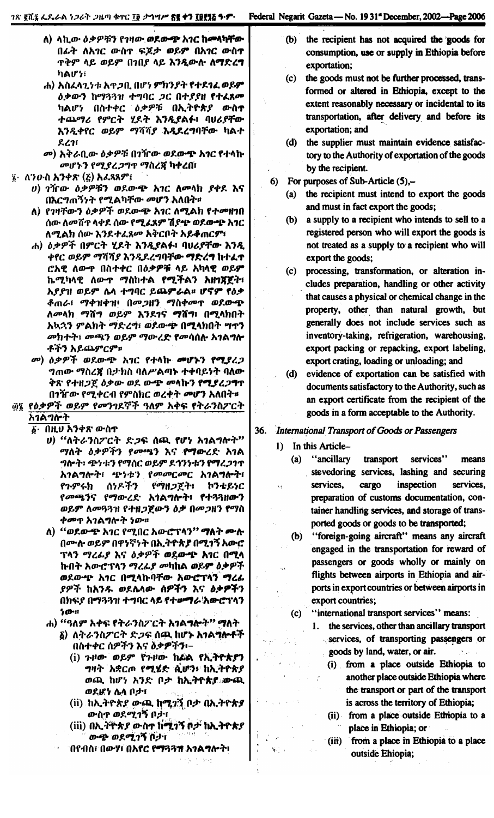- ለ) ላኪው ዕቃዎቹን የገዛው ወደውጭ አገር ከመላካቸው በፊት ለአገር ውስዮ ፍጆታ ወይም በአገር ውስተ **ዋቅም ላይ ወይም በኀበያ ላይ እንዲውሱ ለማድረግ** ካልሆነ፣
- ሐ) አስፈላጊነቱ አዋጋቢ በሆነ ምክንያት የተደገፈ ወይም ዕቃውን ከማጓጓዝ ተግባር ጋር በተያያዘ የተፈጸመ ካልሆነ በስተቀር ዕቃዎቹ በኢትዮጵያ ውስተ ተጨማሪ የምርት ሂደት እንዲያልፉ፣ ባሀሪያቸው እንዲቀየር ወይም ማሻሻያ እዲደረግባቸው ካልተ  $221$
- መ) አቅራቢው ዕቃዎቹ በገዥው ወደውጭ አገር የተላኩ መሆኑን የሚያረጋግጥ ማስረጃ ካቀረበ፤
- $\ddot{\imath}$ · ለንዑስ አንቀጽ (ሯ) አፌጻጸም $\ddot{\imath}$ 
	- $v$ ) ገዥው ዕቃዎቹን ወደውጭ አገር ለመላክ ያቀደ እና በእርግጠኝነት የሚልካቸው መሆን አለበት።
	- ለ) የገዛቸውን ዕቃዎች ወደውጭ አገር ለሚልክ የተመዘገበ ሰው ለመሸጥ ላቀደ ሰው የ**ሚፈጸም ሽያጭ ወደውጭ አገ**ር ለሚልክ ሰው እንደተፈጸመ እቅርቦት አይቆጠርም፣
	- ሐ) ዕቃዎች በምርት ሂደት እንዲያልፉ፣ ባሀሪያቸው እንዲ ቀየር ወይም ማሻሻያ እንዲደረግባቸው ማድረግ ከተፈጥ ሮአዊ ለውጥ በስተቀር በዕቃዎቹ ላይ አካላዊ ወይም ኬሚካላዊ ለውጥ ማስከተል የሚችልን አዘገጀጀት፣ እያያዝ ወይም ሌላ ተግባር ይጨምራል። ሆኖም የዕቃ ቶጠራ፤ ማቀዝቀዝ፥ በመጋዘን ማስቀመጥ ወደውጭ ለመላክ ማሽግ ወይም እንደገና ማሽግ፣ በሚላክበት አኳኋን ምልክት ማድረግ፣ ወደውጭ በሚላክበት ሣጥን መክተት፣ መጫን ወይም ማውረድ የመሳሰሱ አገልግሎ ቶችን አይጨምርም።
	- *መ*) ዕቃዎች ወደውጭ አገር የተላኩ **መሆኑን የሚያ**ረጋ ግጠው ማስረጀ በታክስ ባለሥልጣኑ ተቀባይነት ባለው ቅጽ የተዘጋጀ ዕቃው ወደ ውጭ መላኩን የሚያረጋግጥ በንዥው የሚቀርብ የምስክር ወረቀት *መ*ሆን አለበት¤
- ፴፯ የዕቃዎች ወይም የመንገደኞች ዓለም አቀፍ የትራንስፖርት አገልግሎት
	- ፩· በዚህ አንቀጽ ውስጥ
		- υ) "ለትራንስፖርት ድጋፍ ሰጪ የሆነ አገልግሎት" *ማ*ለት *ዕቃዎችን የመጫን* እና **የማው**ረድ አገል ግሎት፣ ጭነቱን የማሰር ወይም ደኅንነቱን **የማ**ረ*ጋ*ገጥ እገልግሎት፣ ጭነቱን የ*መመርመር* አገልግሎት፣ ሰነዶችን የጉምሩክ የማዘጋጀት፣ ኮንቴይነር የመጫንና የማውረድ አኅልግሎት፣ የተጓጓዘውን ወይም ለመዓጓዝ የተዘ*ጋ*ጀውን ዕቃ በመ*ጋ*ዘን የማስ *ቀሙ*ጥ አገልግሎት *ነ*ው።
		- ለ) "ወደውጭ አገር የሚበር አውሮፕላን" **ማለ**ት **ሙ**ሱ በሙሉ ወይም በዋነኛነት በኢትዮጵያ በሚገኝ አውሮ ፕላን ማረፊያ እና ዕቃዎች ወደውጭ እንር በሚላ ኩበት አውሮፕላን ማረፊያ መካከል ወይም ዕቃዎች ወደውጭ አገር በሚላኩባቸው አውሮፕላን ማረፊ *ያዎች* ከእንዱ ወደሌላው <del>ሰዎችን</del> እና ዕቃ**ዎች**ን በክፍያ በማጓጓዝ ተግባር ላይ የተሥማራ አውሮፕላን  $20 - 11$
		- ሐ) "ዓለም አቀፍ የትራንስፖርት <mark>አገልግሎ</mark>ት" **ማለ**ት
			- δ) ለትራንስፖርት ድ*ጋ*ፍ ሰጪ ከሆኑ አ*ገ*ል<del>ግሎቶ</del>ች በስተቀር ሰዎችን እና δቃዎችን፡–
				- (i) ጉዞው ወይም የጉዞው ከፊል የኢትዮጵያን *ግ*ዛት አቋርጦ የሚሄድ ሲሆን፣ ከኢትዮጵያ ወጪ ከሆነ አንድ ቦታ ከኢትዮጵያ ውጪ ወደሆነ ሴላ በታ፣
				- (ii) ከኢትዮጵያ ውጫ ከሚገኝ ቦታ በኢትዮጵያ ውስጥ ወደሚገኝ ቦታ፣
				- (iii) በኢ*ት*ዮጵ*ያ ው*ስተ ከሚገኝ ሶታ ከኢትዮጵያ ውጭ ወደሚገኝ ቦታ፣

 $\mathbb{R}^{n}\times\mathbb{R}$ 

በየብስ፣ በውሃ፣ በአየር የማጓጓኀ አ*ገ*ልግሎት፣

- $(b)$ the recipient has not acquired the goods for consumption, use or supply in Ethiopia before exportation:
- the goods must not be further processed, trans- $(c)$ formed or altered in Ethiopia, except to the extent reasonably necessary or incidental to its transportation, after delivery and before its exportation; and
- $(d)$ the supplier must maintain evidence satisfactory to the Authority of exportation of the goods by the recipient.
- For purposes of Sub-Article  $(5)$ ,-6)
	- the recipient must intend to export the goods  $(a)$ and must in fact export the goods;
	- (b) a supply to a recipient who intends to sell to a registered person who will export the goods is not treated as a supply to a recipient who will export the goods;
	- processing, transformation, or alteration in- $(c)$ cludes preparation, handling or other activity that causes a physical or chemical change in the property, other than natural growth, but generally does not include services such as inventory-taking, refrigeration, warehousing, export packing or repacking, export labeling, export crating, loading or unloading; and
	- (d) evidence of exportation can be satisfied with documents satisfactory to the Authority, such as an export certificate from the recipient of the goods in a form acceptable to the Authority.
- 36. International Transport of Goods or Passengers
	- 1) In this Article-

Âý.

 $\sum_{i=1}^{n} \frac{1}{i}$ 

- "ancillary"  $(a)$ transport services" means stevedoring services, lashing and securing services, cargo inspection services, preparation of customs documentation, container handling services, and storage of transported goods or goods to be transported;
	- "foreign-going aircraft" means any aircraft  $(b)$ engaged in the transportation for reward of passengers or goods wholly or mainly on flights between airports in Ethiopia and airports in export countries or between airports in export countries;
	- (c) "international transport services" means:
		- 1. the services, other than ancillary transport services, of transporting passengers or goods by land, water, or air.  $\Delta_{\rm{max}}$ 
			- (i) from a place outside Ethiopia to another place outside Ethiopia where the transport or part of the transport is across the territory of Ethiopia;
			- (ii) from a place outside Ethiopia to a place in Ethiopia; or
			- $(iii)$ from a place in Ethiopia to a place outside Ehiopia;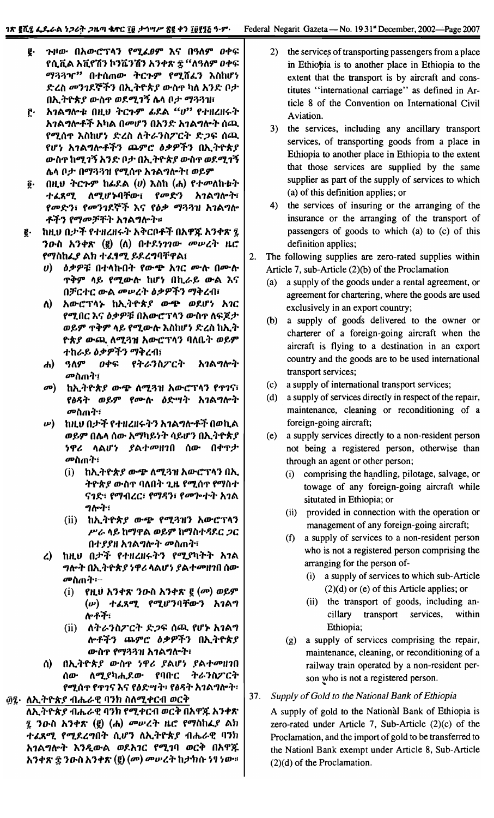- ጉዞው በአውሮፕላን የሚፈፀም እና በዓለም ዐቀፍ ę. የሲቪል አቪየሽን ኮንቬንሽን አንቀጽ ፰ "ለዓለም ዐቀፍ ማጓጓዣ" በተሰጠው ትርጉም የሚሸፈን እስከሆነ ድረስ መንገደኞችን በኢትዮጵያ ውስዋ ካለ አንድ ቦታ በኢትዮጵያ ውስኖ ወደሚገኝ ሴላ ቦታ ማጓጓዝ፣
- አገልግሎቱ በዚህ ትርጉም ፊደል "ሀ" የተዘረዘሩት ր. አንልግሎቶች አካል በመሆን በአንድ አንልግሎት ሰጪ የሚሰዋ እስከሆነ ድረስ ለትራንስፖርት ድጋፍ ሰጪ የሆነ አገልግሎቶችን ጨምሮ ዕቃዎችን በኢትዮጵያ ውስዋ ከሚገኝ አንድ ቦታ በኢትዮጵያ ውስዋ ወደሚገኝ ሌላ ቦታ በማጓጓዝ የሚሰዋ አንልግሎት፤ ወይም
- $(0,0)$  ትርጉም ከፌደል  $(v)$  እስከ  $(d_0)$  የተመለከቱት  $\mathbf{\overline{0}}$ . ተፈጸሚ ለሚሆኑባቸው፣ *የመድን* አ*ገ*ልግሎት፣ የመድን፣ የመንገደኞች እና የዕቃ ማጓጓዝ አገልግሎ ቶችን የማመቻቸት አገልግሎት።
- ከዚህ በታች የተዘረዘሩት አቅርቦቶች በአዋጁ አንቀጽ ፯ ę. ንውስ አንቀጽ (፪) (ለ) በተደነገገው መሥረት ዜሮ የማስከፌያ ልክ ተፈፃሚ ይደረግባቸዋል፤
	- *ዕቃዎቹ* በተላኩበት የውጭ አ*ገ*ር ሙሉ በሙሉ  $\boldsymbol{\theta}$ **ጥቅም ላይ የሚውሉ ከሆነ በኪራይ ውል እና** በቻርተር ውል መሠረት ዕቃዎችን ማቅረብ፣
	- አውሮፕላኑ ከኢትዮጵያ ውጭ ወደሆነ አገር ለ) የሚበር እና ዕቃዎቹ በአውሮፕላን ውስዋ ለፍጆታ ወይም ጥቅም ላይ የሚውሉ እስከሆነ ድረስ ከኢት ዮጵያ ውጪ ለሚጓዝ አውሮፕላን ባለቤት ወይም *ተከራይ ዕቃዎችን ማቅረብ*፤
	- ዓለም ዐቀፍ የትራንስፖርት አገልግሎት  $\boldsymbol{d}$ *መ*ስጠት፤
	- $\boldsymbol{\sigma}$ ከኢትዮጵያ ውጭ ለሚጓዝ አውሮፕላን የዋገና፣ የፅዳት ወይም የሙሉ ዕድሣት አገልግሎት መስጠት፣
	- $\boldsymbol{\nu})$ ከዚህ በታች የተዘረዘሩትን አገልግሎቶች በወኪል ወይም በሴላ ሰው አማካይነት ሳይሆን በኢትዮጵያ *ነዋሪ* ላልሆ*ነ ያ*ልተመዘገበ ሰው በቀጥታ *መ*ስጠት፣
		- ከኢትዮጵ*ያ ውጭ ለሚጓዝ አውሮ*ፕላን በኢ  $(i)$ ትዮጵ*ያ ው*ስጥ ባለበት ጊዜ የሚሰጥ የማስተ ናንድ፣ የማብረር፣ የማዳን፣ የመጕተት አንል ግሎት፣
		- (ii) ከኢትዮጵ*ያ* ውጭ የሚጓዝን አውሮፕላን ሥራ ላይ ከማዋል ወይም ከማስተዳደር ጋር በተያያዘ አገልግሎት መስጠት፣
	- ከዚህ በታች የተዘረዘሩትን የሚያካትት አገል  $\mathbf{r}$ *ግ*ሎት በኢትዮጵ*ያ* ነዋሪ ላልሆነ ያልተ*መ*ዘገበ ሰው መስጠት፡-
		- \_የዚህ አንቀጽ ንዑስ አንቀጽ ፪ (መ) ወይም  $(i)$ (ሥ) ተፈጸሚ የሚሆንባቸውን አገልግ ሎቶች፡
		- ለትራንስፖርት ድ*ጋ*ፍ ሰጪ የሆኑ አ*ገ*ልግ  $(ii)$ ሎቶችን ጨምሮ ዕቃዎችን በኢትዮጵያ ውስጥ የማጓጓዝ አገልግሎት፣
	- በኢትዮጵያ ውስዋ ነዋሪ ያልሆነ ያልተመዘገበ  $\Lambda$ ሰው ለሚያካሒደው የባቡር ትራንስፖርት የሚሰጥ የጥገና እና የዕድሣት፣ የፅዳት አገልግሎት፣

፴፯· ለኢትዮጵያ ብሔራዊ ባንክ ስለሚቀርብ ወርቅ

ለኢትዮጵያ ብሔራዊ ባንክ የሚቀርብ ወርቅ በአዋጁ አንቀጽ ፺ ንውስ አንቀጽ (፪) (ሐ) *መ*ሥረት ዜሮ የማስከፈያ ልክ ተፈጸሚ የሚደረግበት ሲሆን ለኢትዮጵያ ብሔራዊ ባንክ አገልግሎት እንዲውል ወደአገር የሚገባ ወርቅ በአዋጁ አንቀጽ ፰ ንዑስ አንቀጽ (፪) (መ) መሥረት ከታክሱ ነፃ ነው።

- $2)$ the services of transporting passengers from a place in Ethiopia is to another place in Ethiopia to the extent that the transport is by aircraft and constitutes "international carriage" as defined in Article 8 of the Convention on International Civil Aviation.
- $3)$ the services, including any ancillary transport services, of transporting goods from a place in Ethiopia to another place in Ethiopia to the extent that those services are supplied by the same supplier as part of the supply of services to which (a) of this definition applies; or
- 4) the services of insuring or the arranging of the insurance or the arranging of the transport of passengers of goods to which (a) to (c) of this definition applies;
- $2.$ The following supplies are zero-rated supplies within Article 7, sub-Article (2)(b) of the Proclamation
	- a supply of the goods under a rental agreement, or  $(a)$ agreement for chartering, where the goods are used exclusively in an export country;
	- (b) a supply of goods delivered to the owner or charterer of a foreign-going aircraft when the aircraft is flying to a destination in an export country and the goods are to be used international transport services;
	- a supply of international transport services;  $(c)$
	- $(d)$ a supply of services directly in respect of the repair, maintenance, cleaning or reconditioning of a foreign-going aircraft;
	- a supply services directly to a non-resident person  $(e)$ not being a registered person, otherwise than through an agent or other person;
		- (i) comprising the handling, pilotage, salvage, or towage of any foreign-going aircraft while situtated in Ethiopia; or
		- (ii) provided in connection with the operation or management of any foreign-going aircraft;
		- $(f)$ a supply of services to a non-resident person who is not a registered person comprising the arranging for the person of-
			- (i) a supply of services to which sub-Article  $(2)(d)$  or (e) of this Article applies; or
			- (ii) the transport of goods, including ancillary transport services, within Ethiopia;
		- (g) a supply of services comprising the repair, maintenance, cleaning, or reconditioning of a railway train operated by a non-resident person who is not a registered person.

#### $37.$ Supply of Gold to the National Bank of Ethiopia

A supply of gold to the National Bank of Ethiopia is zero-rated under Article 7, Sub-Article  $(2)(c)$  of the Proclamation, and the import of gold to be transferred to the Nationl Bank exempt under Article 8, Sub-Article  $(2)(d)$  of the Proclamation.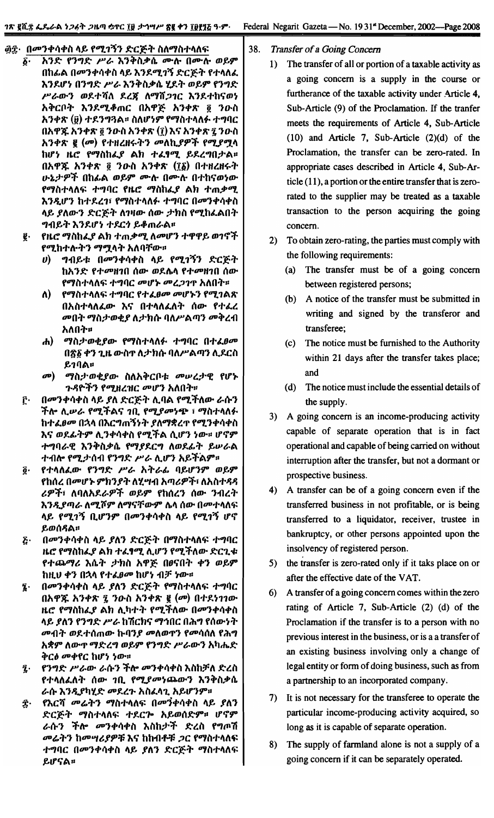- <u>፴፰· በመንቀሳቀስ ላይ የሚገኝን ድርጅት ስለማስተላለፍ</u><br>፩· አንድ የንግድ ሥራ እንቅስቃሴ ሙሉ በሙሉ *li-* ""}~ f"}"'~ *JP~* ~"}c}>ia.4>(\ 11D-~ 011D-~ *61"9"* በከፊል በመንቀሳቀስ ላይ እንደሚገኝ ድርጅት የተላለፈ ~"}1.IJ'~ O"}..,~ *JP~ ~"}:"ia.4>(\*8£1.:" *61"9"* f"}"'~  $P'$ ራውን ወደተሻለ ደረጃ ለማሸ*ጋገ*ር እንደተከናወነ *እቅርቦት እንደሚቆጠር በአዋጅ አንቀጽ ፬ ንዑስ* <u>አንቀጽ (፱) ተደንግጓል። ስለሆነም የማስተላለፉ ተግባር</u> በአዋጁ አንቀጽ ፬ ንውስ አንቀጽ (፲) እና አንቀጽ ፯ ንውስ *አንቀጽ ፪ (መ) የተዘረዘሩትን መለኪያዎች የሚያሟላ h*ሆነ ዜሮ የማስከፌያ ልክ ተፈፃሚ ይደረግበታል። Oh":( ""}"'2t § *"}o-ia* ""}"'2t *(Ili) O"'HlH~:"*  $v$ ኔታዎች በከፊል ወይም ሙሉ በሙሉ በተከናወነው f"7ia"'''I\~ .,...,flC *fUt: "7iahLJ'* All *"'m.+"7.*  $\lambda$ *ንዲሆን ከተደረገ፣ የማስተላለፉ ተግባር በመንቀሳቀስ* <u>ላይ ያለውን ድርጅት ለገዛው ሰው ታክስ የሚከፈልበት</u> ግብይት እንደሆነ ተደርጎ ይቆጠራል።
	- I- *fUt: "7iahLJ'* All *"'m.4>"7. I\ODIJ'"}*.,.epep" m1tj:f f"7. h.,. ~:,."} "7~,,:,. *,,1\* fI*TID-U*
		- *ሀ*) ግብይቱ በመንቀሳቀስ ላይ የሚገኝን ድርጅት *ከአንድ የተመዘገ*በ ሰው ወደሴላ የተመዘገበ ሰው fማስተላለፍ ተግባር *መ*ሆኑ መረ*ጋገ*ዋ አለበት።
		- *ለ*) የማስተላለፍ ተግባር የተ*ፈፀመ መ*ሆኑን የሚገልጽ *O"ia"'''I\LID-* ~lJ' *O.,."I\LI\:" (aID-* f.,.Ll *መ*በት ማስታወቂያ ለታክሱ ባለሥልጣን መቅረብ አለበት።
		- *th) ማስታወቂያው የማስተላለፉ ተግባር በተፈፀሙ* በጽ፩ ቀን ጊዜ ውስ**ተ ለታክሱ ባለሥል**ጣን ሊደርስ ይገባል።
		- *መ*) ማስታወቂያው ስለአቅርቦቱ መሠረታዊ የሆኑ ጉዳዮችን የሚዘረዝር መሆን አለበት።
	- <u>፫· በመንቀሳቀስ ላይ ያለ ድርጅት ሊባል የሚችለው ራሱን</u> **ችሎ ሊ**ሥራ የሚችልና ገቢ የሚያመነጭ ፣ ማስተላለፉ *ከተፈፀመ በኋላ በእርግጠኝነት ያለማቋረጥ የሚንቀሳቀስ* እና ወደፊትም ሊንቀሳቀስ የሚችል ሲሆን **ነው**። ሆኖም -MfI~'C ~ *"}:"ia.4>(\* f"711.C'" *1\611.4.:" "IP~A +11it-* f"7.;I'(al1 f"}"'~ *JP*~ *I\.IJ'"}* ",,:fIA9"1I
	- $\tilde{g}$ · የተሳለፈው የንግድ ሥራ አትራፊ ባይሆንም ወይም fhሰረ በ*መ*ሆኑ ምክንያት ለሂሣብ አጣሪዎች፣ ለአስተዳዳ ~~:fl I\fll\"1.~~:f *61"9"* fh(al"} *(aID- "}l1l""* እ*ንዲያጣራ ለሚሾም ለማናቸውም ሴላ ሰው በመተላ*ለፍ ሳይ የሚገኝ ቢሆንም በ**መንቀሳቀስ ላይ የሚገኝ** ሆኖ ይወሰዳል።
	- ~- OOD"}.,.".,.ia *"f, 11\")* ~C~:,. O"7ia"'''i\~ .,...,flC *ዜሮ የማስከፌያ ልክ ተፌፃሚ ሊሆን የሚችለው ድርጊቱ* የተጨማሪ እሴት ታክስ አዋጅ በፀናበት ቀን ወይም **ከዚሀ ቀን በኋላ የተፈፀመ ከሆነ ብቻ ነው።**
	- $\S$ · በመንቀሳቀስ ላይ *ያ*ለን ድርጅት የማስተላለፍ ተግባር በአዋ**ጁ አንቀጽ ፯ ን**ዑስ አንቀጽ ፪ (መ) በተደነገገው *ዜሮ የማስከፌያ ልክ ሊካተት የሚችለው በመንቀሳቀስ* <u>ላይ ያለን የንግድ ሥራ ከሽርክና ማኅበር በሕግ የሰውነት</u> *መ*ብት ወደተሰጠው ኩባን*ያ መ*ለወዋን የመሳሰለ የሕግ እ**ቋም ለው**ዋ ማድረግ ወይም የንግድ ሥራውን አካሔድ *ቅርፅ መቀየር ከሆነ ነው።*
	- j- f"}"'~ *JP~ID- ~fa-"}*:fit- *OD"}.,.".,.ia~iah;F1\~lia f+ላለፌለት ሰው ገቢ የሚያመነጨውን እንቅስቃሴ* ራሱ እንዲያካሂድ **መደረጉ አስ**ፈላጊ አይሆንም።
	- $\widehat{\mathcal{I}}$ : የእርሻ መሬትን ማስተላለፍ በመንቀሳቀስ ላይ *ያ*ለን ~C~..,. *"7ia"'''I\~* .,.1.C1- *""m(a~u IJ'tj9" ~fa-"}* :fit- *OD"}.,.".,.ia* ~iah;l':f *~lia* f"'tn"li *መሬትን ከመሣሪያዎቹ* እና ከከብቶቹ *ጋ*ር የማስተላለፍ ተግባር በ*መ*ንቀሳቀስ ላይ *ያ*ለን ድርጅት ማስተላለ<br><sup>ይ</sup>ሆናል። ይሆናል።

#### 38. *Transfer* of *a Going Concern*

- 1) The transfer of all or portion of a taxable activity as a going concern is a supply in the course or furtherance of the taxable activity under Article 4, Sub-Article (9) of the Proclamation. If the tranfer meets the requirements of Article 4, Sub-Article (10) and Article 7, Sub-Article (2)(d) of the Proclamation, the transfer can be zero-rated. In appropriate cases described in Article 4, Sub-Article (11), a portion or the entire transfer that is zerorated to the supplier may be treated as a taxable transaction to the person acquiring the going concern.
- 2) To obtain zero-rating, the parties must comply with the following requirements:
	- (a) The transfer must be of a going concern between registered persons;
	- (b) A notice of the transfer must be submitted in writing and signed by the transferor and transferee;
	- (c) The notice must be furnished to the Authority within 21 days after the transfer takes place; and
	- (d) The notice must include the essential details of the supply.
- 3) A going concern is an income-producing activity capable of separate operation that is in fact operational and capable of being carried on without interruption after the transfer, but not a dormant or prospective business.
- 4) A transfer can be of a going concern even if the transferred business in not profitable, or is being transferred to a liquidator, receiver, trustee in bankruptcy, or other persons appointed upon the insolvency of registered person.
- 5) the transfer is zero-rated only if it taks place on or after the effective date of the VAT.
- 6) A transfer of a going concern comes within the zero rating of Article 7, Sub-Article (2) (d) of the Proclamation if the transfer is to a person with no previous interest in the business, or is a a transfer of an existing business involving only a change of legal entity or form of doing business, such as from a partnership to an incorporated company.
- 7) It is not necessary for the transferee to operate the particular income-producing activity acquired, so long as it is capable of separate operation.
- 8) The supply of farmland alone is not a supply of a going concern if it can be separately operated.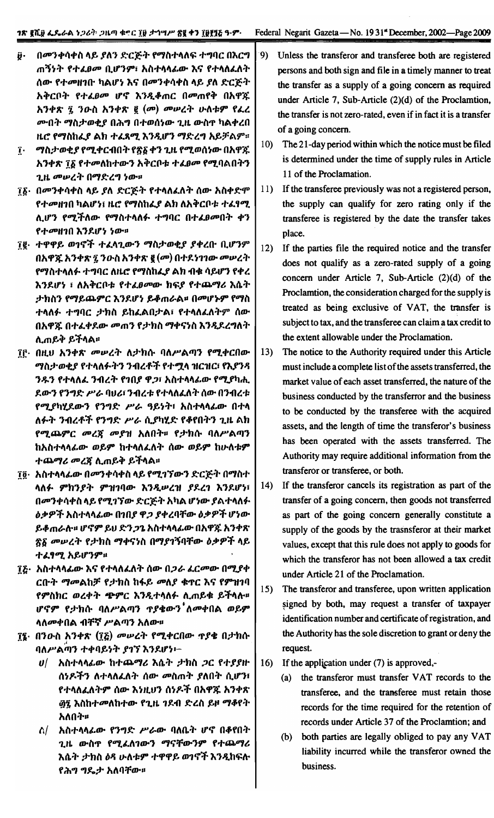- በመንቀሳቀስ ላይ ያለን ድርጅት የማስተላለፍ ተግባር በእርግ Ĥ. ጠኝነት የተፈፀመ ቢሆንም፣ አስተሳሳፊው እና የተሳሰፈለት ሰው የተመዘገቡ ካልሆነ እና በመንቀሳቀስ ላይ ያለ ድርጅት አቅርቦት የተፈፀመ ሆኖ እንዲቆጠር በመጠየቅ በአዋጁ አንቀጽ ፯ ንዑስ አንቀጽ ፪ (መ) መሠረት ሁለቱም የፌረ *ሙበት ማስታወቂያ በሕግ በተወሰነው ጊዜ ውስ*ዋ ካልቀረበ ዚሮ የማስከፌያ ልክ ተፈጻሚ እንዲሆን ማድረግ አይቻልም።
- <u>ገ</u>· ማስታወቂ*ያ* የሚቀርብበት የጽ፩ ቀን ጊዜ የሚወሰነው በአዋጁ *አንቀጽ ፕδ የተመ*ለከተውን አቅርቦቱ ተ*ፌፀመ የሚ*ባልበትን ጊዜ መሠረት በማድረግ ነው።
- ፲፩· በመንቀሳቀስ ላይ ያለ ድርጅት የተላለፈለት ሰው አስቀድም የተመዘገበ ካልሆነ፤ ዜሮ የማስከፌያ ልክ ለአቅርቦቱ ተፈፃሚ ሊሆን የሚችለው የማስተላለፉ ተግባር በተ*ፌፀመ*በት ቀን የተመዘገበ እንደሆነ ነው።
- ፲፪· ተዋዋይ ወገኖች ተፈላጊውን ማስታወቂያ ያቀረቡ ቢሆንም በአዋጁ አንቀጽ ፯ ንዑስ አንቀጽ ፪ (መ) በተደነገገው መሠረት የማስተላለፉ ተግባር ለዜሮ የማስከፈያ ልክ ብቁ ሳይሆን የቀረ እንደሆነ ፣ ለአቅርቦቱ የተፈፀመው ክፍያ የተጨማሪ እሴት ታክስን የማይጨምር እንደሆነ ይቆጠራል። በመሆኑም የማስ ተላለፉ ተግባር ታክስ ይከፈልበታል፣ የተላለፈለትም ሰው በአዋጁ በተፈቀደው መጠን የታክስ ማቀናነስ እንዲደረግለት ሊጠይቅ ይችላል።
- ፲፫· በዚህ አንቀጽ መሠረት ለታክሱ ባለሥልጣን የሚቀርበው ማስታወቂያ የተላለፉትን ንብረቶች የተሟላ ዝርዝር፣ የእያንጻ ንዱን የተላለፈ ንብረት የገበያ ዋጋ፣ አስተላላፊው የሚያካሒ ደውን የንግድ ሥራ ባህሪ፣ ንብረቱ የተላለፈለት ሰው በንብረቱ የሚያካሂደውን የንግድ ሥራ ዓይነት፣ አስተላላፊው በተላ ለፉት ንብረቶች የንግድ ሥራ ሲያካሂድ የቆየበትን ጊዜ ልክ የሚጨምር መረጀ መያዝ አለበት። የታክሱ ባለሥልጣን ከአስተላላፊው ወይም ከተላለፈለት ሰው ወይም ከሁለቱም ተጨማሪ መረጀ ሲጠይቅ ይችላል፡፡
- ፲፬· አስተላላፊው በመንቀሳቀስ ላይ የሚገኘውን ድርጅት በማስተ ላለፉ ምክንያት ምዝገባው እንዲሥረዝ ያደረገ እንደሆነ፣ በመንቀሳቀስ ላይ የሚገኘው ድርጅት አካል ሆነው ያልተላለፉ *ዕቃዎች አስተላላፊው በገበያ ዋጋ ያቀረባቸው ዕቃዎች ሆነው* ይቆጠራሉ። ሆኖም ይህ ድንጋጌ አስተላላፊው በአዋጁ አንቀጽ <u>ጽ</u>§ መሠረት የታክስ ማቀናነስ በማያገኝባቸው ዕቃዎች ላይ ተፈፃሚ አይሆንም።
- ፲፩· አስተላላፊው እና የተላለፈለት ሰው በ*ጋራ ፌርመ*ው በሚያቀ ርቡት ማመልከቻ የታክስ ከፋይ መለያ ቁዋር እና የምዝገባ የምስክር ወረቀት **ጭ**ምር እንዲተሳለፉ ሲጠይቁ ይችሳሉ<del>"</del> ሆኖም የታክሱ ባለሥልጣን **ተያቄውን ለ**መቀበል ወይም ላለ**መቀበል ብቸኛ ሥል**ጣን አለው።
- <u>፲፮</u>· በንዑስ አንቀጽ (፲፩) መሥረት የሚቀርበው ጥያቄ በታክሱ ባለሥልጣን ተቀባይነት ያገኘ እንደሆነ፦
	- $\boldsymbol{v}/\boldsymbol{v}$  አስተላላፊው ከተጨማሪ እሴት ታክስ ጋር የተያያዙ ሰነዶችን ለተላለፈለት ሰው *መ*ስጠት ያለበት ሲሆን፣ የተላለፈለትም ሰው እነዚህን ሰነዶች በአዋጁ አንቀጽ *፴*፯ እስከተመለከተው የጊዜ *ገ*ደብ ድረስ ይዞ ማቆየት አለበት።
	- $\Lambda$ / አስተላላፊው የንግድ ሥራው ባለቤት ሆኖ በቆየበት ጊዜ ውስጥ የሚፈለገውን ማናቸውንም የተጨማሪ እሴት ታክስ ዕጻ ሁለቱም ተዋዋይ ወገኖች እንዲከፍሉ የሕግ ግዴታ አለባቸው።
- 9) Unless the transferor and transferee both are registered persons and both sign and file in a timely manner to treat the transfer as a supply of a going concern as required under Article 7, Sub-Article (2)(d) of the Proclamtion, the transfer is not zero-rated, even if in fact it is a transfer of a going concern.
- The 21-day period within which the notice must be filed  $10)$ is determined under the time of supply rules in Article 11 of the Proclamation.
- $11$ If the transferee previously was not a registered person, the supply can qualify for zero rating only if the transferee is registered by the date the transfer takes place.
- $12)$ If the parties file the required notice and the transfer does not qualify as a zero-rated supply of a going concern under Article 7, Sub-Article (2)(d) of the Proclamtion, the consideration charged for the supply is treated as being exclusive of VAT, the transfer is subject to tax, and the transferee can claim a tax credit to the extent allowable under the Proclamation.
- The notice to the Authority required under this Article  $13)$ must include a complete list of the assets transferred, the market value of each asset transferred, the nature of the business conducted by the transferror and the business to be conducted by the transferee with the acquired assets, and the length of time the transferor's business has been operated with the assets transferred. The Authority may require additional information from the transferor or transferee, or both.
- If the transferor cancels its registration as part of the  $14)$ transfer of a going concern, then goods not transferred as part of the going concern generally constitute a supply of the goods by the trasnsferor at their market values, except that this rule does not apply to goods for which the transferor has not been allowed a tax credit under Article 21 of the Proclamation.
- The transferor and transferee, upon written application  $15)$ signed by both, may request a transfer of taxpayer identification number and certificate of registration, and the Authority has the sole discretion to grant or deny the request.
- $16)$ If the application under  $(7)$  is approved,-
	- (a) the transferor must transfer VAT records to the transferee, and the transferee must retain those records for the time required for the retention of records under Article 37 of the Proclamtion; and
	- both parties are legally obliged to pay any VAT  $(b)$ liability incurred while the transferor owned the business.